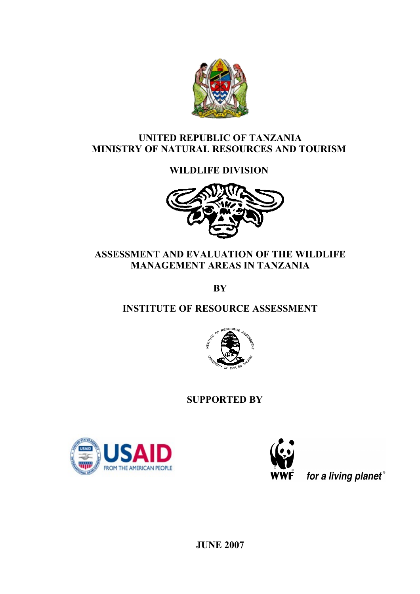

# **UNITED REPUBLIC OF TANZANIA MINISTRY OF NATURAL RESOURCES AND TOURISM**

# **WILDLIFE DIVISION**



# **ASSESSMENT AND EVALUATION OF THE WILDLIFE MANAGEMENT AREAS IN TANZANIA**

**BY**

# **INSTITUTE OF RESOURCE ASSESSMENT**



 **SUPPORTED BY**





for a living planet®

**JUNE 2007**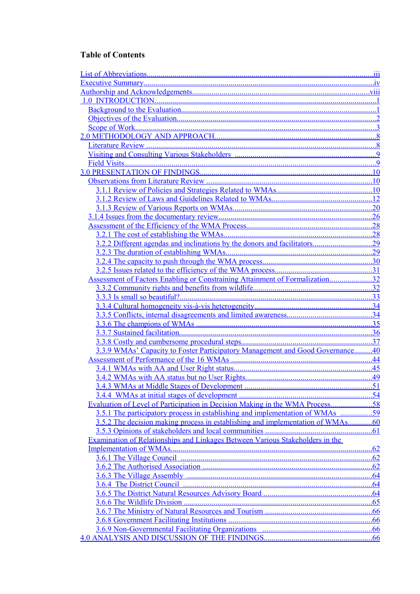### **Table of Contents**

<span id="page-1-32"></span><span id="page-1-31"></span><span id="page-1-30"></span><span id="page-1-29"></span><span id="page-1-28"></span><span id="page-1-27"></span><span id="page-1-26"></span><span id="page-1-25"></span><span id="page-1-24"></span><span id="page-1-23"></span><span id="page-1-22"></span><span id="page-1-21"></span><span id="page-1-20"></span><span id="page-1-19"></span><span id="page-1-18"></span><span id="page-1-17"></span><span id="page-1-16"></span><span id="page-1-15"></span><span id="page-1-14"></span><span id="page-1-13"></span><span id="page-1-12"></span><span id="page-1-11"></span><span id="page-1-10"></span><span id="page-1-9"></span><span id="page-1-8"></span><span id="page-1-7"></span><span id="page-1-6"></span><span id="page-1-5"></span><span id="page-1-4"></span><span id="page-1-3"></span><span id="page-1-2"></span><span id="page-1-1"></span><span id="page-1-0"></span>

|                                                                                     | .10<br>.12<br>.28 |
|-------------------------------------------------------------------------------------|-------------------|
|                                                                                     |                   |
|                                                                                     |                   |
|                                                                                     |                   |
|                                                                                     |                   |
|                                                                                     |                   |
|                                                                                     |                   |
|                                                                                     |                   |
|                                                                                     |                   |
|                                                                                     |                   |
| . 9                                                                                 |                   |
|                                                                                     |                   |
|                                                                                     |                   |
|                                                                                     |                   |
| 3.1.2 Review of Laws and Guidelines Related to WMAs                                 |                   |
|                                                                                     |                   |
|                                                                                     |                   |
|                                                                                     |                   |
|                                                                                     |                   |
|                                                                                     |                   |
|                                                                                     |                   |
|                                                                                     |                   |
|                                                                                     |                   |
| <b>Assessment of Factors Enabling or Constraining Attainment of Formalization32</b> |                   |
|                                                                                     |                   |
|                                                                                     |                   |
|                                                                                     |                   |
|                                                                                     |                   |
|                                                                                     |                   |
|                                                                                     |                   |
|                                                                                     |                   |
| 3.3.9 WMAs' Capacity to Foster Participatory Management and Good Governance40       |                   |
|                                                                                     | .44               |
|                                                                                     | .45               |
|                                                                                     |                   |
|                                                                                     | 51                |
|                                                                                     |                   |
| Evaluation of Level of Participation in Decision Making in the WMA Process58        |                   |
| 3.5.1 The participatory process in establishing and implementation of WMAs<br>59    |                   |
| 3.5.2 The decision making process in establishing and implementation of WMAs.       | .60               |
| 3.5.3 Opinions of stakeholders and local communities                                | .61               |
| Examination of Relationships and Linkages Between Various Stakeholders in the       |                   |
|                                                                                     | .62               |
|                                                                                     | .62               |
|                                                                                     | .62               |
|                                                                                     | .64               |
|                                                                                     | .64               |
|                                                                                     | .64               |
|                                                                                     | .65               |
|                                                                                     | .66               |
|                                                                                     | .66               |
|                                                                                     | .66               |
|                                                                                     | <u>.66</u>        |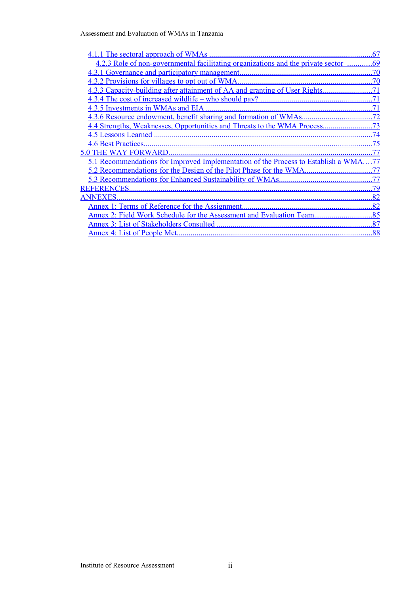Assessment and Evaluation of WMAs in Tanzania

<span id="page-2-14"></span><span id="page-2-13"></span><span id="page-2-12"></span><span id="page-2-11"></span><span id="page-2-10"></span><span id="page-2-9"></span><span id="page-2-8"></span><span id="page-2-7"></span><span id="page-2-6"></span><span id="page-2-5"></span><span id="page-2-4"></span><span id="page-2-3"></span><span id="page-2-2"></span><span id="page-2-1"></span><span id="page-2-0"></span>

|                                                                                    | .67 |
|------------------------------------------------------------------------------------|-----|
| 4.2.3 Role of non-governmental facilitating organizations and the private sector   | .69 |
|                                                                                    | .70 |
|                                                                                    | .70 |
|                                                                                    | 71  |
|                                                                                    |     |
|                                                                                    |     |
|                                                                                    | .72 |
|                                                                                    | 73  |
|                                                                                    | 74  |
|                                                                                    | 75  |
| <b>WAY FORWARD.</b><br>5 0 THE                                                     |     |
| 5.1 Recommendations for Improved Implementation of the Process to Establish a WMA. | -77 |
| 5.2 Recommendations for the Design of the Pilot Phase for the WMA                  | 77  |
|                                                                                    | .77 |
| <b>REFERENCES</b>                                                                  | .79 |
| <b>ANNEXES</b>                                                                     | .82 |
|                                                                                    | .82 |
|                                                                                    | .85 |
|                                                                                    | 87  |
|                                                                                    | .88 |
|                                                                                    |     |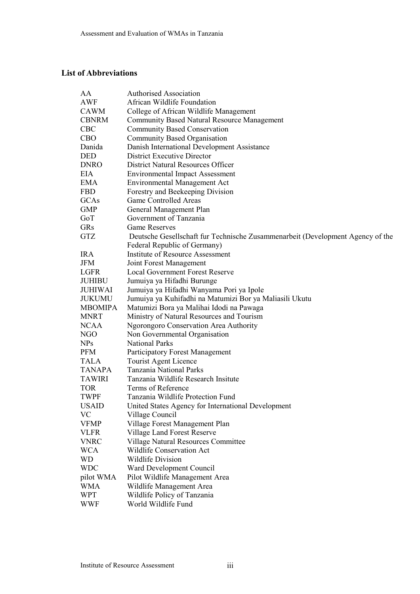### <span id="page-3-0"></span>**List of Abbreviations**

| AA             | <b>Authorised Association</b>                                                  |  |  |  |  |
|----------------|--------------------------------------------------------------------------------|--|--|--|--|
| AWF            | African Wildlife Foundation                                                    |  |  |  |  |
| CAWM           | College of African Wildlife Management                                         |  |  |  |  |
| <b>CBNRM</b>   | <b>Community Based Natural Resource Management</b>                             |  |  |  |  |
| <b>CBC</b>     | <b>Community Based Conservation</b>                                            |  |  |  |  |
| <b>CBO</b>     | Community Based Organisation                                                   |  |  |  |  |
| Danida         | Danish International Development Assistance                                    |  |  |  |  |
| <b>DED</b>     | District Executive Director                                                    |  |  |  |  |
| <b>DNRO</b>    | <b>District Natural Resources Officer</b>                                      |  |  |  |  |
| EIA            | <b>Environmental Impact Assessment</b>                                         |  |  |  |  |
| EMA            | <b>Environmental Management Act</b>                                            |  |  |  |  |
| <b>FBD</b>     | Forestry and Beekeeping Division                                               |  |  |  |  |
| GCAs           | <b>Game Controlled Areas</b>                                                   |  |  |  |  |
| <b>GMP</b>     | General Management Plan                                                        |  |  |  |  |
| GoT            | Government of Tanzania                                                         |  |  |  |  |
| <b>GRs</b>     | <b>Game Reserves</b>                                                           |  |  |  |  |
| <b>GTZ</b>     | Deutsche Gesellschaft für Technische Zusammenarbeit (Development Agency of the |  |  |  |  |
|                | Federal Republic of Germany)                                                   |  |  |  |  |
| <b>IRA</b>     | Institute of Resource Assessment                                               |  |  |  |  |
| JFM            | Joint Forest Management                                                        |  |  |  |  |
| LGFR           | <b>Local Government Forest Reserve</b>                                         |  |  |  |  |
| <b>JUHIBU</b>  | Jumuiya ya Hifadhi Burunge                                                     |  |  |  |  |
| <b>JUHIWAI</b> | Jumuiya ya Hifadhi Wanyama Pori ya Ipole                                       |  |  |  |  |
| <b>JUKUMU</b>  | Jumuiya ya Kuhifadhi na Matumizi Bor ya Maliasili Ukutu                        |  |  |  |  |
| <b>MBOMIPA</b> | Matumizi Bora ya Malihai Idodi na Pawaga                                       |  |  |  |  |
| <b>MNRT</b>    | Ministry of Natural Resources and Tourism                                      |  |  |  |  |
| <b>NCAA</b>    | Ngorongoro Conservation Area Authority                                         |  |  |  |  |
| NGO            | Non Governmental Organisation                                                  |  |  |  |  |
| <b>NPs</b>     | <b>National Parks</b>                                                          |  |  |  |  |
| <b>PFM</b>     | Participatory Forest Management                                                |  |  |  |  |
| <b>TALA</b>    | Tourist Agent Licence                                                          |  |  |  |  |
| <b>TANAPA</b>  | <b>Tanzania National Parks</b>                                                 |  |  |  |  |
| <b>TAWIRI</b>  | Tanzania Wildlife Research Insitute                                            |  |  |  |  |
| <b>TOR</b>     | Terms of Reference                                                             |  |  |  |  |
| <b>TWPF</b>    | Tanzania Wildlife Protection Fund                                              |  |  |  |  |
| <b>USAID</b>   | United States Agency for International Development                             |  |  |  |  |
| <b>VC</b>      | Village Council                                                                |  |  |  |  |
| <b>VFMP</b>    | Village Forest Management Plan                                                 |  |  |  |  |
| <b>VLFR</b>    | Village Land Forest Reserve                                                    |  |  |  |  |
| <b>VNRC</b>    | Village Natural Resources Committee                                            |  |  |  |  |
| <b>WCA</b>     | <b>Wildlife Conservation Act</b>                                               |  |  |  |  |
| <b>WD</b>      | <b>Wildlife Division</b>                                                       |  |  |  |  |
| <b>WDC</b>     | Ward Development Council                                                       |  |  |  |  |
| pilot WMA      | Pilot Wildlife Management Area                                                 |  |  |  |  |
| <b>WMA</b>     | Wildlife Management Area                                                       |  |  |  |  |
| <b>WPT</b>     | Wildlife Policy of Tanzania                                                    |  |  |  |  |
| <b>WWF</b>     | World Wildlife Fund                                                            |  |  |  |  |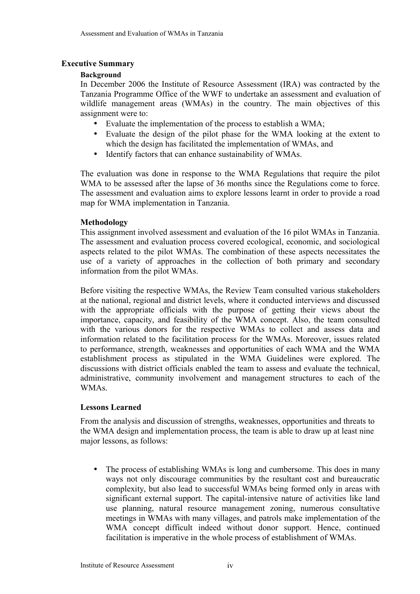## <span id="page-4-0"></span>**Executive Summary**

## **Background**

In December 2006 the Institute of Resource Assessment (IRA) was contracted by the Tanzania Programme Office of the WWF to undertake an assessment and evaluation of wildlife management areas (WMAs) in the country. The main objectives of this assignment were to:

- Evaluate the implementation of the process to establish a WMA;
- Evaluate the design of the pilot phase for the WMA looking at the extent to which the design has facilitated the implementation of WMAs, and
- Identify factors that can enhance sustainability of WMAs.

The evaluation was done in response to the WMA Regulations that require the pilot WMA to be assessed after the lapse of 36 months since the Regulations come to force. The assessment and evaluation aims to explore lessons learnt in order to provide a road map for WMA implementation in Tanzania.

### **Methodology**

This assignment involved assessment and evaluation of the 16 pilot WMAs in Tanzania. The assessment and evaluation process covered ecological, economic, and sociological aspects related to the pilot WMAs. The combination of these aspects necessitates the use of a variety of approaches in the collection of both primary and secondary information from the pilot WMAs.

Before visiting the respective WMAs, the Review Team consulted various stakeholders at the national, regional and district levels, where it conducted interviews and discussed with the appropriate officials with the purpose of getting their views about the importance, capacity, and feasibility of the WMA concept. Also, the team consulted with the various donors for the respective WMAs to collect and assess data and information related to the facilitation process for the WMAs. Moreover, issues related to performance, strength, weaknesses and opportunities of each WMA and the WMA establishment process as stipulated in the WMA Guidelines were explored. The discussions with district officials enabled the team to assess and evaluate the technical, administrative, community involvement and management structures to each of the WMAs.

### **Lessons Learned**

From the analysis and discussion of strengths, weaknesses, opportunities and threats to the WMA design and implementation process, the team is able to draw up at least nine major lessons, as follows:

The process of establishing WMAs is long and cumbersome. This does in many ways not only discourage communities by the resultant cost and bureaucratic complexity, but also lead to successful WMAs being formed only in areas with significant external support. The capital-intensive nature of activities like land use planning, natural resource management zoning, numerous consultative meetings in WMAs with many villages, and patrols make implementation of the WMA concept difficult indeed without donor support. Hence, continued facilitation is imperative in the whole process of establishment of WMAs.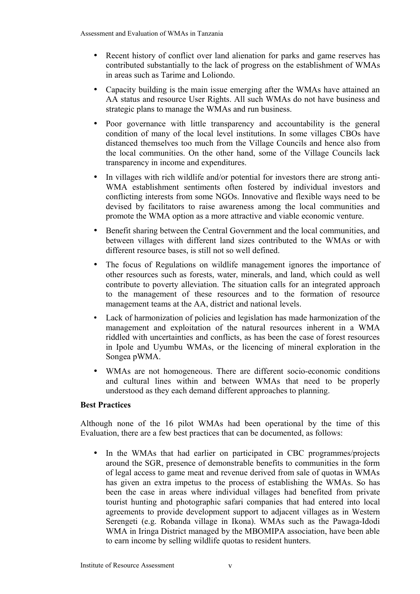- Recent history of conflict over land alienation for parks and game reserves has contributed substantially to the lack of progress on the establishment of WMAs in areas such as Tarime and Loliondo.
- Capacity building is the main issue emerging after the WMAs have attained an AA status and resource User Rights. All such WMAs do not have business and strategic plans to manage the WMAs and run business.
- Poor governance with little transparency and accountability is the general condition of many of the local level institutions. In some villages CBOs have distanced themselves too much from the Village Councils and hence also from the local communities. On the other hand, some of the Village Councils lack transparency in income and expenditures.
- In villages with rich wildlife and/or potential for investors there are strong anti-WMA establishment sentiments often fostered by individual investors and conflicting interests from some NGOs. Innovative and flexible ways need to be devised by facilitators to raise awareness among the local communities and promote the WMA option as a more attractive and viable economic venture.
- Benefit sharing between the Central Government and the local communities, and between villages with different land sizes contributed to the WMAs or with different resource bases, is still not so well defined.
- The focus of Regulations on wildlife management ignores the importance of other resources such as forests, water, minerals, and land, which could as well contribute to poverty alleviation. The situation calls for an integrated approach to the management of these resources and to the formation of resource management teams at the AA, district and national levels.
- Lack of harmonization of policies and legislation has made harmonization of the management and exploitation of the natural resources inherent in a WMA riddled with uncertainties and conflicts, as has been the case of forest resources in Ipole and Uyumbu WMAs, or the licencing of mineral exploration in the Songea pWMA.
- WMAs are not homogeneous. There are different socio-economic conditions and cultural lines within and between WMAs that need to be properly understood as they each demand different approaches to planning.

### **Best Practices**

Although none of the 16 pilot WMAs had been operational by the time of this Evaluation, there are a few best practices that can be documented, as follows:

• In the WMAs that had earlier on participated in CBC programmes/projects around the SGR, presence of demonstrable benefits to communities in the form of legal access to game meat and revenue derived from sale of quotas in WMAs has given an extra impetus to the process of establishing the WMAs. So has been the case in areas where individual villages had benefited from private tourist hunting and photographic safari companies that had entered into local agreements to provide development support to adjacent villages as in Western Serengeti (e.g. Robanda village in Ikona). WMAs such as the Pawaga-Idodi WMA in Iringa District managed by the MBOMIPA association, have been able to earn income by selling wildlife quotas to resident hunters.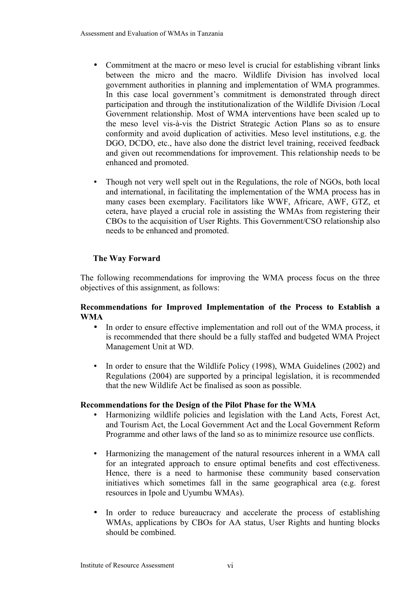- Commitment at the macro or meso level is crucial for establishing vibrant links between the micro and the macro. Wildlife Division has involved local government authorities in planning and implementation of WMA programmes. In this case local government's commitment is demonstrated through direct participation and through the institutionalization of the Wildlife Division /Local Government relationship. Most of WMA interventions have been scaled up to the meso level vis-à-vis the District Strategic Action Plans so as to ensure conformity and avoid duplication of activities. Meso level institutions, e.g. the DGO, DCDO, etc., have also done the district level training, received feedback and given out recommendations for improvement. This relationship needs to be enhanced and promoted.
- Though not very well spelt out in the Regulations, the role of NGOs, both local and international, in facilitating the implementation of the WMA process has in many cases been exemplary. Facilitators like WWF, Africare, AWF, GTZ, et cetera, have played a crucial role in assisting the WMAs from registering their CBOs to the acquisition of User Rights. This Government/CSO relationship also needs to be enhanced and promoted.

# **The Way Forward**

The following recommendations for improving the WMA process focus on the three objectives of this assignment, as follows:

#### **Recommendations for Improved Implementation of the Process to Establish a WMA**

- In order to ensure effective implementation and roll out of the WMA process, it is recommended that there should be a fully staffed and budgeted WMA Project Management Unit at WD.
- In order to ensure that the Wildlife Policy (1998), WMA Guidelines (2002) and Regulations (2004) are supported by a principal legislation, it is recommended that the new Wildlife Act be finalised as soon as possible.

### **Recommendations for the Design of the Pilot Phase for the WMA**

- Harmonizing wildlife policies and legislation with the Land Acts, Forest Act, and Tourism Act, the Local Government Act and the Local Government Reform Programme and other laws of the land so as to minimize resource use conflicts.
- Harmonizing the management of the natural resources inherent in a WMA call for an integrated approach to ensure optimal benefits and cost effectiveness. Hence, there is a need to harmonise these community based conservation initiatives which sometimes fall in the same geographical area (e.g. forest resources in Ipole and Uyumbu WMAs).
- In order to reduce bureaucracy and accelerate the process of establishing WMAs, applications by CBOs for AA status, User Rights and hunting blocks should be combined.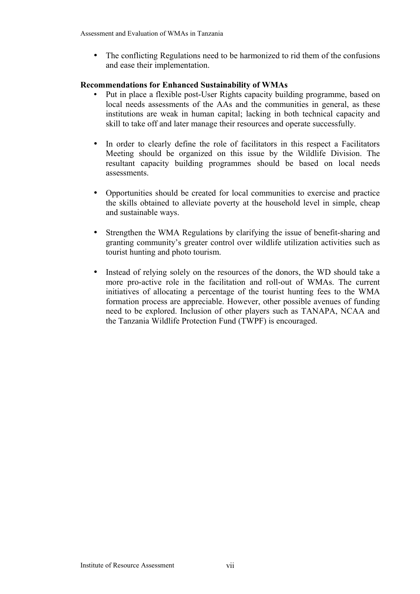• The conflicting Regulations need to be harmonized to rid them of the confusions and ease their implementation.

#### **Recommendations for Enhanced Sustainability of WMAs**

- Put in place a flexible post-User Rights capacity building programme, based on local needs assessments of the AAs and the communities in general, as these institutions are weak in human capital; lacking in both technical capacity and skill to take off and later manage their resources and operate successfully.
- In order to clearly define the role of facilitators in this respect a Facilitators Meeting should be organized on this issue by the Wildlife Division. The resultant capacity building programmes should be based on local needs assessments.
- Opportunities should be created for local communities to exercise and practice the skills obtained to alleviate poverty at the household level in simple, cheap and sustainable ways.
- Strengthen the WMA Regulations by clarifying the issue of benefit-sharing and granting community's greater control over wildlife utilization activities such as tourist hunting and photo tourism.
- Instead of relying solely on the resources of the donors, the WD should take a more pro-active role in the facilitation and roll-out of WMAs. The current initiatives of allocating a percentage of the tourist hunting fees to the WMA formation process are appreciable. However, other possible avenues of funding need to be explored. Inclusion of other players such as TANAPA, NCAA and the Tanzania Wildlife Protection Fund (TWPF) is encouraged.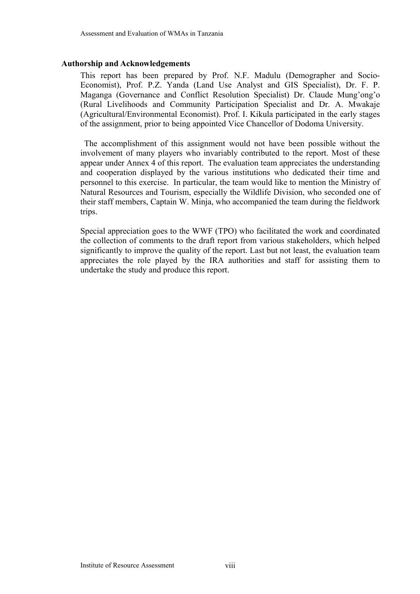#### <span id="page-8-0"></span>**Authorship and Acknowledgements**

This report has been prepared by Prof. N.F. Madulu (Demographer and Socio-Economist), Prof. P.Z. Yanda (Land Use Analyst and GIS Specialist), Dr. F. P. Maganga (Governance and Conflict Resolution Specialist) Dr. Claude Mung'ong'o (Rural Livelihoods and Community Participation Specialist and Dr. A. Mwakaje (Agricultural/Environmental Economist). Prof. I. Kikula participated in the early stages of the assignment, prior to being appointed Vice Chancellor of Dodoma University.

 The accomplishment of this assignment would not have been possible without the involvement of many players who invariably contributed to the report. Most of these appear under Annex 4 of this report. The evaluation team appreciates the understanding and cooperation displayed by the various institutions who dedicated their time and personnel to this exercise. In particular, the team would like to mention the Ministry of Natural Resources and Tourism, especially the Wildlife Division, who seconded one of their staff members, Captain W. Minja, who accompanied the team during the fieldwork trips.

Special appreciation goes to the WWF (TPO) who facilitated the work and coordinated the collection of comments to the draft report from various stakeholders, which helped significantly to improve the quality of the report. Last but not least, the evaluation team appreciates the role played by the IRA authorities and staff for assisting them to undertake the study and produce this report.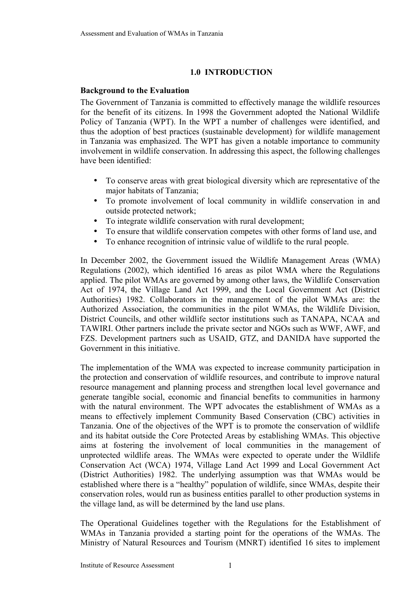## <span id="page-9-1"></span> **1.0 INTRODUCTION**

### <span id="page-9-0"></span>**Background to the Evaluation**

The Government of Tanzania is committed to effectively manage the wildlife resources for the benefit of its citizens. In 1998 the Government adopted the National Wildlife Policy of Tanzania (WPT). In the WPT a number of challenges were identified, and thus the adoption of best practices (sustainable development) for wildlife management in Tanzania was emphasized. The WPT has given a notable importance to community involvement in wildlife conservation. In addressing this aspect, the following challenges have been identified:

- To conserve areas with great biological diversity which are representative of the major habitats of Tanzania;
- To promote involvement of local community in wildlife conservation in and outside protected network;
- To integrate wildlife conservation with rural development;
- To ensure that wildlife conservation competes with other forms of land use, and
- To enhance recognition of intrinsic value of wildlife to the rural people.

In December 2002, the Government issued the Wildlife Management Areas (WMA) Regulations (2002), which identified 16 areas as pilot WMA where the Regulations applied. The pilot WMAs are governed by among other laws, the Wildlife Conservation Act of 1974, the Village Land Act 1999, and the Local Government Act (District Authorities) 1982. Collaborators in the management of the pilot WMAs are: the Authorized Association, the communities in the pilot WMAs, the Wildlife Division, District Councils, and other wildlife sector institutions such as TANAPA, NCAA and TAWIRI. Other partners include the private sector and NGOs such as WWF, AWF, and FZS. Development partners such as USAID, GTZ, and DANIDA have supported the Government in this initiative.

The implementation of the WMA was expected to increase community participation in the protection and conservation of wildlife resources, and contribute to improve natural resource management and planning process and strengthen local level governance and generate tangible social, economic and financial benefits to communities in harmony with the natural environment. The WPT advocates the establishment of WMAs as a means to effectively implement Community Based Conservation (CBC) activities in Tanzania. One of the objectives of the WPT is to promote the conservation of wildlife and its habitat outside the Core Protected Areas by establishing WMAs. This objective aims at fostering the involvement of local communities in the management of unprotected wildlife areas. The WMAs were expected to operate under the Wildlife Conservation Act (WCA) 1974, Village Land Act 1999 and Local Government Act (District Authorities) 1982. The underlying assumption was that WMAs would be established where there is a "healthy" population of wildlife, since WMAs, despite their conservation roles, would run as business entities parallel to other production systems in the village land, as will be determined by the land use plans.

The Operational Guidelines together with the Regulations for the Establishment of WMAs in Tanzania provided a starting point for the operations of the WMAs. The Ministry of Natural Resources and Tourism (MNRT) identified 16 sites to implement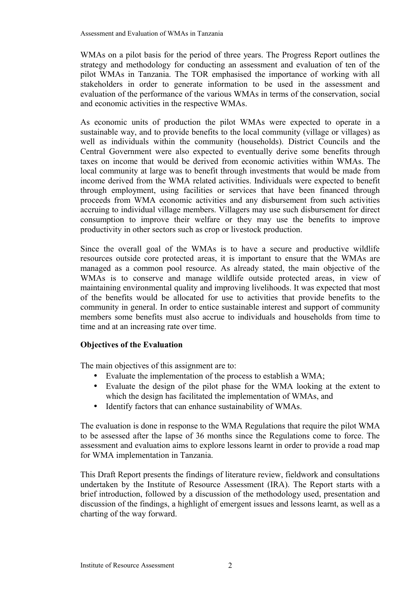Assessment and Evaluation of WMAs in Tanzania

WMAs on a pilot basis for the period of three years. The Progress Report outlines the strategy and methodology for conducting an assessment and evaluation of ten of the pilot WMAs in Tanzania. The TOR emphasised the importance of working with all stakeholders in order to generate information to be used in the assessment and evaluation of the performance of the various WMAs in terms of the conservation, social and economic activities in the respective WMAs.

As economic units of production the pilot WMAs were expected to operate in a sustainable way, and to provide benefits to the local community (village or villages) as well as individuals within the community (households). District Councils and the Central Government were also expected to eventually derive some benefits through taxes on income that would be derived from economic activities within WMAs. The local community at large was to benefit through investments that would be made from income derived from the WMA related activities. Individuals were expected to benefit through employment, using facilities or services that have been financed through proceeds from WMA economic activities and any disbursement from such activities accruing to individual village members. Villagers may use such disbursement for direct consumption to improve their welfare or they may use the benefits to improve productivity in other sectors such as crop or livestock production.

Since the overall goal of the WMAs is to have a secure and productive wildlife resources outside core protected areas, it is important to ensure that the WMAs are managed as a common pool resource. As already stated, the main objective of the WMAs is to conserve and manage wildlife outside protected areas, in view of maintaining environmental quality and improving livelihoods. It was expected that most of the benefits would be allocated for use to activities that provide benefits to the community in general. In order to entice sustainable interest and support of community members some benefits must also accrue to individuals and households from time to time and at an increasing rate over time.

### <span id="page-10-0"></span>**Objectives of the Evaluation**

The main objectives of this assignment are to:

- Evaluate the implementation of the process to establish a WMA;
- Evaluate the design of the pilot phase for the WMA looking at the extent to which the design has facilitated the implementation of WMAs, and
- Identify factors that can enhance sustainability of WMAs.

The evaluation is done in response to the WMA Regulations that require the pilot WMA to be assessed after the lapse of 36 months since the Regulations come to force. The assessment and evaluation aims to explore lessons learnt in order to provide a road map for WMA implementation in Tanzania.

This Draft Report presents the findings of literature review, fieldwork and consultations undertaken by the Institute of Resource Assessment (IRA). The Report starts with a brief introduction, followed by a discussion of the methodology used, presentation and discussion of the findings, a highlight of emergent issues and lessons learnt, as well as a charting of the way forward.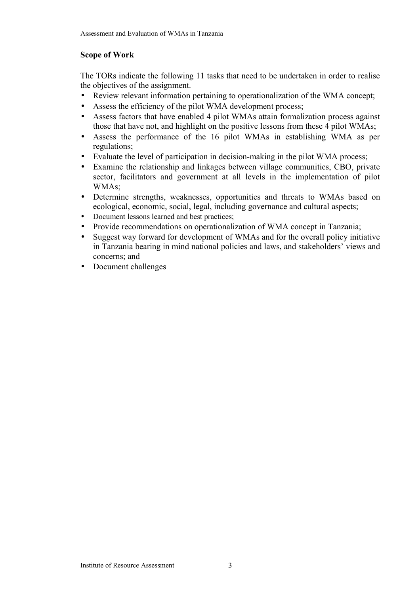## <span id="page-11-0"></span>**Scope of Work**

The TORs indicate the following 11 tasks that need to be undertaken in order to realise the objectives of the assignment.

- Review relevant information pertaining to operationalization of the WMA concept;
- Assess the efficiency of the pilot WMA development process;
- Assess factors that have enabled 4 pilot WMAs attain formalization process against those that have not, and highlight on the positive lessons from these 4 pilot WMAs;
- Assess the performance of the 16 pilot WMAs in establishing WMA as per regulations;
- Evaluate the level of participation in decision-making in the pilot WMA process;
- Examine the relationship and linkages between village communities, CBO, private sector, facilitators and government at all levels in the implementation of pilot WMAs;
- Determine strengths, weaknesses, opportunities and threats to WMAs based on ecological, economic, social, legal, including governance and cultural aspects;
- Document lessons learned and best practices;
- Provide recommendations on operationalization of WMA concept in Tanzania;
- Suggest way forward for development of WMAs and for the overall policy initiative in Tanzania bearing in mind national policies and laws, and stakeholders' views and concerns; and
- Document challenges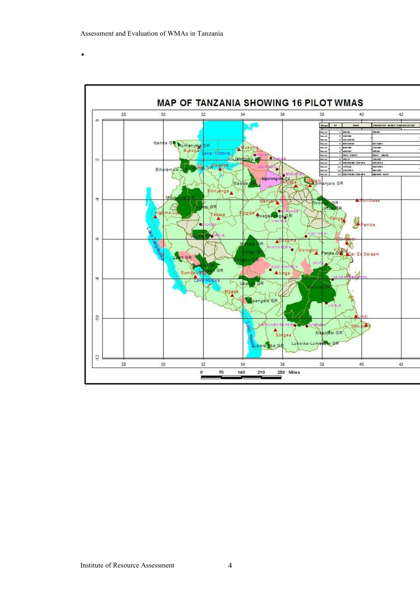•

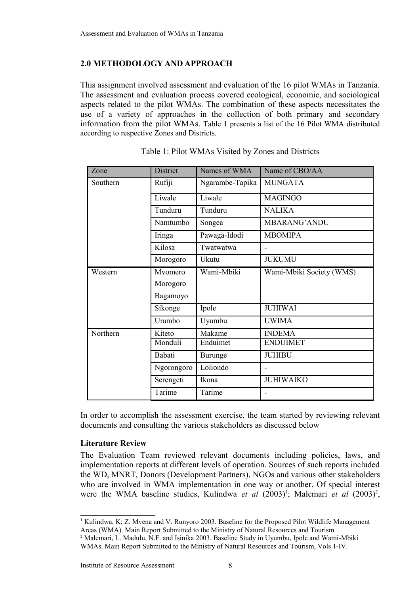## **2.0 METHODOLOGY AND APPROACH**

This assignment involved assessment and evaluation of the 16 pilot WMAs in Tanzania. The assessment and evaluation process covered ecological, economic, and sociological aspects related to the pilot WMAs. The combination of these aspects necessitates the use of a variety of approaches in the collection of both primary and secondary information from the pilot WMAs. Table 1 presents a list of the 16 Pilot WMA distributed according to respective Zones and Districts.

| Zone     | <b>District</b> | Names of WMA    | Name of CBO/AA           |
|----------|-----------------|-----------------|--------------------------|
| Southern | Rufiji          | Ngarambe-Tapika | <b>MUNGATA</b>           |
|          | Liwale          | Liwale          | <b>MAGINGO</b>           |
|          | Tunduru         | Tunduru         | <b>NALIKA</b>            |
|          | Namtumbo        | Songea          | <b>MBARANG' ANDU</b>     |
|          | Iringa          | Pawaga-Idodi    | <b>MBOMIPA</b>           |
|          | Kilosa          | Twatwatwa       | $\blacksquare$           |
|          | Morogoro        | Ukutu           | <b>JUKUMU</b>            |
| Western  | Mvomero         | Wami-Mbiki      | Wami-Mbiki Society (WMS) |
|          | Morogoro        |                 |                          |
|          | Bagamoyo        |                 |                          |
|          | Sikonge         | Ipole           | <b>JUHIWAI</b>           |
|          | Urambo          | Uyumbu          | <b>UWIMA</b>             |
| Northern | Kiteto          | Makame          | <b>INDEMA</b>            |
|          | Monduli         | Enduimet        | <b>ENDUIMET</b>          |
|          | Babati          | Burunge         | <b>JUHIBU</b>            |
|          | Ngorongoro      | Loliondo        |                          |
|          | Serengeti       | Ikona           | <b>JUHIWAIKO</b>         |
|          | Tarime          | Tarime          |                          |

|  | Table 1: Pilot WMAs Visited by Zones and Districts |  |  |  |
|--|----------------------------------------------------|--|--|--|
|--|----------------------------------------------------|--|--|--|

In order to accomplish the assessment exercise, the team started by reviewing relevant documents and consulting the various stakeholders as discussed below

### <span id="page-13-0"></span>**Literature Review**

The Evaluation Team reviewed relevant documents including policies, laws, and implementation reports at different levels of operation. Sources of such reports included the WD, MNRT, Donors (Development Partners), NGOs and various other stakeholders who are involved in WMA implementation in one way or another. Of special interest were the WMA baseline studies, Kulindwa *et al* (2003)<sup>[1](#page-13-1)</sup>; Malemari *et al* ([2](#page-13-2)003)<sup>2</sup>,

<span id="page-13-1"></span><sup>&</sup>lt;sup>1</sup> Kulindwa, K; Z. Mvena and V. Runyoro 2003. Baseline for the Proposed Pilot Wildlife Management Areas (WMA). Main Report Submitted to the Ministry of Natural Resources and Tourism

<span id="page-13-2"></span><sup>&</sup>lt;sup>2</sup> Malemari, L. Madulu, N.F. and Isinika 2003. Baseline Study in Uyumbu, Ipole and Wami-Mbiki WMAs. Main Report Submitted to the Ministry of Natural Resources and Tourism, Vols 1-IV.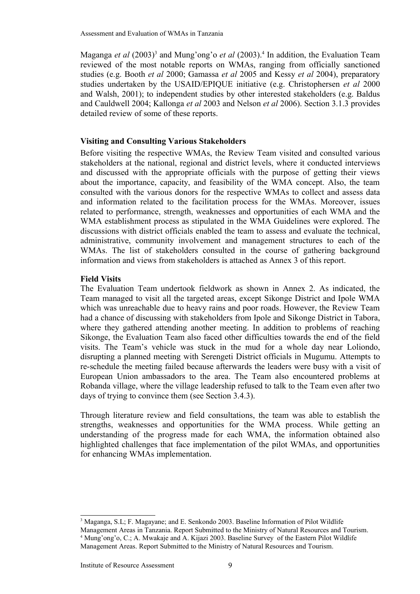Maganga *et al* (200[3](#page-14-2))<sup>3</sup> and Mung'ong'o *et al* (2003).<sup>[4](#page-14-3)</sup> In addition, the Evaluation Team reviewed of the most notable reports on WMAs, ranging from officially sanctioned studies (e.g. Booth *et al* 2000; Gamassa *et al* 2005 and Kessy *et al* 2004), preparatory studies undertaken by the USAID/EPIQUE initiative (e.g. Christophersen *et al* 2000 and Walsh, 2001); to independent studies by other interested stakeholders (e.g. Baldus and Cauldwell 2004; Kallonga *et al* 2003 and Nelson *et al* 2006). Section 3.1.3 provides detailed review of some of these reports.

#### <span id="page-14-1"></span>**Visiting and Consulting Various Stakeholders**

Before visiting the respective WMAs, the Review Team visited and consulted various stakeholders at the national, regional and district levels, where it conducted interviews and discussed with the appropriate officials with the purpose of getting their views about the importance, capacity, and feasibility of the WMA concept. Also, the team consulted with the various donors for the respective WMAs to collect and assess data and information related to the facilitation process for the WMAs. Moreover, issues related to performance, strength, weaknesses and opportunities of each WMA and the WMA establishment process as stipulated in the WMA Guidelines were explored. The discussions with district officials enabled the team to assess and evaluate the technical, administrative, community involvement and management structures to each of the WMAs. The list of stakeholders consulted in the course of gathering background information and views from stakeholders is attached as Annex 3 of this report.

#### <span id="page-14-0"></span>**Field Visits**

The Evaluation Team undertook fieldwork as shown in Annex 2. As indicated, the Team managed to visit all the targeted areas, except Sikonge District and Ipole WMA which was unreachable due to heavy rains and poor roads. However, the Review Team had a chance of discussing with stakeholders from Ipole and Sikonge District in Tabora, where they gathered attending another meeting. In addition to problems of reaching Sikonge, the Evaluation Team also faced other difficulties towards the end of the field visits. The Team's vehicle was stuck in the mud for a whole day near Loliondo, disrupting a planned meeting with Serengeti District officials in Mugumu. Attempts to re-schedule the meeting failed because afterwards the leaders were busy with a visit of European Union ambassadors to the area. The Team also encountered problems at Robanda village, where the village leadership refused to talk to the Team even after two days of trying to convince them (see Section 3.4.3).

Through literature review and field consultations, the team was able to establish the strengths, weaknesses and opportunities for the WMA process. While getting an understanding of the progress made for each WMA, the information obtained also highlighted challenges that face implementation of the pilot WMAs, and opportunities for enhancing WMAs implementation.

<span id="page-14-2"></span><sup>&</sup>lt;sup>3</sup> Maganga, S.L; F. Magayane; and E. Senkondo 2003. Baseline Information of Pilot Wildlife

<span id="page-14-3"></span>Management Areas in Tanzania. Report Submitted to the Ministry of Natural Resources and Tourism. <sup>4</sup> Mung'ong'o, C.; A. Mwakaje and A. Kijazi 2003. Baseline Survey of the Eastern Pilot Wildlife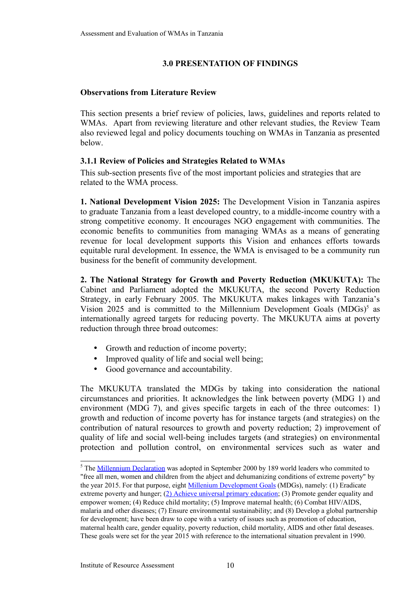#### **3.0 PRESENTATION OF FINDINGS**

#### <span id="page-15-0"></span>**Observations from Literature Review**

This section presents a brief review of policies, laws, guidelines and reports related to WMAs. Apart from reviewing literature and other relevant studies, the Review Team also reviewed legal and policy documents touching on WMAs in Tanzania as presented below.

#### **3.1.1 Review of Policies and Strategies Related to WMAs**

This sub-section presents five of the most important policies and strategies that are related to the WMA process.

**1. National Development Vision 2025:** The Development Vision in Tanzania aspires to graduate Tanzania from a least developed country, to a middle-income country with a strong competitive economy. It encourages NGO engagement with communities. The economic benefits to communities from managing WMAs as a means of generating revenue for local development supports this Vision and enhances efforts towards equitable rural development. In essence, the WMA is envisaged to be a community run business for the benefit of community development.

**2. The National Strategy for Growth and Poverty Reduction (MKUKUTA):** The Cabinet and Parliament adopted the MKUKUTA, the second Poverty Reduction Strategy, in early February 2005. The MKUKUTA makes linkages with Tanzania's Vision 202[5](#page-15-1) and is committed to the Millennium Development Goals  $(MDGs)$ <sup>5</sup> as internationally agreed targets for reducing poverty. The MKUKUTA aims at poverty reduction through three broad outcomes:

- Growth and reduction of income poverty;
- Improved quality of life and social well being;
- Good governance and accountability.

The MKUKUTA translated the MDGs by taking into consideration the national circumstances and priorities. It acknowledges the link between poverty (MDG 1) and environment (MDG 7), and gives specific targets in each of the three outcomes: 1) growth and reduction of income poverty has for instance targets (and strategies) on the contribution of natural resources to growth and poverty reduction; 2) improvement of quality of life and social well-being includes targets (and strategies) on environmental protection and pollution control, on environmental services such as water and

<span id="page-15-1"></span><sup>&</sup>lt;sup>5</sup> The **Millennium Declaration** was adopted in September 2000 by 189 world leaders who commited to "free all men, women and children from the abject and dehumanizing conditions of extreme poverty" by the year 2015. For that purpose, eight [Millenium Development Goals](http://www.un.org/millenniumgoals/) (MDGs), namely: (1) Eradicate extreme poverty and hunger; [\(2\) Achieve universal primary education;](http://www.choike.org/nuevo_eng/informes/2039.html) (3) Promote gender equality and empower women; (4) Reduce child mortality; (5) Improve maternal health; (6) Combat HIV/AIDS, malaria and other diseases; (7) Ensure environmental sustainability; and (8) Develop a global partnership for development; have been draw to cope with a variety of issues such as promotion of education, maternal health care, gender equality, poverty reduction, child mortality, AIDS and other fatal deseases. These goals were set for the year 2015 with reference to the international situation prevalent in 1990.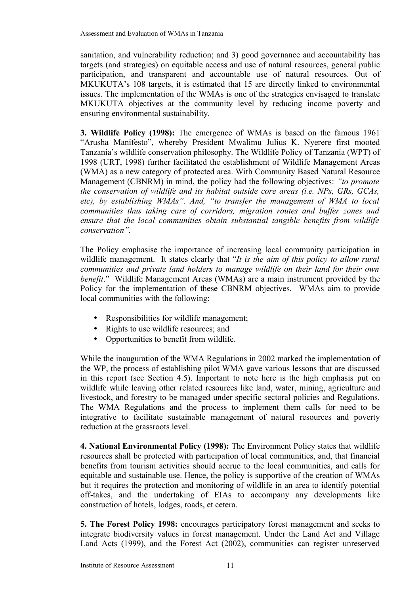sanitation, and vulnerability reduction; and 3) good governance and accountability has targets (and strategies) on equitable access and use of natural resources, general public participation, and transparent and accountable use of natural resources. Out of MKUKUTA's 108 targets, it is estimated that 15 are directly linked to environmental issues. The implementation of the WMAs is one of the strategies envisaged to translate MKUKUTA objectives at the community level by reducing income poverty and ensuring environmental sustainability.

**3. Wildlife Policy (1998):** The emergence of WMAs is based on the famous 1961 "Arusha Manifesto", whereby President Mwalimu Julius K. Nyerere first mooted Tanzania's wildlife conservation philosophy. The Wildlife Policy of Tanzania (WPT) of 1998 (URT, 1998) further facilitated the establishment of Wildlife Management Areas (WMA) as a new category of protected area. With Community Based Natural Resource Management (CBNRM) in mind, the policy had the following objectives: *"to promote the conservation of wildlife and its habitat outside core areas (i.e. NPs, GRs, GCAs, etc), by establishing WMAs". And, "to transfer the management of WMA to local communities thus taking care of corridors, migration routes and buffer zones and ensure that the local communities obtain substantial tangible benefits from wildlife conservation".* 

The Policy emphasise the importance of increasing local community participation in wildlife management. It states clearly that "*It is the aim of this policy to allow rural communities and private land holders to manage wildlife on their land for their own benefit*." Wildlife Management Areas (WMAs) are a main instrument provided by the Policy for the implementation of these CBNRM objectives. WMAs aim to provide local communities with the following:

- Responsibilities for wildlife management;
- Rights to use wildlife resources; and
- Opportunities to benefit from wildlife.

While the inauguration of the WMA Regulations in 2002 marked the implementation of the WP, the process of establishing pilot WMA gave various lessons that are discussed in this report (see Section 4.5). Important to note here is the high emphasis put on wildlife while leaving other related resources like land, water, mining, agriculture and livestock, and forestry to be managed under specific sectoral policies and Regulations. The WMA Regulations and the process to implement them calls for need to be integrative to facilitate sustainable management of natural resources and poverty reduction at the grassroots level.

**4. National Environmental Policy (1998):** The Environment Policy states that wildlife resources shall be protected with participation of local communities, and, that financial benefits from tourism activities should accrue to the local communities, and calls for equitable and sustainable use. Hence, the policy is supportive of the creation of WMAs but it requires the protection and monitoring of wildlife in an area to identify potential off-takes, and the undertaking of EIAs to accompany any developments like construction of hotels, lodges, roads, et cetera.

**5. The Forest Policy 1998:** encourages participatory forest management and seeks to integrate biodiversity values in forest management. Under the Land Act and Village Land Acts (1999), and the Forest Act (2002), communities can register unreserved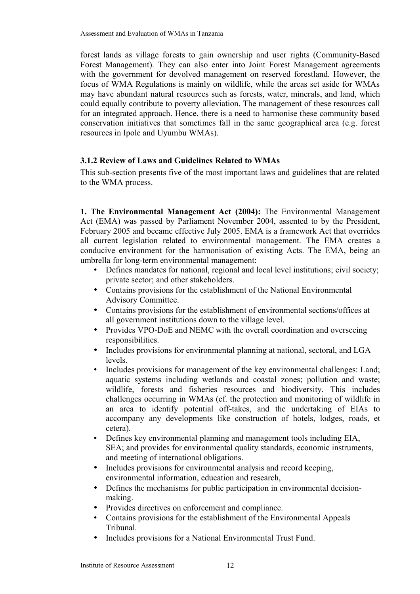Assessment and Evaluation of WMAs in Tanzania

forest lands as village forests to gain ownership and user rights (Community-Based Forest Management). They can also enter into Joint Forest Management agreements with the government for devolved management on reserved forestland. However, the focus of WMA Regulations is mainly on wildlife, while the areas set aside for WMAs may have abundant natural resources such as forests, water, minerals, and land, which could equally contribute to poverty alleviation. The management of these resources call for an integrated approach. Hence, there is a need to harmonise these community based conservation initiatives that sometimes fall in the same geographical area (e.g. forest resources in Ipole and Uyumbu WMAs).

### **3.1.2 Review of Laws and Guidelines Related to WMAs**

This sub-section presents five of the most important laws and guidelines that are related to the WMA process.

**1. The Environmental Management Act (2004):** The Environmental Management Act (EMA) was passed by Parliament November 2004, assented to by the President, February 2005 and became effective July 2005. EMA is a framework Act that overrides all current legislation related to environmental management. The EMA creates a conducive environment for the harmonisation of existing Acts. The EMA, being an umbrella for long-term environmental management:

- Defines mandates for national, regional and local level institutions; civil society; private sector; and other stakeholders.
- Contains provisions for the establishment of the National Environmental Advisory Committee.
- Contains provisions for the establishment of environmental sections/offices at all government institutions down to the village level.
- Provides VPO-DoE and NEMC with the overall coordination and overseeing responsibilities.
- Includes provisions for environmental planning at national, sectoral, and LGA levels.
- Includes provisions for management of the key environmental challenges: Land; aquatic systems including wetlands and coastal zones; pollution and waste; wildlife, forests and fisheries resources and biodiversity. This includes challenges occurring in WMAs (cf. the protection and monitoring of wildlife in an area to identify potential off-takes, and the undertaking of EIAs to accompany any developments like construction of hotels, lodges, roads, et cetera).
- Defines key environmental planning and management tools including EIA, SEA; and provides for environmental quality standards, economic instruments, and meeting of international obligations.
- Includes provisions for environmental analysis and record keeping, environmental information, education and research,
- Defines the mechanisms for public participation in environmental decisionmaking.
- Provides directives on enforcement and compliance.
- Contains provisions for the establishment of the Environmental Appeals Tribunal.
- Includes provisions for a National Environmental Trust Fund.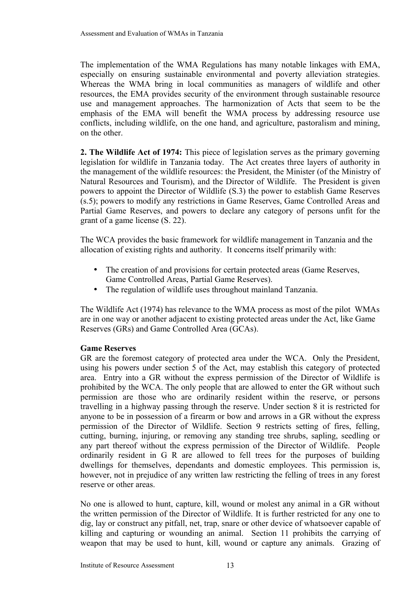The implementation of the WMA Regulations has many notable linkages with EMA, especially on ensuring sustainable environmental and poverty alleviation strategies. Whereas the WMA bring in local communities as managers of wildlife and other resources, the EMA provides security of the environment through sustainable resource use and management approaches. The harmonization of Acts that seem to be the emphasis of the EMA will benefit the WMA process by addressing resource use conflicts, including wildlife, on the one hand, and agriculture, pastoralism and mining, on the other.

**2. The Wildlife Act of 1974:** This piece of legislation serves as the primary governing legislation for wildlife in Tanzania today. The Act creates three layers of authority in the management of the wildlife resources: the President, the Minister (of the Ministry of Natural Resources and Tourism), and the Director of Wildlife. The President is given powers to appoint the Director of Wildlife (S.3) the power to establish Game Reserves (s.5); powers to modify any restrictions in Game Reserves, Game Controlled Areas and Partial Game Reserves, and powers to declare any category of persons unfit for the grant of a game license (S. 22).

The WCA provides the basic framework for wildlife management in Tanzania and the allocation of existing rights and authority. It concerns itself primarily with:

- The creation of and provisions for certain protected areas (Game Reserves, Game Controlled Areas, Partial Game Reserves).
- The regulation of wildlife uses throughout mainland Tanzania.

The Wildlife Act (1974) has relevance to the WMA process as most of the pilot WMAs are in one way or another adjacent to existing protected areas under the Act, like Game Reserves (GRs) and Game Controlled Area (GCAs).

### **Game Reserves**

GR are the foremost category of protected area under the WCA. Only the President, using his powers under section 5 of the Act, may establish this category of protected area. Entry into a GR without the express permission of the Director of Wildlife is prohibited by the WCA. The only people that are allowed to enter the GR without such permission are those who are ordinarily resident within the reserve, or persons travelling in a highway passing through the reserve. Under section 8 it is restricted for anyone to be in possession of a firearm or bow and arrows in a GR without the express permission of the Director of Wildlife. Section 9 restricts setting of fires, felling, cutting, burning, injuring, or removing any standing tree shrubs, sapling, seedling or any part thereof without the express permission of the Director of Wildlife. People ordinarily resident in G R are allowed to fell trees for the purposes of building dwellings for themselves, dependants and domestic employees. This permission is, however, not in prejudice of any written law restricting the felling of trees in any forest reserve or other areas.

No one is allowed to hunt, capture, kill, wound or molest any animal in a GR without the written permission of the Director of Wildlife. It is further restricted for any one to dig, lay or construct any pitfall, net, trap, snare or other device of whatsoever capable of killing and capturing or wounding an animal. Section 11 prohibits the carrying of weapon that may be used to hunt, kill, wound or capture any animals. Grazing of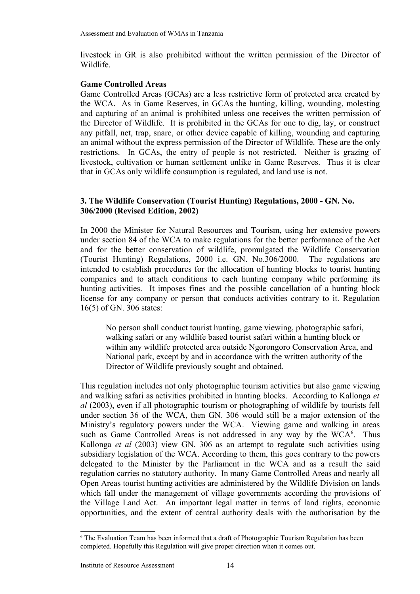livestock in GR is also prohibited without the written permission of the Director of Wildlife.

### **Game Controlled Areas**

Game Controlled Areas (GCAs) are a less restrictive form of protected area created by the WCA. As in Game Reserves, in GCAs the hunting, killing, wounding, molesting and capturing of an animal is prohibited unless one receives the written permission of the Director of Wildlife. It is prohibited in the GCAs for one to dig, lay, or construct any pitfall, net, trap, snare, or other device capable of killing, wounding and capturing an animal without the express permission of the Director of Wildlife. These are the only restrictions. In GCAs, the entry of people is not restricted. Neither is grazing of livestock, cultivation or human settlement unlike in Game Reserves. Thus it is clear that in GCAs only wildlife consumption is regulated, and land use is not.

## **3. The Wildlife Conservation (Tourist Hunting) Regulations, 2000 - GN. No. 306/2000 (Revised Edition, 2002)**

In 2000 the Minister for Natural Resources and Tourism, using her extensive powers under section 84 of the WCA to make regulations for the better performance of the Act and for the better conservation of wildlife, promulgated the Wildlife Conservation (Tourist Hunting) Regulations, 2000 i.e. GN. No.306/2000. The regulations are intended to establish procedures for the allocation of hunting blocks to tourist hunting companies and to attach conditions to each hunting company while performing its hunting activities. It imposes fines and the possible cancellation of a hunting block license for any company or person that conducts activities contrary to it. Regulation 16(5) of GN. 306 states:

No person shall conduct tourist hunting, game viewing, photographic safari, walking safari or any wildlife based tourist safari within a hunting block or within any wildlife protected area outside Ngorongoro Conservation Area, and National park, except by and in accordance with the written authority of the Director of Wildlife previously sought and obtained.

This regulation includes not only photographic tourism activities but also game viewing and walking safari as activities prohibited in hunting blocks. According to Kallonga *et al* (2003), even if all photographic tourism or photographing of wildlife by tourists fell under section 36 of the WCA, then GN. 306 would still be a major extension of the Ministry's regulatory powers under the WCA. Viewing game and walking in areas such as Game Controlled Areas is not addressed in any way by the WCA<sup>[6](#page-19-0)</sup>. Thus Kallonga *et al* (2003) view GN. 306 as an attempt to regulate such activities using subsidiary legislation of the WCA. According to them, this goes contrary to the powers delegated to the Minister by the Parliament in the WCA and as a result the said regulation carries no statutory authority. In many Game Controlled Areas and nearly all Open Areas tourist hunting activities are administered by the Wildlife Division on lands which fall under the management of village governments according the provisions of the Village Land Act. An important legal matter in terms of land rights, economic opportunities, and the extent of central authority deals with the authorisation by the

<span id="page-19-0"></span><sup>&</sup>lt;sup>6</sup> The Evaluation Team has been informed that a draft of Photographic Tourism Regulation has been completed. Hopefully this Regulation will give proper direction when it comes out.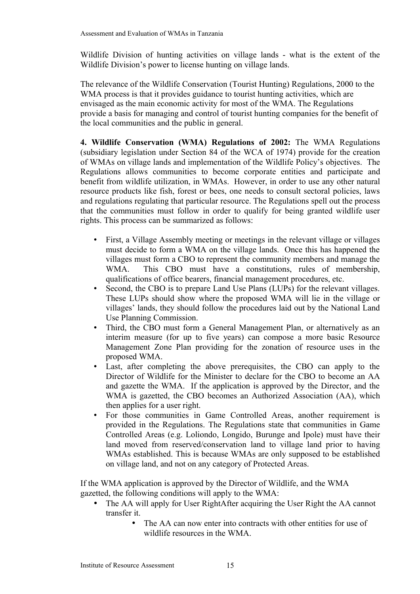Wildlife Division of hunting activities on village lands - what is the extent of the Wildlife Division's power to license hunting on village lands.

The relevance of the Wildlife Conservation (Tourist Hunting) Regulations, 2000 to the WMA process is that it provides guidance to tourist hunting activities, which are envisaged as the main economic activity for most of the WMA. The Regulations provide a basis for managing and control of tourist hunting companies for the benefit of the local communities and the public in general.

**4. Wildlife Conservation (WMA) Regulations of 2002:** The WMA Regulations (subsidiary legislation under Section 84 of the WCA of 1974) provide for the creation of WMAs on village lands and implementation of the Wildlife Policy's objectives. The Regulations allows communities to become corporate entities and participate and benefit from wildlife utilization, in WMAs. However, in order to use any other natural resource products like fish, forest or bees, one needs to consult sectoral policies, laws and regulations regulating that particular resource. The Regulations spell out the process that the communities must follow in order to qualify for being granted wildlife user rights. This process can be summarized as follows:

- First, a Village Assembly meeting or meetings in the relevant village or villages must decide to form a WMA on the village lands. Once this has happened the villages must form a CBO to represent the community members and manage the WMA. This CBO must have a constitutions, rules of membership, qualifications of office bearers, financial management procedures, etc.
- Second, the CBO is to prepare Land Use Plans (LUPs) for the relevant villages. These LUPs should show where the proposed WMA will lie in the village or villages' lands, they should follow the procedures laid out by the National Land Use Planning Commission.
- Third, the CBO must form a General Management Plan, or alternatively as an interim measure (for up to five years) can compose a more basic Resource Management Zone Plan providing for the zonation of resource uses in the proposed WMA.
- Last, after completing the above prerequisites, the CBO can apply to the Director of Wildlife for the Minister to declare for the CBO to become an AA and gazette the WMA. If the application is approved by the Director, and the WMA is gazetted, the CBO becomes an Authorized Association (AA), which then applies for a user right.
- For those communities in Game Controlled Areas, another requirement is provided in the Regulations. The Regulations state that communities in Game Controlled Areas (e.g. Loliondo, Longido, Burunge and Ipole) must have their land moved from reserved/conservation land to village land prior to having WMAs established. This is because WMAs are only supposed to be established on village land, and not on any category of Protected Areas.

If the WMA application is approved by the Director of Wildlife, and the WMA gazetted, the following conditions will apply to the WMA:

- The AA will apply for User RightAfter acquiring the User Right the AA cannot transfer it.
	- The AA can now enter into contracts with other entities for use of wildlife resources in the WMA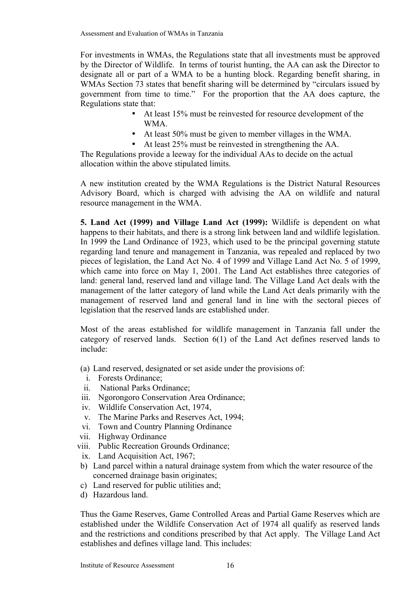For investments in WMAs, the Regulations state that all investments must be approved by the Director of Wildlife. In terms of tourist hunting, the AA can ask the Director to designate all or part of a WMA to be a hunting block. Regarding benefit sharing, in WMAs Section 73 states that benefit sharing will be determined by "circulars issued by government from time to time." For the proportion that the AA does capture, the Regulations state that:

- At least 15% must be reinvested for resource development of the WMA.
- At least 50% must be given to member villages in the WMA.
- At least 25% must be reinvested in strengthening the AA.

The Regulations provide a leeway for the individual AAs to decide on the actual allocation within the above stipulated limits.

A new institution created by the WMA Regulations is the District Natural Resources Advisory Board, which is charged with advising the AA on wildlife and natural resource management in the WMA.

**5. Land Act (1999) and Village Land Act (1999):** Wildlife is dependent on what happens to their habitats, and there is a strong link between land and wildlife legislation. In 1999 the Land Ordinance of 1923, which used to be the principal governing statute regarding land tenure and management in Tanzania, was repealed and replaced by two pieces of legislation, the Land Act No. 4 of 1999 and Village Land Act No. 5 of 1999, which came into force on May 1, 2001. The Land Act establishes three categories of land: general land, reserved land and village land. The Village Land Act deals with the management of the latter category of land while the Land Act deals primarily with the management of reserved land and general land in line with the sectoral pieces of legislation that the reserved lands are established under.

Most of the areas established for wildlife management in Tanzania fall under the category of reserved lands. Section 6(1) of the Land Act defines reserved lands to include:

- (a) Land reserved, designated or set aside under the provisions of:
- i. Forests Ordinance;
- ii. National Parks Ordinance;
- iii. Ngorongoro Conservation Area Ordinance;
- iv. Wildlife Conservation Act, 1974,
- v. The Marine Parks and Reserves Act, 1994;
- vi. Town and Country Planning Ordinance
- vii. Highway Ordinance
- viii. Public Recreation Grounds Ordinance;
- ix. Land Acquisition Act, 1967;
- b) Land parcel within a natural drainage system from which the water resource of the concerned drainage basin originates;
- c) Land reserved for public utilities and;
- d) Hazardous land.

Thus the Game Reserves, Game Controlled Areas and Partial Game Reserves which are established under the Wildlife Conservation Act of 1974 all qualify as reserved lands and the restrictions and conditions prescribed by that Act apply. The Village Land Act establishes and defines village land. This includes: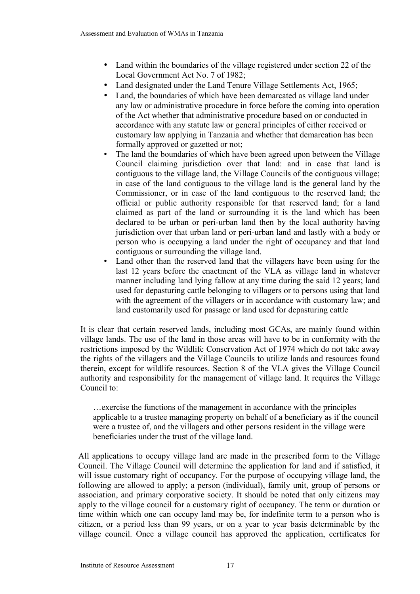- Land within the boundaries of the village registered under section 22 of the Local Government Act No. 7 of 1982;
- Land designated under the Land Tenure Village Settlements Act, 1965;
- Land, the boundaries of which have been demarcated as village land under any law or administrative procedure in force before the coming into operation of the Act whether that administrative procedure based on or conducted in accordance with any statute law or general principles of either received or customary law applying in Tanzania and whether that demarcation has been formally approved or gazetted or not;
- The land the boundaries of which have been agreed upon between the Village Council claiming jurisdiction over that land: and in case that land is contiguous to the village land, the Village Councils of the contiguous village; in case of the land contiguous to the village land is the general land by the Commissioner, or in case of the land contiguous to the reserved land; the official or public authority responsible for that reserved land; for a land claimed as part of the land or surrounding it is the land which has been declared to be urban or peri-urban land then by the local authority having jurisdiction over that urban land or peri-urban land and lastly with a body or person who is occupying a land under the right of occupancy and that land contiguous or surrounding the village land.
- Land other than the reserved land that the villagers have been using for the last 12 years before the enactment of the VLA as village land in whatever manner including land lying fallow at any time during the said 12 years; land used for depasturing cattle belonging to villagers or to persons using that land with the agreement of the villagers or in accordance with customary law; and land customarily used for passage or land used for depasturing cattle

It is clear that certain reserved lands, including most GCAs, are mainly found within village lands. The use of the land in those areas will have to be in conformity with the restrictions imposed by the Wildlife Conservation Act of 1974 which do not take away the rights of the villagers and the Village Councils to utilize lands and resources found therein, except for wildlife resources. Section 8 of the VLA gives the Village Council authority and responsibility for the management of village land. It requires the Village Council to:

…exercise the functions of the management in accordance with the principles applicable to a trustee managing property on behalf of a beneficiary as if the council were a trustee of, and the villagers and other persons resident in the village were beneficiaries under the trust of the village land.

All applications to occupy village land are made in the prescribed form to the Village Council. The Village Council will determine the application for land and if satisfied, it will issue customary right of occupancy. For the purpose of occupying village land, the following are allowed to apply; a person (individual), family unit, group of persons or association, and primary corporative society. It should be noted that only citizens may apply to the village council for a customary right of occupancy. The term or duration or time within which one can occupy land may be, for indefinite term to a person who is citizen, or a period less than 99 years, or on a year to year basis determinable by the village council. Once a village council has approved the application, certificates for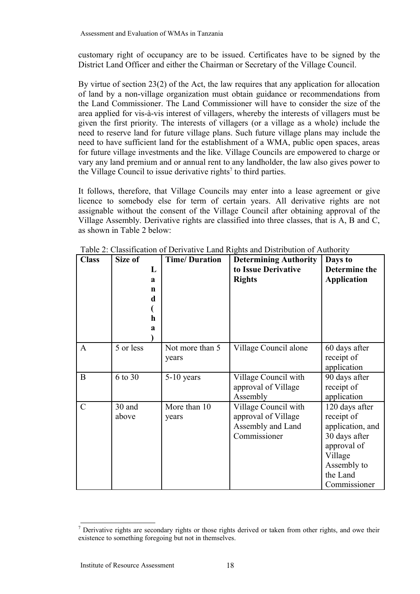customary right of occupancy are to be issued. Certificates have to be signed by the District Land Officer and either the Chairman or Secretary of the Village Council.

By virtue of section 23(2) of the Act, the law requires that any application for allocation of land by a non-village organization must obtain guidance or recommendations from the Land Commissioner. The Land Commissioner will have to consider the size of the area applied for vis-à-vis interest of villagers, whereby the interests of villagers must be given the first priority. The interests of villagers (or a village as a whole) include the need to reserve land for future village plans. Such future village plans may include the need to have sufficient land for the establishment of a WMA, public open spaces, areas for future village investments and the like. Village Councils are empowered to charge or vary any land premium and or annual rent to any landholder, the law also gives power to the Village Council to issue derivative rights<sup>[7](#page-23-0)</sup> to third parties.

It follows, therefore, that Village Councils may enter into a lease agreement or give licence to somebody else for term of certain years. All derivative rights are not assignable without the consent of the Village Council after obtaining approval of the Village Assembly. Derivative rights are classified into three classes, that is A, B and C, as shown in Table 2 below:

| <b>Class</b>  | Size of<br>L<br>$\mathbf{a}$<br>n<br>d<br>h<br>$\mathbf a$ | <b>Time/Duration</b>     | <b>Determining Authority</b><br>to Issue Derivative<br><b>Rights</b>             | Days to<br>Determine the<br><b>Application</b>                                                                                         |
|---------------|------------------------------------------------------------|--------------------------|----------------------------------------------------------------------------------|----------------------------------------------------------------------------------------------------------------------------------------|
| A             | 5 or less                                                  | Not more than 5<br>years | Village Council alone                                                            | 60 days after<br>receipt of<br>application                                                                                             |
| B             | 6 to 30                                                    | $5-10$ years             | Village Council with<br>approval of Village<br>Assembly                          | 90 days after<br>receipt of<br>application                                                                                             |
| $\mathcal{C}$ | 30 and<br>above                                            | More than 10<br>years    | Village Council with<br>approval of Village<br>Assembly and Land<br>Commissioner | 120 days after<br>receipt of<br>application, and<br>30 days after<br>approval of<br>Village<br>Assembly to<br>the Land<br>Commissioner |

Table 2: Classification of Derivative Land Rights and Distribution of Authority

<span id="page-23-0"></span> $<sup>7</sup>$  Derivative rights are secondary rights or those rights derived or taken from other rights, and owe their</sup> existence to something foregoing but not in themselves.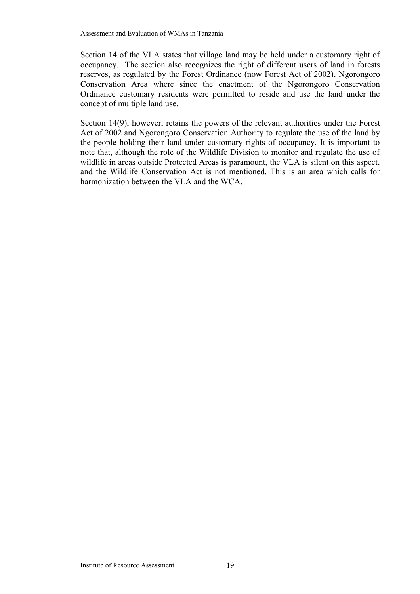Section 14 of the VLA states that village land may be held under a customary right of occupancy. The section also recognizes the right of different users of land in forests reserves, as regulated by the Forest Ordinance (now Forest Act of 2002), Ngorongoro Conservation Area where since the enactment of the Ngorongoro Conservation Ordinance customary residents were permitted to reside and use the land under the concept of multiple land use.

Section 14(9), however, retains the powers of the relevant authorities under the Forest Act of 2002 and Ngorongoro Conservation Authority to regulate the use of the land by the people holding their land under customary rights of occupancy. It is important to note that, although the role of the Wildlife Division to monitor and regulate the use of wildlife in areas outside Protected Areas is paramount, the VLA is silent on this aspect, and the Wildlife Conservation Act is not mentioned. This is an area which calls for harmonization between the VLA and the WCA.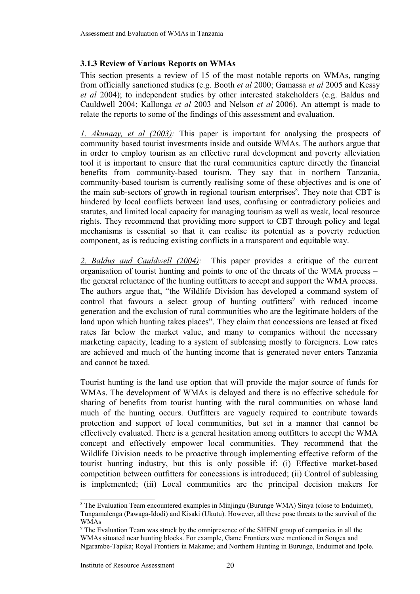## **3.1.3 Review of Various Reports on WMAs**

This section presents a review of 15 of the most notable reports on WMAs, ranging from officially sanctioned studies (e.g. Booth *et al* 2000; Gamassa *et al* 2005 and Kessy *et al* 2004); to independent studies by other interested stakeholders (e.g. Baldus and Cauldwell 2004; Kallonga *et al* 2003 and Nelson *et al* 2006). An attempt is made to relate the reports to some of the findings of this assessment and evaluation.

*1. Akunaay, et al (2003):* This paper is important for analysing the prospects of community based tourist investments inside and outside WMAs. The authors argue that in order to employ tourism as an effective rural development and poverty alleviation tool it is important to ensure that the rural communities capture directly the financial benefits from community-based tourism. They say that in northern Tanzania, community-based tourism is currently realising some of these objectives and is one of the main sub-sectors of growth in regional tourism enterprises<sup>[8](#page-25-0)</sup>. They note that CBT is hindered by local conflicts between land uses, confusing or contradictory policies and statutes, and limited local capacity for managing tourism as well as weak, local resource rights. They recommend that providing more support to CBT through policy and legal mechanisms is essential so that it can realise its potential as a poverty reduction component, as is reducing existing conflicts in a transparent and equitable way.

*2. Baldus and Cauldwell (2004):* This paper provides a critique of the current organisation of tourist hunting and points to one of the threats of the WMA process – the general reluctance of the hunting outfitters to accept and support the WMA process. The authors argue that, "the Wildlife Division has developed a command system of control that favours a select group of hunting outfitters<sup>[9](#page-25-1)</sup> with reduced income generation and the exclusion of rural communities who are the legitimate holders of the land upon which hunting takes places". They claim that concessions are leased at fixed rates far below the market value, and many to companies without the necessary marketing capacity, leading to a system of subleasing mostly to foreigners. Low rates are achieved and much of the hunting income that is generated never enters Tanzania and cannot be taxed.

Tourist hunting is the land use option that will provide the major source of funds for WMAs. The development of WMAs is delayed and there is no effective schedule for sharing of benefits from tourist hunting with the rural communities on whose land much of the hunting occurs. Outfitters are vaguely required to contribute towards protection and support of local communities, but set in a manner that cannot be effectively evaluated. There is a general hesitation among outfitters to accept the WMA concept and effectively empower local communities. They recommend that the Wildlife Division needs to be proactive through implementing effective reform of the tourist hunting industry, but this is only possible if: (i) Effective market-based competition between outfitters for concessions is introduced; (ii) Control of subleasing is implemented; (iii) Local communities are the principal decision makers for

<span id="page-25-0"></span><sup>&</sup>lt;sup>8</sup> The Evaluation Team encountered examples in Minjingu (Burunge WMA) Sinya (close to Enduimet), Tungamalenga (Pawaga-Idodi) and Kisaki (Ukutu). However, all these pose threats to the survival of the WMAs

<span id="page-25-1"></span><sup>9</sup> The Evaluation Team was struck by the omnipresence of the SHENI group of companies in all the WMAs situated near hunting blocks. For example, Game Frontiers were mentioned in Songea and Ngarambe-Tapika; Royal Frontiers in Makame; and Northern Hunting in Burunge, Enduimet and Ipole.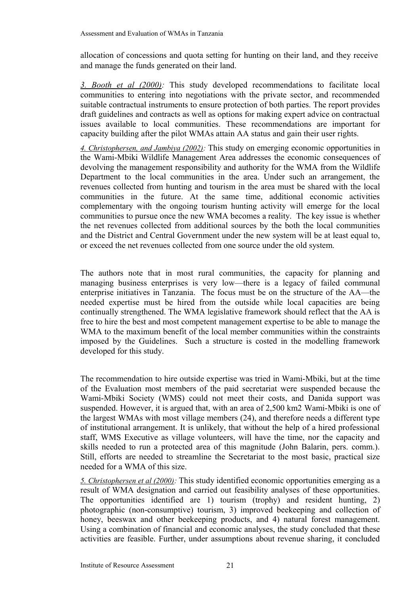allocation of concessions and quota setting for hunting on their land, and they receive and manage the funds generated on their land.

*3. Booth et al (2000):* This study developed recommendations to facilitate local communities to entering into negotiations with the private sector, and recommended suitable contractual instruments to ensure protection of both parties. The report provides draft guidelines and contracts as well as options for making expert advice on contractual issues available to local communities. These recommendations are important for capacity building after the pilot WMAs attain AA status and gain their user rights.

*4. Christophersen, and Jambiya (2002):* This study on emerging economic opportunities in the Wami-Mbiki Wildlife Management Area addresses the economic consequences of devolving the management responsibility and authority for the WMA from the Wildlife Department to the local communities in the area. Under such an arrangement, the revenues collected from hunting and tourism in the area must be shared with the local communities in the future. At the same time, additional economic activities complementary with the ongoing tourism hunting activity will emerge for the local communities to pursue once the new WMA becomes a reality. The key issue is whether the net revenues collected from additional sources by the both the local communities and the District and Central Government under the new system will be at least equal to, or exceed the net revenues collected from one source under the old system.

The authors note that in most rural communities, the capacity for planning and managing business enterprises is very low—there is a legacy of failed communal enterprise initiatives in Tanzania. The focus must be on the structure of the AA—the needed expertise must be hired from the outside while local capacities are being continually strengthened. The WMA legislative framework should reflect that the AA is free to hire the best and most competent management expertise to be able to manage the WMA to the maximum benefit of the local member communities within the constraints imposed by the Guidelines. Such a structure is costed in the modelling framework developed for this study.

The recommendation to hire outside expertise was tried in Wami-Mbiki, but at the time of the Evaluation most members of the paid secretariat were suspended because the Wami-Mbiki Society (WMS) could not meet their costs, and Danida support was suspended. However, it is argued that, with an area of 2,500 km2 Wami-Mbiki is one of the largest WMAs with most village members (24), and therefore needs a different type of institutional arrangement. It is unlikely, that without the help of a hired professional staff, WMS Executive as village volunteers, will have the time, nor the capacity and skills needed to run a protected area of this magnitude (John Balarin, pers. comm.). Still, efforts are needed to streamline the Secretariat to the most basic, practical size needed for a WMA of this size.

*5. Christophersen et al (2000):* This study identified economic opportunities emerging as a result of WMA designation and carried out feasibility analyses of these opportunities. The opportunities identified are 1) tourism (trophy) and resident hunting, 2) photographic (non-consumptive) tourism, 3) improved beekeeping and collection of honey, beeswax and other beekeeping products, and 4) natural forest management. Using a combination of financial and economic analyses, the study concluded that these activities are feasible. Further, under assumptions about revenue sharing, it concluded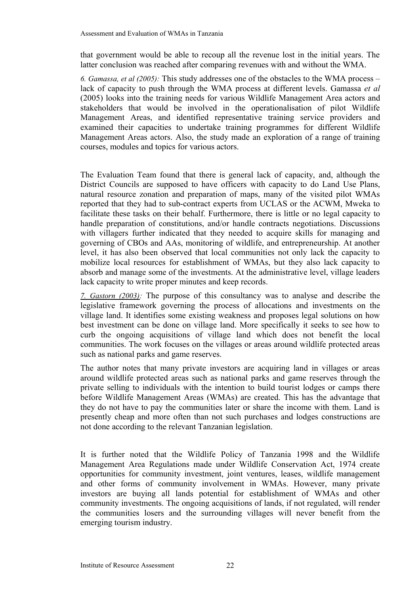that government would be able to recoup all the revenue lost in the initial years. The latter conclusion was reached after comparing revenues with and without the WMA.

*6. Gamassa, et al (2005):* This study addresses one of the obstacles to the WMA process – lack of capacity to push through the WMA process at different levels. Gamassa *et al* (2005) looks into the training needs for various Wildlife Management Area actors and stakeholders that would be involved in the operationalisation of pilot Wildlife Management Areas, and identified representative training service providers and examined their capacities to undertake training programmes for different Wildlife Management Areas actors. Also, the study made an exploration of a range of training courses, modules and topics for various actors.

The Evaluation Team found that there is general lack of capacity, and, although the District Councils are supposed to have officers with capacity to do Land Use Plans, natural resource zonation and preparation of maps, many of the visited pilot WMAs reported that they had to sub-contract experts from UCLAS or the ACWM, Mweka to facilitate these tasks on their behalf. Furthermore, there is little or no legal capacity to handle preparation of constitutions, and/or handle contracts negotiations. Discussions with villagers further indicated that they needed to acquire skills for managing and governing of CBOs and AAs, monitoring of wildlife, and entrepreneurship. At another level, it has also been observed that local communities not only lack the capacity to mobilize local resources for establishment of WMAs, but they also lack capacity to absorb and manage some of the investments. At the administrative level, village leaders lack capacity to write proper minutes and keep records.

*7. Gastorn (2003):* The purpose of this consultancy was to analyse and describe the legislative framework governing the process of allocations and investments on the village land. It identifies some existing weakness and proposes legal solutions on how best investment can be done on village land. More specifically it seeks to see how to curb the ongoing acquisitions of village land which does not benefit the local communities. The work focuses on the villages or areas around wildlife protected areas such as national parks and game reserves.

The author notes that many private investors are acquiring land in villages or areas around wildlife protected areas such as national parks and game reserves through the private selling to individuals with the intention to build tourist lodges or camps there before Wildlife Management Areas (WMAs) are created. This has the advantage that they do not have to pay the communities later or share the income with them. Land is presently cheap and more often than not such purchases and lodges constructions are not done according to the relevant Tanzanian legislation.

It is further noted that the Wildlife Policy of Tanzania 1998 and the Wildlife Management Area Regulations made under Wildlife Conservation Act, 1974 create opportunities for community investment, joint ventures, leases, wildlife management and other forms of community involvement in WMAs. However, many private investors are buying all lands potential for establishment of WMAs and other community investments. The ongoing acquisitions of lands, if not regulated, will render the communities losers and the surrounding villages will never benefit from the emerging tourism industry.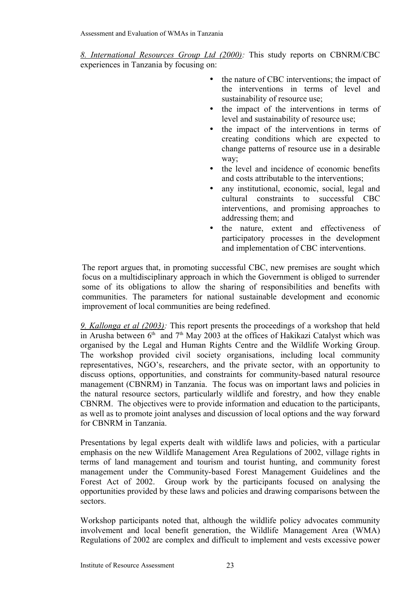*8. International Resources Group Ltd (2000):* This study reports on CBNRM/CBC experiences in Tanzania by focusing on:

- the nature of CBC interventions; the impact of the interventions in terms of level and sustainability of resource use;
- the impact of the interventions in terms of level and sustainability of resource use;
- the impact of the interventions in terms of creating conditions which are expected to change patterns of resource use in a desirable way;
- the level and incidence of economic benefits and costs attributable to the interventions;
- any institutional, economic, social, legal and cultural constraints to successful CBC interventions, and promising approaches to addressing them; and
- the nature, extent and effectiveness of participatory processes in the development and implementation of CBC interventions.

The report argues that, in promoting successful CBC, new premises are sought which focus on a multidisciplinary approach in which the Government is obliged to surrender some of its obligations to allow the sharing of responsibilities and benefits with communities. The parameters for national sustainable development and economic improvement of local communities are being redefined.

 *9. Kallonga et al (2003):* This report presents the proceedings of a workshop that held in Arusha between  $6<sup>th</sup>$  and  $7<sup>th</sup>$  May 2003 at the offices of Hakikazi Catalyst which was organised by the Legal and Human Rights Centre and the Wildlife Working Group. The workshop provided civil society organisations, including local community representatives, NGO's, researchers, and the private sector, with an opportunity to discuss options, opportunities, and constraints for community-based natural resource management (CBNRM) in Tanzania. The focus was on important laws and policies in the natural resource sectors, particularly wildlife and forestry, and how they enable CBNRM. The objectives were to provide information and education to the participants, as well as to promote joint analyses and discussion of local options and the way forward for CBNRM in Tanzania.

Presentations by legal experts dealt with wildlife laws and policies, with a particular emphasis on the new Wildlife Management Area Regulations of 2002, village rights in terms of land management and tourism and tourist hunting, and community forest management under the Community-based Forest Management Guidelines and the Forest Act of 2002. Group work by the participants focused on analysing the opportunities provided by these laws and policies and drawing comparisons between the sectors.

Workshop participants noted that, although the wildlife policy advocates community involvement and local benefit generation, the Wildlife Management Area (WMA) Regulations of 2002 are complex and difficult to implement and vests excessive power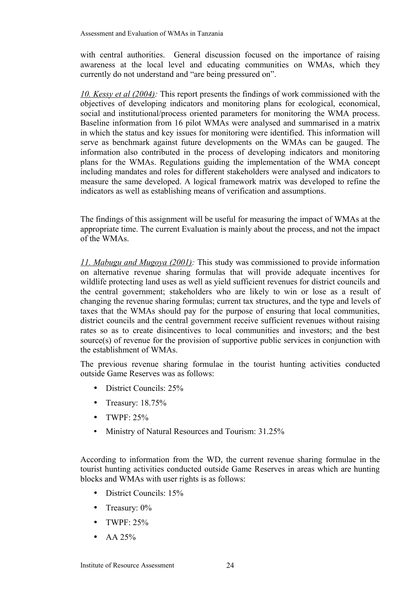with central authorities. General discussion focused on the importance of raising awareness at the local level and educating communities on WMAs, which they currently do not understand and "are being pressured on".

*10. Kessy et al (2004):* This report presents the findings of work commissioned with the objectives of developing indicators and monitoring plans for ecological, economical, social and institutional/process oriented parameters for monitoring the WMA process. Baseline information from 16 pilot WMAs were analysed and summarised in a matrix in which the status and key issues for monitoring were identified. This information will serve as benchmark against future developments on the WMAs can be gauged. The information also contributed in the process of developing indicators and monitoring plans for the WMAs. Regulations guiding the implementation of the WMA concept including mandates and roles for different stakeholders were analysed and indicators to measure the same developed. A logical framework matrix was developed to refine the indicators as well as establishing means of verification and assumptions.

The findings of this assignment will be useful for measuring the impact of WMAs at the appropriate time. The current Evaluation is mainly about the process, and not the impact of the WMAs.

*11. Mabugu and Mugoya (2001):* This study was commissioned to provide information on alternative revenue sharing formulas that will provide adequate incentives for wildlife protecting land uses as well as yield sufficient revenues for district councils and the central government; stakeholders who are likely to win or lose as a result of changing the revenue sharing formulas; current tax structures, and the type and levels of taxes that the WMAs should pay for the purpose of ensuring that local communities, district councils and the central government receive sufficient revenues without raising rates so as to create disincentives to local communities and investors; and the best source(s) of revenue for the provision of supportive public services in conjunction with the establishment of WMAs.

The previous revenue sharing formulae in the tourist hunting activities conducted outside Game Reserves was as follows:

- District Councils: 25%
- Treasury: 18.75%
- TWPF $\cdot$  25%
- Ministry of Natural Resources and Tourism: 31.25%

According to information from the WD, the current revenue sharing formulae in the tourist hunting activities conducted outside Game Reserves in areas which are hunting blocks and WMAs with user rights is as follows:

- District Councils: 15%
- Treasury:  $0\%$
- TWPF $\cdot$  25%
- $AA$  25%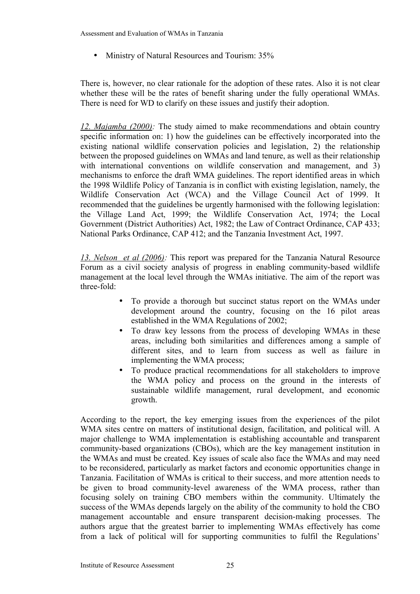• Ministry of Natural Resources and Tourism: 35%

There is, however, no clear rationale for the adoption of these rates. Also it is not clear whether these will be the rates of benefit sharing under the fully operational WMAs. There is need for WD to clarify on these issues and justify their adoption.

*12. Majamba (2000):* The study aimed to make recommendations and obtain country specific information on: 1) how the guidelines can be effectively incorporated into the existing national wildlife conservation policies and legislation, 2) the relationship between the proposed guidelines on WMAs and land tenure, as well as their relationship with international conventions on wildlife conservation and management, and 3) mechanisms to enforce the draft WMA guidelines. The report identified areas in which the 1998 Wildlife Policy of Tanzania is in conflict with existing legislation, namely, the Wildlife Conservation Act (WCA) and the Village Council Act of 1999. It recommended that the guidelines be urgently harmonised with the following legislation: the Village Land Act, 1999; the Wildlife Conservation Act, 1974; the Local Government (District Authorities) Act, 1982; the Law of Contract Ordinance, CAP 433; National Parks Ordinance, CAP 412; and the Tanzania Investment Act, 1997.

*13. Nelson et al (2006):* This report was prepared for the Tanzania Natural Resource Forum as a civil society analysis of progress in enabling community-based wildlife management at the local level through the WMAs initiative. The aim of the report was three-fold:

- To provide a thorough but succinct status report on the WMAs under development around the country, focusing on the 16 pilot areas established in the WMA Regulations of 2002;
- To draw key lessons from the process of developing WMAs in these areas, including both similarities and differences among a sample of different sites, and to learn from success as well as failure in implementing the WMA process;
- To produce practical recommendations for all stakeholders to improve the WMA policy and process on the ground in the interests of sustainable wildlife management, rural development, and economic growth.

According to the report, the key emerging issues from the experiences of the pilot WMA sites centre on matters of institutional design, facilitation, and political will. A major challenge to WMA implementation is establishing accountable and transparent community-based organizations (CBOs), which are the key management institution in the WMAs and must be created. Key issues of scale also face the WMAs and may need to be reconsidered, particularly as market factors and economic opportunities change in Tanzania. Facilitation of WMAs is critical to their success, and more attention needs to be given to broad community-level awareness of the WMA process, rather than focusing solely on training CBO members within the community. Ultimately the success of the WMAs depends largely on the ability of the community to hold the CBO management accountable and ensure transparent decision-making processes. The authors argue that the greatest barrier to implementing WMAs effectively has come from a lack of political will for supporting communities to fulfil the Regulations'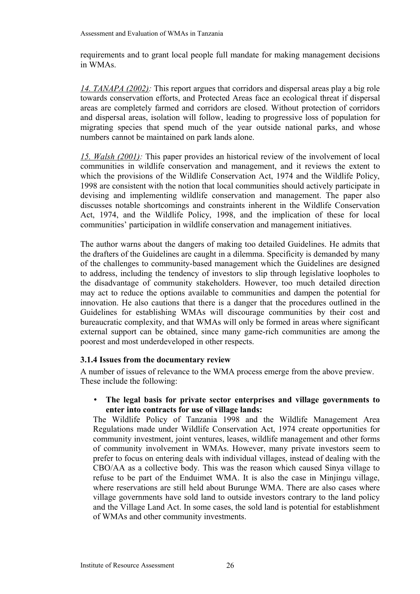requirements and to grant local people full mandate for making management decisions in WMAs.

*14. TANAPA (2002):* This report argues that corridors and dispersal areas play a big role towards conservation efforts, and Protected Areas face an ecological threat if dispersal areas are completely farmed and corridors are closed. Without protection of corridors and dispersal areas, isolation will follow, leading to progressive loss of population for migrating species that spend much of the year outside national parks, and whose numbers cannot be maintained on park lands alone.

*15. Walsh (2001):* This paper provides an historical review of the involvement of local communities in wildlife conservation and management, and it reviews the extent to which the provisions of the Wildlife Conservation Act, 1974 and the Wildlife Policy, 1998 are consistent with the notion that local communities should actively participate in devising and implementing wildlife conservation and management. The paper also discusses notable shortcomings and constraints inherent in the Wildlife Conservation Act, 1974, and the Wildlife Policy, 1998, and the implication of these for local communities' participation in wildlife conservation and management initiatives.

The author warns about the dangers of making too detailed Guidelines. He admits that the drafters of the Guidelines are caught in a dilemma. Specificity is demanded by many of the challenges to community-based management which the Guidelines are designed to address, including the tendency of investors to slip through legislative loopholes to the disadvantage of community stakeholders. However, too much detailed direction may act to reduce the options available to communities and dampen the potential for innovation. He also cautions that there is a danger that the procedures outlined in the Guidelines for establishing WMAs will discourage communities by their cost and bureaucratic complexity, and that WMAs will only be formed in areas where significant external support can be obtained, since many game-rich communities are among the poorest and most underdeveloped in other respects.

### **3.1.4 Issues from the documentary review**

A number of issues of relevance to the WMA process emerge from the above preview. These include the following:

### • **The legal basis for private sector enterprises and village governments to enter into contracts for use of village lands:**

The Wildlife Policy of Tanzania 1998 and the Wildlife Management Area Regulations made under Wildlife Conservation Act, 1974 create opportunities for community investment, joint ventures, leases, wildlife management and other forms of community involvement in WMAs. However, many private investors seem to prefer to focus on entering deals with individual villages, instead of dealing with the CBO/AA as a collective body. This was the reason which caused Sinya village to refuse to be part of the Enduimet WMA. It is also the case in Minjingu village, where reservations are still held about Burunge WMA. There are also cases where village governments have sold land to outside investors contrary to the land policy and the Village Land Act. In some cases, the sold land is potential for establishment of WMAs and other community investments.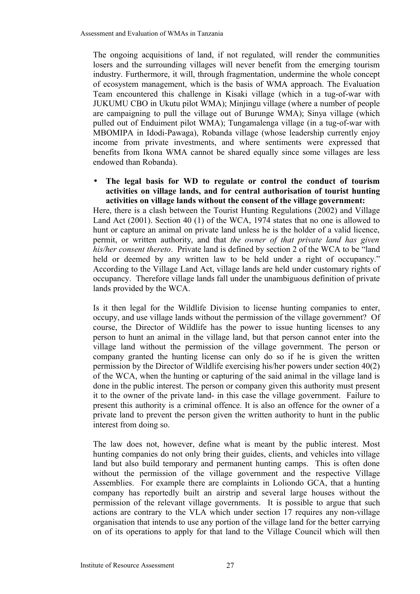The ongoing acquisitions of land, if not regulated, will render the communities losers and the surrounding villages will never benefit from the emerging tourism industry. Furthermore, it will, through fragmentation, undermine the whole concept of ecosystem management, which is the basis of WMA approach. The Evaluation Team encountered this challenge in Kisaki village (which in a tug-of-war with JUKUMU CBO in Ukutu pilot WMA); Minjingu village (where a number of people are campaigning to pull the village out of Burunge WMA); Sinya village (which pulled out of Enduiment pilot WMA); Tungamalenga village (in a tug-of-war with MBOMIPA in Idodi-Pawaga), Robanda village (whose leadership currently enjoy income from private investments, and where sentiments were expressed that benefits from Ikona WMA cannot be shared equally since some villages are less endowed than Robanda).

#### • **The legal basis for WD to regulate or control the conduct of tourism activities on village lands, and for central authorisation of tourist hunting activities on village lands without the consent of the village government:**

Here, there is a clash between the Tourist Hunting Regulations (2002) and Village Land Act (2001). Section 40 (1) of the WCA, 1974 states that no one is allowed to hunt or capture an animal on private land unless he is the holder of a valid licence, permit, or written authority, and that *the owner of that private land has given his/her consent thereto*. Private land is defined by section 2 of the WCA to be "land held or deemed by any written law to be held under a right of occupancy." According to the Village Land Act, village lands are held under customary rights of occupancy. Therefore village lands fall under the unambiguous definition of private lands provided by the WCA.

Is it then legal for the Wildlife Division to license hunting companies to enter, occupy, and use village lands without the permission of the village government? Of course, the Director of Wildlife has the power to issue hunting licenses to any person to hunt an animal in the village land, but that person cannot enter into the village land without the permission of the village government. The person or company granted the hunting license can only do so if he is given the written permission by the Director of Wildlife exercising his/her powers under section 40(2) of the WCA, when the hunting or capturing of the said animal in the village land is done in the public interest. The person or company given this authority must present it to the owner of the private land- in this case the village government. Failure to present this authority is a criminal offence. It is also an offence for the owner of a private land to prevent the person given the written authority to hunt in the public interest from doing so.

The law does not, however, define what is meant by the public interest. Most hunting companies do not only bring their guides, clients, and vehicles into village land but also build temporary and permanent hunting camps. This is often done without the permission of the village government and the respective Village Assemblies. For example there are complaints in Loliondo GCA, that a hunting company has reportedly built an airstrip and several large houses without the permission of the relevant village governments. It is possible to argue that such actions are contrary to the VLA which under section 17 requires any non-village organisation that intends to use any portion of the village land for the better carrying on of its operations to apply for that land to the Village Council which will then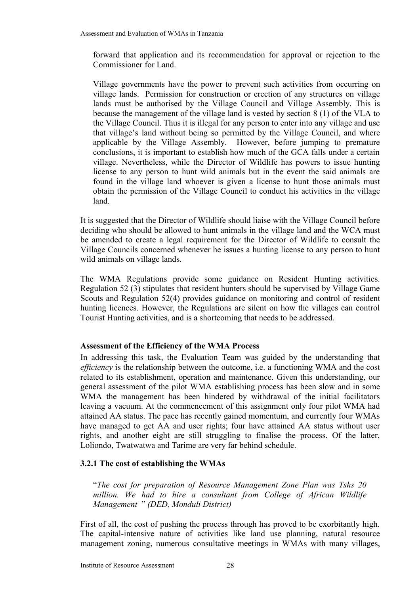forward that application and its recommendation for approval or rejection to the Commissioner for Land.

Village governments have the power to prevent such activities from occurring on village lands. Permission for construction or erection of any structures on village lands must be authorised by the Village Council and Village Assembly. This is because the management of the village land is vested by section 8 (1) of the VLA to the Village Council. Thus it is illegal for any person to enter into any village and use that village's land without being so permitted by the Village Council, and where applicable by the Village Assembly. However, before jumping to premature conclusions, it is important to establish how much of the GCA falls under a certain village. Nevertheless, while the Director of Wildlife has powers to issue hunting license to any person to hunt wild animals but in the event the said animals are found in the village land whoever is given a license to hunt those animals must obtain the permission of the Village Council to conduct his activities in the village land.

It is suggested that the Director of Wildlife should liaise with the Village Council before deciding who should be allowed to hunt animals in the village land and the WCA must be amended to create a legal requirement for the Director of Wildlife to consult the Village Councils concerned whenever he issues a hunting license to any person to hunt wild animals on village lands.

The WMA Regulations provide some guidance on Resident Hunting activities. Regulation 52 (3) stipulates that resident hunters should be supervised by Village Game Scouts and Regulation 52(4) provides guidance on monitoring and control of resident hunting licences. However, the Regulations are silent on how the villages can control Tourist Hunting activities, and is a shortcoming that needs to be addressed.

# <span id="page-33-0"></span>**Assessment of the Efficiency of the WMA Process**

In addressing this task, the Evaluation Team was guided by the understanding that *efficiency* is the relationship between the outcome, i.e. a functioning WMA and the cost related to its establishment, operation and maintenance. Given this understanding, our general assessment of the pilot WMA establishing process has been slow and in some WMA the management has been hindered by withdrawal of the initial facilitators leaving a vacuum. At the commencement of this assignment only four pilot WMA had attained AA status. The pace has recently gained momentum, and currently four WMAs have managed to get AA and user rights; four have attained AA status without user rights, and another eight are still struggling to finalise the process. Of the latter, Loliondo, Twatwatwa and Tarime are very far behind schedule.

# **3.2.1 The cost of establishing the WMAs**

"*The cost for preparation of Resource Management Zone Plan was Tshs 20 million. We had to hire a consultant from College of African Wildlife Management* " *(DED, Monduli District)*

First of all, the cost of pushing the process through has proved to be exorbitantly high. The capital-intensive nature of activities like land use planning, natural resource management zoning, numerous consultative meetings in WMAs with many villages,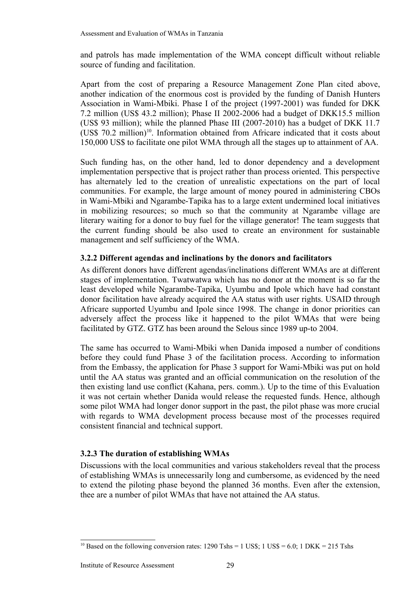and patrols has made implementation of the WMA concept difficult without reliable source of funding and facilitation.

Apart from the cost of preparing a Resource Management Zone Plan cited above, another indication of the enormous cost is provided by the funding of Danish Hunters Association in Wami-Mbiki. Phase I of the project (1997-2001) was funded for DKK 7.2 million (US\$ 43.2 million); Phase II 2002-2006 had a budget of DKK15.5 million (US\$ 93 million); while the planned Phase III (2007-2010) has a budget of DKK 11.7  $(US\$  70.2 million)<sup>[10](#page-34-0)</sup>. Information obtained from Africare indicated that it costs about 150,000 US\$ to facilitate one pilot WMA through all the stages up to attainment of AA.

Such funding has, on the other hand, led to donor dependency and a development implementation perspective that is project rather than process oriented. This perspective has alternately led to the creation of unrealistic expectations on the part of local communities. For example, the large amount of money poured in administering CBOs in Wami-Mbiki and Ngarambe-Tapika has to a large extent undermined local initiatives in mobilizing resources; so much so that the community at Ngarambe village are literary waiting for a donor to buy fuel for the village generator! The team suggests that the current funding should be also used to create an environment for sustainable management and self sufficiency of the WMA.

### **3.2.2 Different agendas and inclinations by the donors and facilitators**

As different donors have different agendas/inclinations different WMAs are at different stages of implementation. Twatwatwa which has no donor at the moment is so far the least developed while Ngarambe-Tapika, Uyumbu and Ipole which have had constant donor facilitation have already acquired the AA status with user rights. USAID through Africare supported Uyumbu and Ipole since 1998. The change in donor priorities can adversely affect the process like it happened to the pilot WMAs that were being facilitated by GTZ. GTZ has been around the Selous since 1989 up-to 2004.

The same has occurred to Wami-Mbiki when Danida imposed a number of conditions before they could fund Phase 3 of the facilitation process. According to information from the Embassy, the application for Phase 3 support for Wami-Mbiki was put on hold until the AA status was granted and an official communication on the resolution of the then existing land use conflict (Kahana, pers. comm.). Up to the time of this Evaluation it was not certain whether Danida would release the requested funds. Hence, although some pilot WMA had longer donor support in the past, the pilot phase was more crucial with regards to WMA development process because most of the processes required consistent financial and technical support.

# **3.2.3 The duration of establishing WMAs**

Discussions with the local communities and various stakeholders reveal that the process of establishing WMAs is unnecessarily long and cumbersome, as evidenced by the need to extend the piloting phase beyond the planned 36 months. Even after the extension, thee are a number of pilot WMAs that have not attained the AA status.

<span id="page-34-0"></span><sup>&</sup>lt;sup>10</sup> Based on the following conversion rates:  $1290$  Tshs = 1 US\$: 1 US\$ = 6.0; 1 DKK = 215 Tshs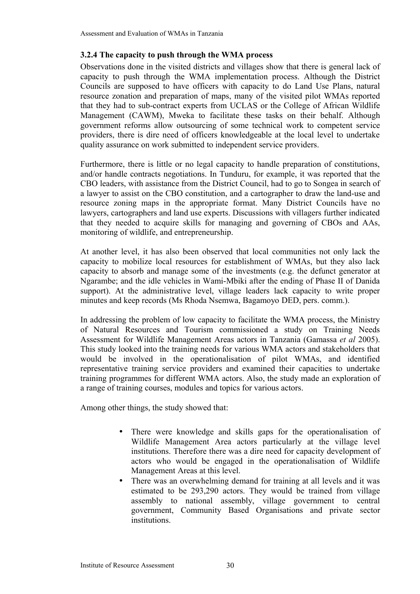## **3.2.4 The capacity to push through the WMA process**

Observations done in the visited districts and villages show that there is general lack of capacity to push through the WMA implementation process. Although the District Councils are supposed to have officers with capacity to do Land Use Plans, natural resource zonation and preparation of maps, many of the visited pilot WMAs reported that they had to sub-contract experts from UCLAS or the College of African Wildlife Management (CAWM), Mweka to facilitate these tasks on their behalf. Although government reforms allow outsourcing of some technical work to competent service providers, there is dire need of officers knowledgeable at the local level to undertake quality assurance on work submitted to independent service providers.

Furthermore, there is little or no legal capacity to handle preparation of constitutions, and/or handle contracts negotiations. In Tunduru, for example, it was reported that the CBO leaders, with assistance from the District Council, had to go to Songea in search of a lawyer to assist on the CBO constitution, and a cartographer to draw the land-use and resource zoning maps in the appropriate format. Many District Councils have no lawyers, cartographers and land use experts. Discussions with villagers further indicated that they needed to acquire skills for managing and governing of CBOs and AAs, monitoring of wildlife, and entrepreneurship.

At another level, it has also been observed that local communities not only lack the capacity to mobilize local resources for establishment of WMAs, but they also lack capacity to absorb and manage some of the investments (e.g. the defunct generator at Ngarambe; and the idle vehicles in Wami-Mbiki after the ending of Phase II of Danida support). At the administrative level, village leaders lack capacity to write proper minutes and keep records (Ms Rhoda Nsemwa, Bagamoyo DED, pers. comm.).

In addressing the problem of low capacity to facilitate the WMA process, the Ministry of Natural Resources and Tourism commissioned a study on Training Needs Assessment for Wildlife Management Areas actors in Tanzania (Gamassa *et al* 2005). This study looked into the training needs for various WMA actors and stakeholders that would be involved in the operationalisation of pilot WMAs, and identified representative training service providers and examined their capacities to undertake training programmes for different WMA actors. Also, the study made an exploration of a range of training courses, modules and topics for various actors.

Among other things, the study showed that:

- There were knowledge and skills gaps for the operationalisation of Wildlife Management Area actors particularly at the village level institutions. Therefore there was a dire need for capacity development of actors who would be engaged in the operationalisation of Wildlife Management Areas at this level.
- There was an overwhelming demand for training at all levels and it was estimated to be 293,290 actors. They would be trained from village assembly to national assembly, village government to central government, Community Based Organisations and private sector institutions.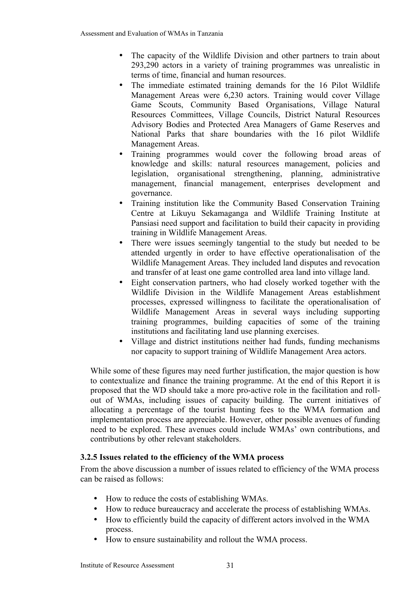- The capacity of the Wildlife Division and other partners to train about 293,290 actors in a variety of training programmes was unrealistic in terms of time, financial and human resources.
- The immediate estimated training demands for the 16 Pilot Wildlife Management Areas were 6,230 actors. Training would cover Village Game Scouts, Community Based Organisations, Village Natural Resources Committees, Village Councils, District Natural Resources Advisory Bodies and Protected Area Managers of Game Reserves and National Parks that share boundaries with the 16 pilot Wildlife Management Areas.
- Training programmes would cover the following broad areas of knowledge and skills: natural resources management, policies and legislation, organisational strengthening, planning, administrative management, financial management, enterprises development and governance.
- Training institution like the Community Based Conservation Training Centre at Likuyu Sekamaganga and Wildlife Training Institute at Pansiasi need support and facilitation to build their capacity in providing training in Wildlife Management Areas.
- There were issues seemingly tangential to the study but needed to be attended urgently in order to have effective operationalisation of the Wildlife Management Areas. They included land disputes and revocation and transfer of at least one game controlled area land into village land.
- Eight conservation partners, who had closely worked together with the Wildlife Division in the Wildlife Management Areas establishment processes, expressed willingness to facilitate the operationalisation of Wildlife Management Areas in several ways including supporting training programmes, building capacities of some of the training institutions and facilitating land use planning exercises.
- Village and district institutions neither had funds, funding mechanisms nor capacity to support training of Wildlife Management Area actors.

While some of these figures may need further justification, the major question is how to contextualize and finance the training programme. At the end of this Report it is proposed that the WD should take a more pro-active role in the facilitation and rollout of WMAs, including issues of capacity building. The current initiatives of allocating a percentage of the tourist hunting fees to the WMA formation and implementation process are appreciable. However, other possible avenues of funding need to be explored. These avenues could include WMAs' own contributions, and contributions by other relevant stakeholders.

# **3.2.5 Issues related to the efficiency of the WMA process**

From the above discussion a number of issues related to efficiency of the WMA process can be raised as follows:

- How to reduce the costs of establishing WMAs.
- How to reduce bureaucracy and accelerate the process of establishing WMAs.
- How to efficiently build the capacity of different actors involved in the WMA process.
- How to ensure sustainability and rollout the WMA process.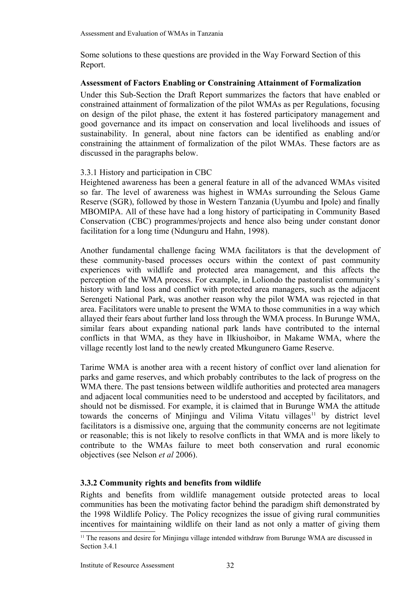Some solutions to these questions are provided in the Way Forward Section of this Report.

### **Assessment of Factors Enabling or Constraining Attainment of Formalization**

Under this Sub-Section the Draft Report summarizes the factors that have enabled or constrained attainment of formalization of the pilot WMAs as per Regulations, focusing on design of the pilot phase, the extent it has fostered participatory management and good governance and its impact on conservation and local livelihoods and issues of sustainability. In general, about nine factors can be identified as enabling and/or constraining the attainment of formalization of the pilot WMAs. These factors are as discussed in the paragraphs below.

# 3.3.1 History and participation in CBC

Heightened awareness has been a general feature in all of the advanced WMAs visited so far. The level of awareness was highest in WMAs surrounding the Selous Game Reserve (SGR), followed by those in Western Tanzania (Uyumbu and Ipole) and finally MBOMIPA. All of these have had a long history of participating in Community Based Conservation (CBC) programmes/projects and hence also being under constant donor facilitation for a long time (Ndunguru and Hahn, 1998).

Another fundamental challenge facing WMA facilitators is that the development of these community-based processes occurs within the context of past community experiences with wildlife and protected area management, and this affects the perception of the WMA process. For example, in Loliondo the pastoralist community's history with land loss and conflict with protected area managers, such as the adjacent Serengeti National Park, was another reason why the pilot WMA was rejected in that area. Facilitators were unable to present the WMA to those communities in a way which allayed their fears about further land loss through the WMA process. In Burunge WMA, similar fears about expanding national park lands have contributed to the internal conflicts in that WMA, as they have in Ilkiushoibor, in Makame WMA, where the village recently lost land to the newly created Mkungunero Game Reserve.

Tarime WMA is another area with a recent history of conflict over land alienation for parks and game reserves, and which probably contributes to the lack of progress on the WMA there. The past tensions between wildlife authorities and protected area managers and adjacent local communities need to be understood and accepted by facilitators, and should not be dismissed. For example, it is claimed that in Burunge WMA the attitude towards the concerns of Minjingu and Vilima Vitatu villages<sup>[11](#page-37-0)</sup> by district level facilitators is a dismissive one, arguing that the community concerns are not legitimate or reasonable; this is not likely to resolve conflicts in that WMA and is more likely to contribute to the WMAs failure to meet both conservation and rural economic objectives (see Nelson *et al* 2006).

# **3.3.2 Community rights and benefits from wildlife**

Rights and benefits from wildlife management outside protected areas to local communities has been the motivating factor behind the paradigm shift demonstrated by the 1998 Wildlife Policy. The Policy recognizes the issue of giving rural communities incentives for maintaining wildlife on their land as not only a matter of giving them

<span id="page-37-0"></span> $<sup>11</sup>$  The reasons and desire for Miniingu village intended withdraw from Burunge WMA are discussed in</sup> Section 3.4.1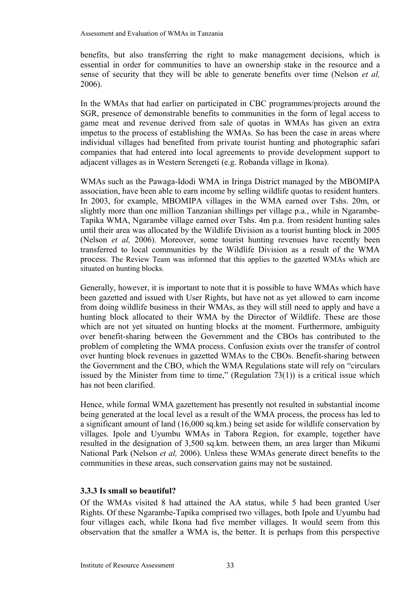benefits, but also transferring the right to make management decisions, which is essential in order for communities to have an ownership stake in the resource and a sense of security that they will be able to generate benefits over time (Nelson *et al,* 2006).

In the WMAs that had earlier on participated in CBC programmes/projects around the SGR, presence of demonstrable benefits to communities in the form of legal access to game meat and revenue derived from sale of quotas in WMAs has given an extra impetus to the process of establishing the WMAs. So has been the case in areas where individual villages had benefited from private tourist hunting and photographic safari companies that had entered into local agreements to provide development support to adjacent villages as in Western Serengeti (e.g. Robanda village in Ikona).

WMAs such as the Pawaga-Idodi WMA in Iringa District managed by the MBOMIPA association, have been able to earn income by selling wildlife quotas to resident hunters. In 2003, for example, MBOMIPA villages in the WMA earned over Tshs. 20m, or slightly more than one million Tanzanian shillings per village p.a., while in Ngarambe-Tapika WMA, Ngarambe village earned over Tshs. 4m p.a. from resident hunting sales until their area was allocated by the Wildlife Division as a tourist hunting block in 2005 (Nelson *et al,* 2006). Moreover, some tourist hunting revenues have recently been transferred to local communities by the Wildlife Division as a result of the WMA process. The Review Team was informed that this applies to the gazetted WMAs which are situated on hunting blocks.

Generally, however, it is important to note that it is possible to have WMAs which have been gazetted and issued with User Rights, but have not as yet allowed to earn income from doing wildlife business in their WMAs, as they will still need to apply and have a hunting block allocated to their WMA by the Director of Wildlife. These are those which are not yet situated on hunting blocks at the moment. Furthermore, ambiguity over benefit-sharing between the Government and the CBOs has contributed to the problem of completing the WMA process. Confusion exists over the transfer of control over hunting block revenues in gazetted WMAs to the CBOs. Benefit-sharing between the Government and the CBO, which the WMA Regulations state will rely on "circulars issued by the Minister from time to time," (Regulation  $73(1)$ ) is a critical issue which has not been clarified.

Hence, while formal WMA gazettement has presently not resulted in substantial income being generated at the local level as a result of the WMA process, the process has led to a significant amount of land (16,000 sq.km.) being set aside for wildlife conservation by villages. Ipole and Uyumbu WMAs in Tabora Region, for example, together have resulted in the designation of 3,500 sq.km. between them, an area larger than Mikumi National Park (Nelson *et al,* 2006). Unless these WMAs generate direct benefits to the communities in these areas, such conservation gains may not be sustained.

# **3.3.3 Is small so beautiful?**

Of the WMAs visited 8 had attained the AA status, while 5 had been granted User Rights. Of these Ngarambe-Tapika comprised two villages, both Ipole and Uyumbu had four villages each, while Ikona had five member villages. It would seem from this observation that the smaller a WMA is, the better. It is perhaps from this perspective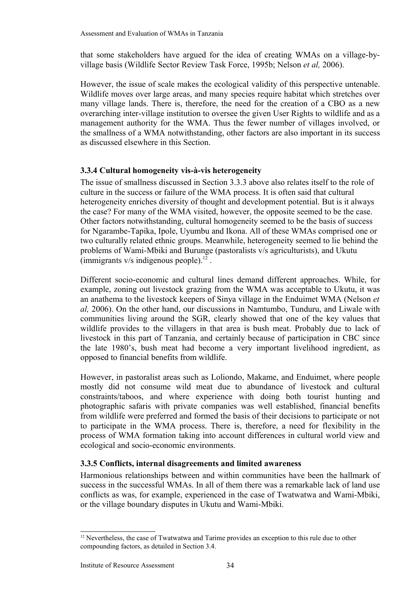that some stakeholders have argued for the idea of creating WMAs on a village-byvillage basis (Wildlife Sector Review Task Force, 1995b; Nelson *et al,* 2006).

However, the issue of scale makes the ecological validity of this perspective untenable. Wildlife moves over large areas, and many species require habitat which stretches over many village lands. There is, therefore, the need for the creation of a CBO as a new overarching inter-village institution to oversee the given User Rights to wildlife and as a management authority for the WMA. Thus the fewer number of villages involved, or the smallness of a WMA notwithstanding, other factors are also important in its success as discussed elsewhere in this Section.

# **3.3.4 Cultural homogeneity vis-à-vis heterogeneity**

The issue of smallness discussed in Section 3.3.3 above also relates itself to the role of culture in the success or failure of the WMA process. It is often said that cultural heterogeneity enriches diversity of thought and development potential. But is it always the case? For many of the WMA visited, however, the opposite seemed to be the case. Other factors notwithstanding, cultural homogeneity seemed to be the basis of success for Ngarambe-Tapika, Ipole, Uyumbu and Ikona. All of these WMAs comprised one or two culturally related ethnic groups. Meanwhile, heterogeneity seemed to lie behind the problems of Wami-Mbiki and Burunge (pastoralists v/s agriculturists), and Ukutu (immigrants  $v/s$  indigenous people).<sup>[12](#page-39-0)</sup>.

Different socio-economic and cultural lines demand different approaches. While, for example, zoning out livestock grazing from the WMA was acceptable to Ukutu, it was an anathema to the livestock keepers of Sinya village in the Enduimet WMA (Nelson *et al,* 2006). On the other hand, our discussions in Namtumbo, Tunduru, and Liwale with communities living around the SGR, clearly showed that one of the key values that wildlife provides to the villagers in that area is bush meat. Probably due to lack of livestock in this part of Tanzania, and certainly because of participation in CBC since the late 1980's, bush meat had become a very important livelihood ingredient, as opposed to financial benefits from wildlife.

However, in pastoralist areas such as Loliondo, Makame, and Enduimet, where people mostly did not consume wild meat due to abundance of livestock and cultural constraints/taboos, and where experience with doing both tourist hunting and photographic safaris with private companies was well established, financial benefits from wildlife were preferred and formed the basis of their decisions to participate or not to participate in the WMA process. There is, therefore, a need for flexibility in the process of WMA formation taking into account differences in cultural world view and ecological and socio-economic environments.

# **3.3.5 Conflicts, internal disagreements and limited awareness**

Harmonious relationships between and within communities have been the hallmark of success in the successful WMAs. In all of them there was a remarkable lack of land use conflicts as was, for example, experienced in the case of Twatwatwa and Wami-Mbiki, or the village boundary disputes in Ukutu and Wami-Mbiki.

<span id="page-39-0"></span> $12$  Nevertheless, the case of Twatwatwa and Tarime provides an exception to this rule due to other compounding factors, as detailed in Section 3.4.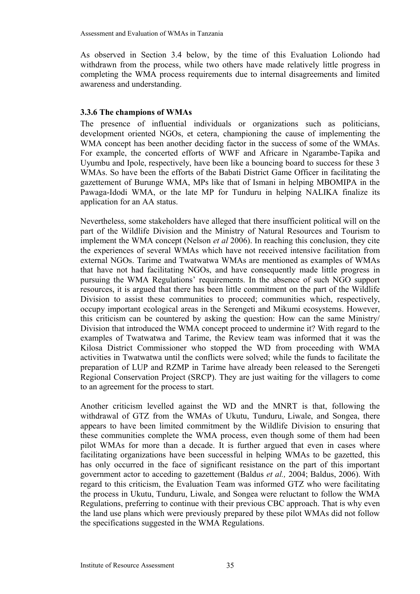As observed in Section 3.4 below, by the time of this Evaluation Loliondo had withdrawn from the process, while two others have made relatively little progress in completing the WMA process requirements due to internal disagreements and limited awareness and understanding.

# **3.3.6 The champions of WMAs**

The presence of influential individuals or organizations such as politicians, development oriented NGOs, et cetera, championing the cause of implementing the WMA concept has been another deciding factor in the success of some of the WMAs. For example, the concerted efforts of WWF and Africare in Ngarambe-Tapika and Uyumbu and Ipole, respectively, have been like a bouncing board to success for these 3 WMAs. So have been the efforts of the Babati District Game Officer in facilitating the gazettement of Burunge WMA, MPs like that of Ismani in helping MBOMIPA in the Pawaga-Idodi WMA, or the late MP for Tunduru in helping NALIKA finalize its application for an AA status.

Nevertheless, some stakeholders have alleged that there insufficient political will on the part of the Wildlife Division and the Ministry of Natural Resources and Tourism to implement the WMA concept (Nelson *et al* 2006). In reaching this conclusion, they cite the experiences of several WMAs which have not received intensive facilitation from external NGOs. Tarime and Twatwatwa WMAs are mentioned as examples of WMAs that have not had facilitating NGOs, and have consequently made little progress in pursuing the WMA Regulations' requirements. In the absence of such NGO support resources, it is argued that there has been little commitment on the part of the Wildlife Division to assist these communities to proceed; communities which, respectively, occupy important ecological areas in the Serengeti and Mikumi ecosystems. However, this criticism can be countered by asking the question: How can the same Ministry/ Division that introduced the WMA concept proceed to undermine it? With regard to the examples of Twatwatwa and Tarime, the Review team was informed that it was the Kilosa District Commissioner who stopped the WD from proceeding with WMA activities in Twatwatwa until the conflicts were solved; while the funds to facilitate the preparation of LUP and RZMP in Tarime have already been released to the Serengeti Regional Conservation Project (SRCP). They are just waiting for the villagers to come to an agreement for the process to start.

Another criticism levelled against the WD and the MNRT is that, following the withdrawal of GTZ from the WMAs of Ukutu, Tunduru, Liwale, and Songea, there appears to have been limited commitment by the Wildlife Division to ensuring that these communities complete the WMA process, even though some of them had been pilot WMAs for more than a decade. It is further argued that even in cases where facilitating organizations have been successful in helping WMAs to be gazetted, this has only occurred in the face of significant resistance on the part of this important government actor to acceding to gazettement (Baldus *et al.,* 2004; Baldus, 2006). With regard to this criticism, the Evaluation Team was informed GTZ who were facilitating the process in Ukutu, Tunduru, Liwale, and Songea were reluctant to follow the WMA Regulations, preferring to continue with their previous CBC approach. That is why even the land use plans which were previously prepared by these pilot WMAs did not follow the specifications suggested in the WMA Regulations.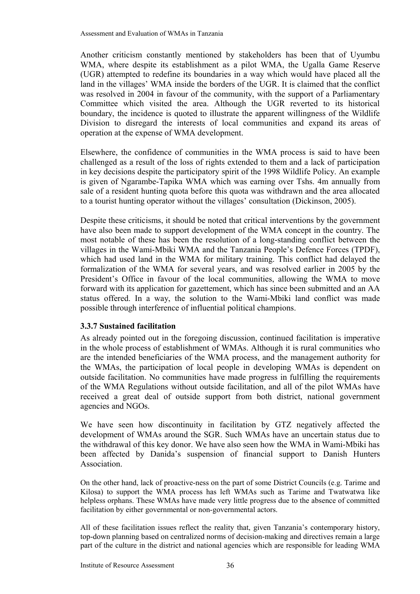Another criticism constantly mentioned by stakeholders has been that of Uyumbu WMA, where despite its establishment as a pilot WMA, the Ugalla Game Reserve (UGR) attempted to redefine its boundaries in a way which would have placed all the land in the villages' WMA inside the borders of the UGR. It is claimed that the conflict was resolved in 2004 in favour of the community, with the support of a Parliamentary Committee which visited the area. Although the UGR reverted to its historical boundary, the incidence is quoted to illustrate the apparent willingness of the Wildlife Division to disregard the interests of local communities and expand its areas of operation at the expense of WMA development.

Elsewhere, the confidence of communities in the WMA process is said to have been challenged as a result of the loss of rights extended to them and a lack of participation in key decisions despite the participatory spirit of the 1998 Wildlife Policy. An example is given of Ngarambe-Tapika WMA which was earning over Tshs. 4m annually from sale of a resident hunting quota before this quota was withdrawn and the area allocated to a tourist hunting operator without the villages' consultation (Dickinson, 2005).

Despite these criticisms, it should be noted that critical interventions by the government have also been made to support development of the WMA concept in the country. The most notable of these has been the resolution of a long-standing conflict between the villages in the Wami-Mbiki WMA and the Tanzania People's Defence Forces (TPDF), which had used land in the WMA for military training. This conflict had delayed the formalization of the WMA for several years, and was resolved earlier in 2005 by the President's Office in favour of the local communities, allowing the WMA to move forward with its application for gazettement, which has since been submitted and an AA status offered. In a way, the solution to the Wami-Mbiki land conflict was made possible through interference of influential political champions.

# **3.3.7 Sustained facilitation**

As already pointed out in the foregoing discussion, continued facilitation is imperative in the whole process of establishment of WMAs. Although it is rural communities who are the intended beneficiaries of the WMA process, and the management authority for the WMAs, the participation of local people in developing WMAs is dependent on outside facilitation. No communities have made progress in fulfilling the requirements of the WMA Regulations without outside facilitation, and all of the pilot WMAs have received a great deal of outside support from both district, national government agencies and NGOs.

We have seen how discontinuity in facilitation by GTZ negatively affected the development of WMAs around the SGR. Such WMAs have an uncertain status due to the withdrawal of this key donor. We have also seen how the WMA in Wami-Mbiki has been affected by Danida's suspension of financial support to Danish Hunters Association.

On the other hand, lack of proactive-ness on the part of some District Councils (e.g. Tarime and Kilosa) to support the WMA process has left WMAs such as Tarime and Twatwatwa like helpless orphans. These WMAs have made very little progress due to the absence of committed facilitation by either governmental or non-governmental actors.

All of these facilitation issues reflect the reality that, given Tanzania's contemporary history, top-down planning based on centralized norms of decision-making and directives remain a large part of the culture in the district and national agencies which are responsible for leading WMA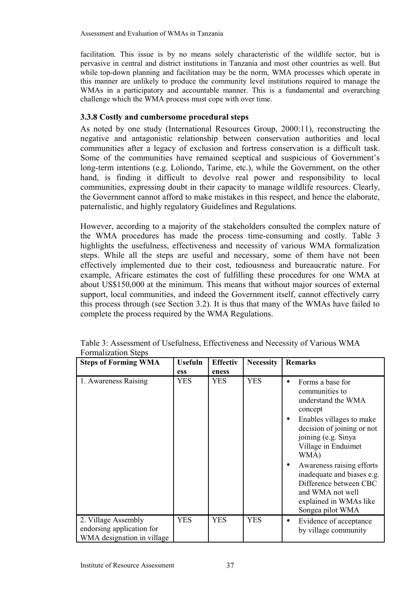facilitation. This issue is by no means solely characteristic of the wildlife sector, but is pervasive in central and district institutions in Tanzania and most other countries as well. But while top-down planning and facilitation may be the norm, WMA processes which operate in this manner are unlikely to produce the community level institutions required to manage the WMAs in a participatory and accountable manner. This is a fundamental and overarching challenge which the WMA process must cope with over time.

# **3.3.8 Costly and cumbersome procedural steps**

As noted by one study (International Resources Group, 2000:11), reconstructing the negative and antagonistic relationship between conservation authorities and local communities after a legacy of exclusion and fortress conservation is a difficult task. Some of the communities have remained sceptical and suspicious of Government's long-term intentions (e.g. Loliondo, Tarime, etc.), while the Government, on the other hand, is finding it difficult to devolve real power and responsibility to local communities, expressing doubt in their capacity to manage wildlife resources. Clearly, the Government cannot afford to make mistakes in this respect, and hence the elaborate, paternalistic, and highly regulatory Guidelines and Regulations.

However, according to a majority of the stakeholders consulted the complex nature of the WMA procedures has made the process time-consuming and costly. Table 3 highlights the usefulness, effectiveness and necessity of various WMA formalization steps. While all the steps are useful and necessary, some of them have not been effectively implemented due to their cost, tediousness and bureaucratic nature. For example, Africare estimates the cost of fulfilling these procedures for one WMA at about US\$150,000 at the minimum. This means that without major sources of external support, local communities, and indeed the Government itself, cannot effectively carry this process through (see Section 3.2). It is thus that many of the WMAs have failed to complete the process required by the WMA Regulations.

| <b>Steps of Forming WMA</b>                                                    | <b>Usefuln</b> | <b>Effectiv</b> | <b>Necessity</b> | <b>Remarks</b>                                                                                                                                                                                                |
|--------------------------------------------------------------------------------|----------------|-----------------|------------------|---------------------------------------------------------------------------------------------------------------------------------------------------------------------------------------------------------------|
|                                                                                | ess            | eness           |                  |                                                                                                                                                                                                               |
| 1. Awareness Raising                                                           | <b>YES</b>     | <b>YES</b>      | <b>YES</b>       | Forms a base for<br>$\bullet$<br>communities to<br>understand the WMA<br>concept<br>Enables villages to make<br>$\bullet$<br>decision of joining or not<br>joining (e.g. Sinya<br>Village in Enduimet<br>WMA) |
|                                                                                |                |                 |                  | Awareness raising efforts<br>inadequate and biases e.g.<br>Difference between CBC<br>and WMA not well<br>explained in WMAs like<br>Songea pilot WMA                                                           |
| 2. Village Assembly<br>endorsing application for<br>WMA designation in village | <b>YES</b>     | <b>YES</b>      | <b>YES</b>       | Evidence of acceptance<br>$\bullet$<br>by village community                                                                                                                                                   |

Table 3: Assessment of Usefulness, Effectiveness and Necessity of Various WMA Formalization Steps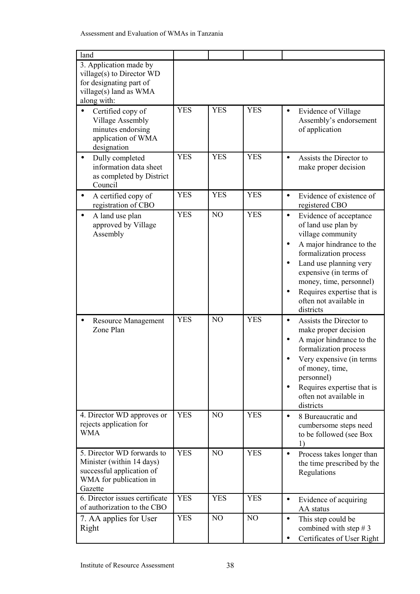| land                                                                                                                      |                          |                                  |                          |                                                                                                                                                                                                                                                                                                                                                                                                                                                                                                                                                                                |
|---------------------------------------------------------------------------------------------------------------------------|--------------------------|----------------------------------|--------------------------|--------------------------------------------------------------------------------------------------------------------------------------------------------------------------------------------------------------------------------------------------------------------------------------------------------------------------------------------------------------------------------------------------------------------------------------------------------------------------------------------------------------------------------------------------------------------------------|
| 3. Application made by<br>village(s) to Director WD<br>for designating part of<br>village(s) land as WMA<br>along with:   |                          |                                  |                          |                                                                                                                                                                                                                                                                                                                                                                                                                                                                                                                                                                                |
| Certified copy of<br>Village Assembly<br>minutes endorsing<br>application of WMA<br>designation                           | <b>YES</b>               | <b>YES</b>                       | <b>YES</b>               | Evidence of Village<br>$\bullet$<br>Assembly's endorsement<br>of application                                                                                                                                                                                                                                                                                                                                                                                                                                                                                                   |
| Dully completed<br>$\bullet$<br>information data sheet<br>as completed by District<br>Council                             | <b>YES</b>               | <b>YES</b>                       | <b>YES</b>               | Assists the Director to<br>$\bullet$<br>make proper decision                                                                                                                                                                                                                                                                                                                                                                                                                                                                                                                   |
| A certified copy of<br>registration of CBO                                                                                | <b>YES</b>               | <b>YES</b>                       | <b>YES</b>               | Evidence of existence of<br>$\bullet$<br>registered CBO                                                                                                                                                                                                                                                                                                                                                                                                                                                                                                                        |
| A land use plan<br>approved by Village<br>Assembly<br><b>Resource Management</b><br>Zone Plan                             | <b>YES</b><br><b>YES</b> | N <sub>O</sub><br>N <sub>O</sub> | <b>YES</b><br><b>YES</b> | Evidence of acceptance<br>$\bullet$<br>of land use plan by<br>village community<br>A major hindrance to the<br>٠<br>formalization process<br>Land use planning very<br>$\bullet$<br>expensive (in terms of<br>money, time, personnel)<br>Requires expertise that is<br>$\bullet$<br>often not available in<br>districts<br>Assists the Director to<br>$\bullet$<br>make proper decision<br>A major hindrance to the<br>$\bullet$<br>formalization process<br>Very expensive (in terms<br>of money, time,<br>personnel)<br>Requires expertise that is<br>often not available in |
| 4. Director WD approves or<br>rejects application for                                                                     | <b>YES</b>               | NO                               | <b>YES</b>               | districts<br>8 Bureaucratic and<br>$\bullet$<br>cumbersome steps need                                                                                                                                                                                                                                                                                                                                                                                                                                                                                                          |
| <b>WMA</b>                                                                                                                |                          |                                  |                          | to be followed (see Box<br>1)                                                                                                                                                                                                                                                                                                                                                                                                                                                                                                                                                  |
| 5. Director WD forwards to<br>Minister (within 14 days)<br>successful application of<br>WMA for publication in<br>Gazette | <b>YES</b>               | N <sub>O</sub>                   | <b>YES</b>               | Process takes longer than<br>$\bullet$<br>the time prescribed by the<br>Regulations                                                                                                                                                                                                                                                                                                                                                                                                                                                                                            |
| 6. Director issues certificate<br>of authorization to the CBO                                                             | <b>YES</b>               | <b>YES</b>                       | <b>YES</b>               | Evidence of acquiring<br>$\bullet$<br>AA status                                                                                                                                                                                                                                                                                                                                                                                                                                                                                                                                |
| 7. AA applies for User<br>Right                                                                                           | <b>YES</b>               | N <sub>O</sub>                   | N <sub>O</sub>           | This step could be<br>$\bullet$<br>combined with step $# 3$<br>Certificates of User Right<br>$\bullet$                                                                                                                                                                                                                                                                                                                                                                                                                                                                         |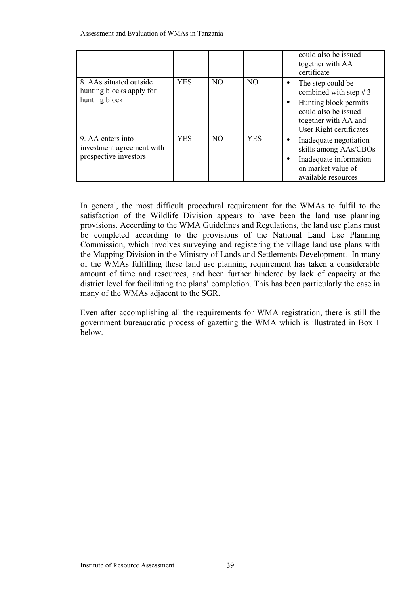|                                                                         |            |                |                | could also be issued<br>together with AA<br>certificate                                                                                                     |
|-------------------------------------------------------------------------|------------|----------------|----------------|-------------------------------------------------------------------------------------------------------------------------------------------------------------|
| 8. AAs situated outside<br>hunting blocks apply for<br>hunting block    | <b>YES</b> | N <sub>O</sub> | N <sub>O</sub> | The step could be<br>٠<br>combined with step $# 3$<br>Hunting block permits<br>٠<br>could also be issued<br>together with AA and<br>User Right certificates |
| 9. AA enters into<br>investment agreement with<br>prospective investors | <b>YES</b> | N <sub>O</sub> | <b>YES</b>     | Inadequate negotiation<br>skills among AAs/CBOs<br>Inadequate information<br>٠<br>on market value of<br>available resources                                 |

In general, the most difficult procedural requirement for the WMAs to fulfil to the satisfaction of the Wildlife Division appears to have been the land use planning provisions. According to the WMA Guidelines and Regulations, the land use plans must be completed according to the provisions of the National Land Use Planning Commission, which involves surveying and registering the village land use plans with the Mapping Division in the Ministry of Lands and Settlements Development. In many of the WMAs fulfilling these land use planning requirement has taken a considerable amount of time and resources, and been further hindered by lack of capacity at the district level for facilitating the plans' completion. This has been particularly the case in many of the WMAs adjacent to the SGR.

Even after accomplishing all the requirements for WMA registration, there is still the government bureaucratic process of gazetting the WMA which is illustrated in Box 1 below.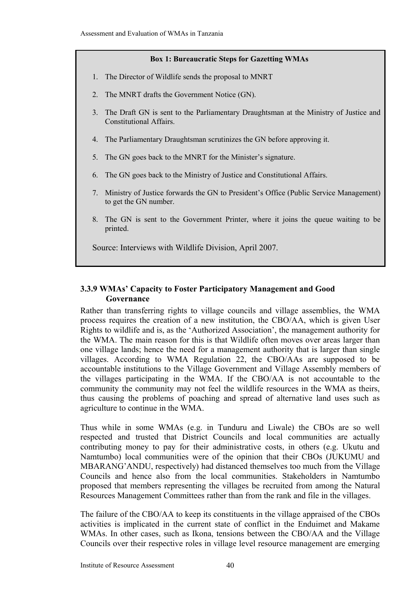#### **Box 1: Bureaucratic Steps for Gazetting WMAs**

- 1. The Director of Wildlife sends the proposal to MNRT
- 2. The MNRT drafts the Government Notice (GN).
- 3. The Draft GN is sent to the Parliamentary Draughtsman at the Ministry of Justice and Constitutional Affairs.
- 4. The Parliamentary Draughtsman scrutinizes the GN before approving it.
- 5. The GN goes back to the MNRT for the Minister's signature.
- 6. The GN goes back to the Ministry of Justice and Constitutional Affairs.
- 7. Ministry of Justice forwards the GN to President's Office (Public Service Management) to get the GN number.
- 8. The GN is sent to the Government Printer, where it joins the queue waiting to be printed.

Source: Interviews with Wildlife Division, April 2007.

### **3.3.9 WMAs' Capacity to Foster Participatory Management and Good Governance**

Rather than transferring rights to village councils and village assemblies, the WMA process requires the creation of a new institution, the CBO/AA, which is given User Rights to wildlife and is, as the 'Authorized Association', the management authority for the WMA. The main reason for this is that Wildlife often moves over areas larger than one village lands; hence the need for a management authority that is larger than single villages. According to WMA Regulation 22, the CBO/AAs are supposed to be accountable institutions to the Village Government and Village Assembly members of the villages participating in the WMA. If the CBO/AA is not accountable to the community the community may not feel the wildlife resources in the WMA as theirs, thus causing the problems of poaching and spread of alternative land uses such as agriculture to continue in the WMA.

Thus while in some WMAs (e.g. in Tunduru and Liwale) the CBOs are so well respected and trusted that District Councils and local communities are actually contributing money to pay for their administrative costs, in others (e.g. Ukutu and Namtumbo) local communities were of the opinion that their CBOs (JUKUMU and MBARANG'ANDU, respectively) had distanced themselves too much from the Village Councils and hence also from the local communities. Stakeholders in Namtumbo proposed that members representing the villages be recruited from among the Natural Resources Management Committees rather than from the rank and file in the villages.

The failure of the CBO/AA to keep its constituents in the village appraised of the CBOs activities is implicated in the current state of conflict in the Enduimet and Makame WMAs. In other cases, such as Ikona, tensions between the CBO/AA and the Village Councils over their respective roles in village level resource management are emerging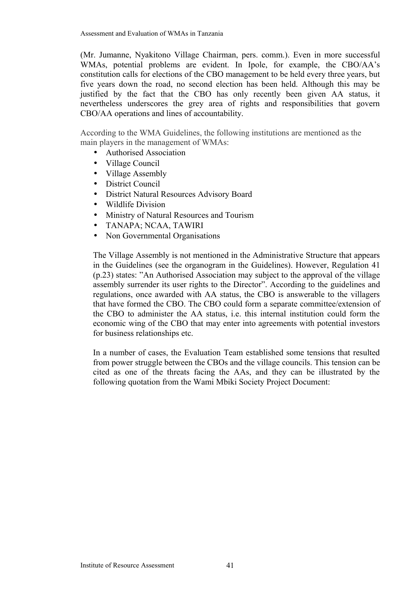(Mr. Jumanne, Nyakitono Village Chairman, pers. comm.). Even in more successful WMAs, potential problems are evident. In Ipole, for example, the CBO/AA's constitution calls for elections of the CBO management to be held every three years, but five years down the road, no second election has been held. Although this may be justified by the fact that the CBO has only recently been given AA status, it nevertheless underscores the grey area of rights and responsibilities that govern CBO/AA operations and lines of accountability.

According to the WMA Guidelines, the following institutions are mentioned as the main players in the management of WMAs:

- Authorised Association
- Village Council
- Village Assembly
- District Council
- District Natural Resources Advisory Board
- Wildlife Division
- Ministry of Natural Resources and Tourism
- TANAPA; NCAA, TAWIRI
- Non Governmental Organisations

The Village Assembly is not mentioned in the Administrative Structure that appears in the Guidelines (see the organogram in the Guidelines). However, Regulation 41 (p.23) states: "An Authorised Association may subject to the approval of the village assembly surrender its user rights to the Director". According to the guidelines and regulations, once awarded with AA status, the CBO is answerable to the villagers that have formed the CBO. The CBO could form a separate committee/extension of the CBO to administer the AA status, i.e. this internal institution could form the economic wing of the CBO that may enter into agreements with potential investors for business relationships etc.

In a number of cases, the Evaluation Team established some tensions that resulted from power struggle between the CBOs and the village councils. This tension can be cited as one of the threats facing the AAs, and they can be illustrated by the following quotation from the Wami Mbiki Society Project Document: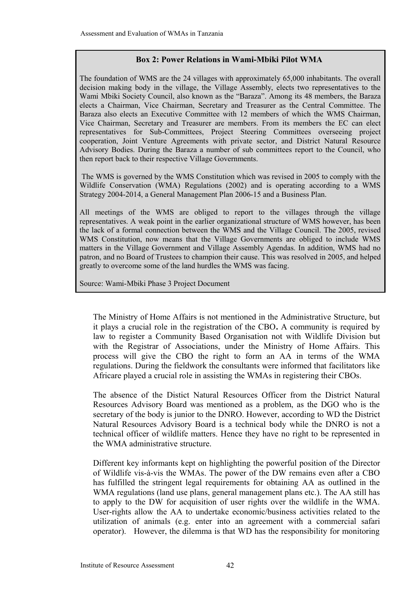### **Box 2: Power Relations in Wami-Mbiki Pilot WMA**

The foundation of WMS are the 24 villages with approximately 65,000 inhabitants. The overall decision making body in the village, the Village Assembly, elects two representatives to the Wami Mbiki Society Council, also known as the "Baraza". Among its 48 members, the Baraza elects a Chairman, Vice Chairman, Secretary and Treasurer as the Central Committee. The Baraza also elects an Executive Committee with 12 members of which the WMS Chairman, Vice Chairman, Secretary and Treasurer are members. From its members the EC can elect representatives for Sub-Committees, Project Steering Committees overseeing project cooperation, Joint Venture Agreements with private sector, and District Natural Resource Advisory Bodies. During the Baraza a number of sub committees report to the Council, who then report back to their respective Village Governments.

The WMS is governed by the WMS Constitution which was revised in 2005 to comply with the Wildlife Conservation (WMA) Regulations (2002) and is operating according to a WMS Strategy 2004-2014, a General Management Plan 2006-15 and a Business Plan.

All meetings of the WMS are obliged to report to the villages through the village representatives. A weak point in the earlier organizational structure of WMS however, has been the lack of a formal connection between the WMS and the Village Council. The 2005, revised WMS Constitution, now means that the Village Governments are obliged to include WMS matters in the Village Government and Village Assembly Agendas. In addition, WMS had no patron, and no Board of Trustees to champion their cause. This was resolved in 2005, and helped greatly to overcome some of the land hurdles the WMS was facing.

Source: Wami-Mbiki Phase 3 Project Document

The Ministry of Home Affairs is not mentioned in the Administrative Structure, but it plays a crucial role in the registration of the CBO**.** A community is required by law to register a Community Based Organisation not with Wildlife Division but with the Registrar of Associations, under the Ministry of Home Affairs. This process will give the CBO the right to form an AA in terms of the WMA regulations. During the fieldwork the consultants were informed that facilitators like Africare played a crucial role in assisting the WMAs in registering their CBOs.

The absence of the Distict Natural Resources Officer from the District Natural Resources Advisory Board was mentioned as a problem, as the DGO who is the secretary of the body is junior to the DNRO. However, according to WD the District Natural Resources Advisory Board is a technical body while the DNRO is not a technical officer of wildlife matters. Hence they have no right to be represented in the WMA administrative structure.

Different key informants kept on highlighting the powerful position of the Director of Wildlife vis-à-vis the WMAs. The power of the DW remains even after a CBO has fulfilled the stringent legal requirements for obtaining AA as outlined in the WMA regulations (land use plans, general management plans etc.). The AA still has to apply to the DW for acquisition of user rights over the wildlife in the WMA. User-rights allow the AA to undertake economic/business activities related to the utilization of animals (e.g. enter into an agreement with a commercial safari operator). However, the dilemma is that WD has the responsibility for monitoring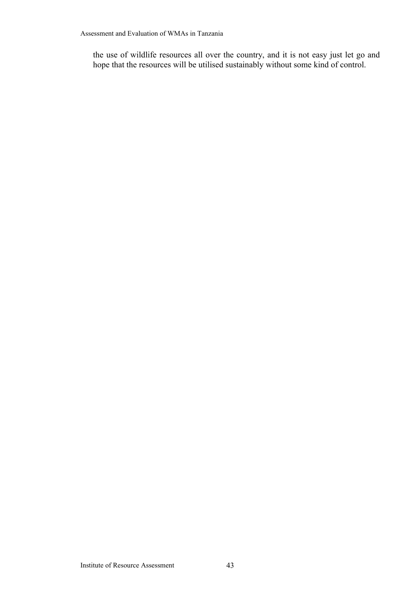the use of wildlife resources all over the country, and it is not easy just let go and hope that the resources will be utilised sustainably without some kind of control.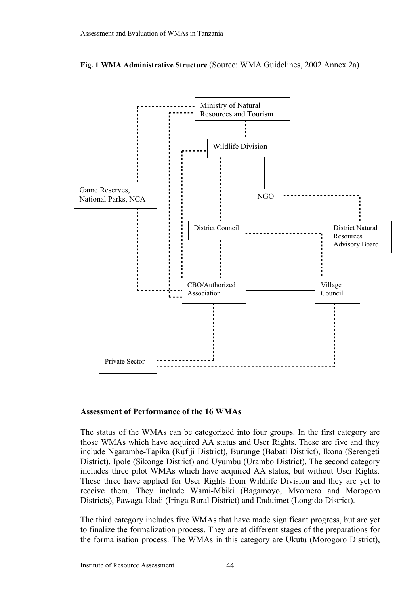



#### **Assessment of Performance of the 16 WMAs**

The status of the WMAs can be categorized into four groups. In the first category are those WMAs which have acquired AA status and User Rights. These are five and they include Ngarambe-Tapika (Rufiji District), Burunge (Babati District), Ikona (Serengeti District), Ipole (Sikonge District) and Uyumbu (Urambo District). The second category includes three pilot WMAs which have acquired AA status, but without User Rights. These three have applied for User Rights from Wildlife Division and they are yet to receive them. They include Wami-Mbiki (Bagamoyo, Mvomero and Morogoro Districts), Pawaga-Idodi (Iringa Rural District) and Enduimet (Longido District).

The third category includes five WMAs that have made significant progress, but are yet to finalize the formalization process. They are at different stages of the preparations for the formalisation process. The WMAs in this category are Ukutu (Morogoro District),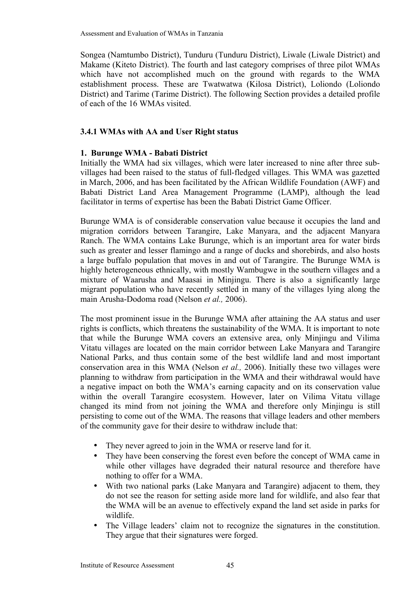Songea (Namtumbo District), Tunduru (Tunduru District), Liwale (Liwale District) and Makame (Kiteto District). The fourth and last category comprises of three pilot WMAs which have not accomplished much on the ground with regards to the WMA establishment process. These are Twatwatwa (Kilosa District), Loliondo (Loliondo District) and Tarime (Tarime District). The following Section provides a detailed profile of each of the 16 WMAs visited.

# **3.4.1 WMAs with AA and User Right status**

# **1. Burunge WMA - Babati District**

Initially the WMA had six villages, which were later increased to nine after three subvillages had been raised to the status of full-fledged villages. This WMA was gazetted in March, 2006, and has been facilitated by the African Wildlife Foundation (AWF) and Babati District Land Area Management Programme (LAMP), although the lead facilitator in terms of expertise has been the Babati District Game Officer.

Burunge WMA is of considerable conservation value because it occupies the land and migration corridors between Tarangire, Lake Manyara, and the adjacent Manyara Ranch. The WMA contains Lake Burunge, which is an important area for water birds such as greater and lesser flamingo and a range of ducks and shorebirds, and also hosts a large buffalo population that moves in and out of Tarangire. The Burunge WMA is highly heterogeneous ethnically, with mostly Wambugwe in the southern villages and a mixture of Waarusha and Maasai in Minjingu. There is also a significantly large migrant population who have recently settled in many of the villages lying along the main Arusha-Dodoma road (Nelson *et al.,* 2006).

The most prominent issue in the Burunge WMA after attaining the AA status and user rights is conflicts, which threatens the sustainability of the WMA. It is important to note that while the Burunge WMA covers an extensive area, only Minjingu and Vilima Vitatu villages are located on the main corridor between Lake Manyara and Tarangire National Parks, and thus contain some of the best wildlife land and most important conservation area in this WMA (Nelson *et al.,* 2006). Initially these two villages were planning to withdraw from participation in the WMA and their withdrawal would have a negative impact on both the WMA's earning capacity and on its conservation value within the overall Tarangire ecosystem. However, later on Vilima Vitatu village changed its mind from not joining the WMA and therefore only Minjingu is still persisting to come out of the WMA. The reasons that village leaders and other members of the community gave for their desire to withdraw include that:

- They never agreed to join in the WMA or reserve land for it.
- They have been conserving the forest even before the concept of WMA came in while other villages have degraded their natural resource and therefore have nothing to offer for a WMA.
- With two national parks (Lake Manyara and Tarangire) adjacent to them, they do not see the reason for setting aside more land for wildlife, and also fear that the WMA will be an avenue to effectively expand the land set aside in parks for wildlife.
- The Village leaders' claim not to recognize the signatures in the constitution. They argue that their signatures were forged.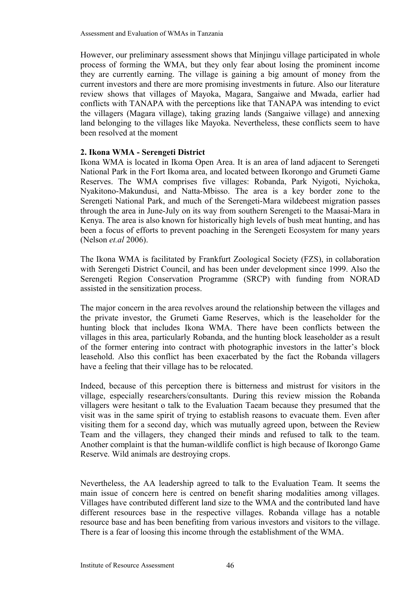However, our preliminary assessment shows that Minjingu village participated in whole process of forming the WMA, but they only fear about losing the prominent income they are currently earning. The village is gaining a big amount of money from the current investors and there are more promising investments in future. Also our literature review shows that villages of Mayoka, Magara, Sangaiwe and Mwada, earlier had conflicts with TANAPA with the perceptions like that TANAPA was intending to evict the villagers (Magara village), taking grazing lands (Sangaiwe village) and annexing land belonging to the villages like Mayoka. Nevertheless, these conflicts seem to have been resolved at the moment

#### **2. Ikona WMA - Serengeti District**

Ikona WMA is located in Ikoma Open Area. It is an area of land adjacent to Serengeti National Park in the Fort Ikoma area, and located between Ikorongo and Grumeti Game Reserves. The WMA comprises five villages: Robanda, Park Nyigoti, Nyichoka, Nyakitono-Makundusi, and Natta-Mbisso. The area is a key border zone to the Serengeti National Park, and much of the Serengeti-Mara wildebeest migration passes through the area in June-July on its way from southern Serengeti to the Maasai-Mara in Kenya. The area is also known for historically high levels of bush meat hunting, and has been a focus of efforts to prevent poaching in the Serengeti Ecosystem for many years (Nelson *et.al* 2006).

The Ikona WMA is facilitated by Frankfurt Zoological Society (FZS), in collaboration with Serengeti District Council, and has been under development since 1999. Also the Serengeti Region Conservation Programme (SRCP) with funding from NORAD assisted in the sensitization process.

The major concern in the area revolves around the relationship between the villages and the private investor, the Grumeti Game Reserves, which is the leaseholder for the hunting block that includes Ikona WMA. There have been conflicts between the villages in this area, particularly Robanda, and the hunting block leaseholder as a result of the former entering into contract with photographic investors in the latter's block leasehold. Also this conflict has been exacerbated by the fact the Robanda villagers have a feeling that their village has to be relocated.

Indeed, because of this perception there is bitterness and mistrust for visitors in the village, especially researchers/consultants. During this review mission the Robanda villagers were hesitant o talk to the Evaluation Taeam because they presumed that the visit was in the same spirit of trying to establish reasons to evacuate them. Even after visiting them for a second day, which was mutually agreed upon, between the Review Team and the villagers, they changed their minds and refused to talk to the team. Another complaint is that the human-wildlife conflict is high because of Ikorongo Game Reserve. Wild animals are destroying crops.

Nevertheless, the AA leadership agreed to talk to the Evaluation Team. It seems the main issue of concern here is centred on benefit sharing modalities among villages. Villages have contributed different land size to the WMA and the contributed land have different resources base in the respective villages. Robanda village has a notable resource base and has been benefiting from various investors and visitors to the village. There is a fear of loosing this income through the establishment of the WMA.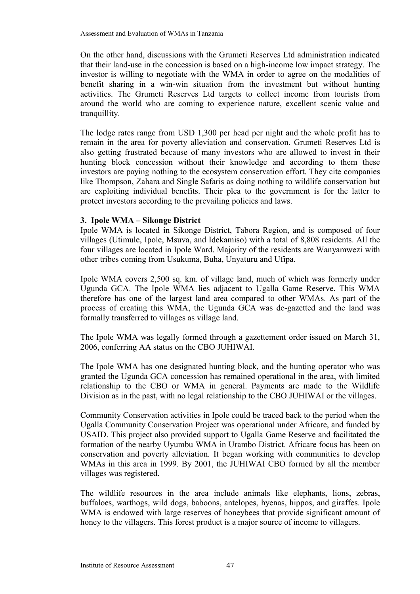On the other hand, discussions with the Grumeti Reserves Ltd administration indicated that their land-use in the concession is based on a high-income low impact strategy. The investor is willing to negotiate with the WMA in order to agree on the modalities of benefit sharing in a win-win situation from the investment but without hunting activities. The Grumeti Reserves Ltd targets to collect income from tourists from around the world who are coming to experience nature, excellent scenic value and tranquillity.

The lodge rates range from USD 1,300 per head per night and the whole profit has to remain in the area for poverty alleviation and conservation. Grumeti Reserves Ltd is also getting frustrated because of many investors who are allowed to invest in their hunting block concession without their knowledge and according to them these investors are paying nothing to the ecosystem conservation effort. They cite companies like Thompson, Zahara and Single Safaris as doing nothing to wildlife conservation but are exploiting individual benefits. Their plea to the government is for the latter to protect investors according to the prevailing policies and laws.

# **3. Ipole WMA – Sikonge District**

Ipole WMA is located in Sikonge District, Tabora Region, and is composed of four villages (Utimule, Ipole, Msuva, and Idekamiso) with a total of 8,808 residents. All the four villages are located in Ipole Ward. Majority of the residents are Wanyamwezi with other tribes coming from Usukuma, Buha, Unyaturu and Ufipa.

Ipole WMA covers 2,500 sq. km. of village land, much of which was formerly under Ugunda GCA. The Ipole WMA lies adjacent to Ugalla Game Reserve. This WMA therefore has one of the largest land area compared to other WMAs. As part of the process of creating this WMA, the Ugunda GCA was de-gazetted and the land was formally transferred to villages as village land.

The Ipole WMA was legally formed through a gazettement order issued on March 31, 2006, conferring AA status on the CBO JUHIWAI.

The Ipole WMA has one designated hunting block, and the hunting operator who was granted the Ugunda GCA concession has remained operational in the area, with limited relationship to the CBO or WMA in general. Payments are made to the Wildlife Division as in the past, with no legal relationship to the CBO JUHIWAI or the villages.

Community Conservation activities in Ipole could be traced back to the period when the Ugalla Community Conservation Project was operational under Africare, and funded by USAID. This project also provided support to Ugalla Game Reserve and facilitated the formation of the nearby Uyumbu WMA in Urambo District. Africare focus has been on conservation and poverty alleviation. It began working with communities to develop WMAs in this area in 1999. By 2001, the JUHIWAI CBO formed by all the member villages was registered.

The wildlife resources in the area include animals like elephants, lions, zebras, buffaloes, warthogs, wild dogs, baboons, antelopes, hyenas, hippos, and giraffes. Ipole WMA is endowed with large reserves of honeybees that provide significant amount of honey to the villagers. This forest product is a major source of income to villagers.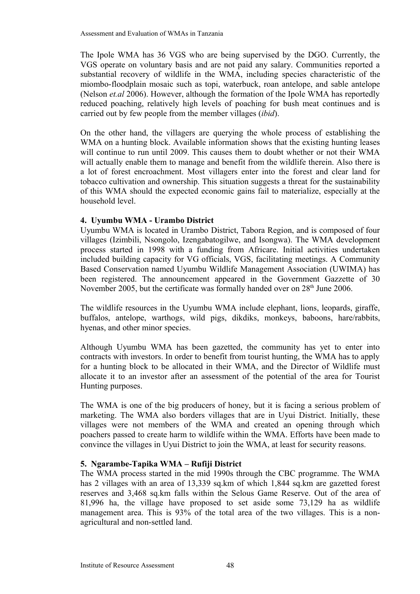The Ipole WMA has 36 VGS who are being supervised by the DGO. Currently, the VGS operate on voluntary basis and are not paid any salary. Communities reported a substantial recovery of wildlife in the WMA, including species characteristic of the miombo-floodplain mosaic such as topi, waterbuck, roan antelope, and sable antelope (Nelson *et.al* 2006). However, although the formation of the Ipole WMA has reportedly reduced poaching, relatively high levels of poaching for bush meat continues and is carried out by few people from the member villages (*ibid*).

On the other hand, the villagers are querying the whole process of establishing the WMA on a hunting block. Available information shows that the existing hunting leases will continue to run until 2009. This causes them to doubt whether or not their WMA will actually enable them to manage and benefit from the wildlife therein. Also there is a lot of forest encroachment. Most villagers enter into the forest and clear land for tobacco cultivation and ownership. This situation suggests a threat for the sustainability of this WMA should the expected economic gains fail to materialize, especially at the household level.

# **4. Uyumbu WMA - Urambo District**

Uyumbu WMA is located in Urambo District, Tabora Region, and is composed of four villages (Izimbili, Nsongolo, Izengabatogilwe, and Isongwa). The WMA development process started in 1998 with a funding from Africare. Initial activities undertaken included building capacity for VG officials, VGS, facilitating meetings. A Community Based Conservation named Uyumbu Wildlife Management Association (UWIMA) has been registered. The announcement appeared in the Government Gazzette of 30 November 2005, but the certificate was formally handed over on  $28<sup>th</sup>$  June 2006.

The wildlife resources in the Uyumbu WMA include elephant, lions, leopards, giraffe, buffalos, antelope, warthogs, wild pigs, dikdiks, monkeys, baboons, hare/rabbits, hyenas, and other minor species.

Although Uyumbu WMA has been gazetted, the community has yet to enter into contracts with investors. In order to benefit from tourist hunting, the WMA has to apply for a hunting block to be allocated in their WMA, and the Director of Wildlife must allocate it to an investor after an assessment of the potential of the area for Tourist Hunting purposes.

The WMA is one of the big producers of honey, but it is facing a serious problem of marketing. The WMA also borders villages that are in Uyui District. Initially, these villages were not members of the WMA and created an opening through which poachers passed to create harm to wildlife within the WMA. Efforts have been made to convince the villages in Uyui District to join the WMA, at least for security reasons.

# **5. Ngarambe-Tapika WMA – Rufiji District**

The WMA process started in the mid 1990s through the CBC programme. The WMA has 2 villages with an area of 13,339 sq.km of which 1,844 sq.km are gazetted forest reserves and 3,468 sq.km falls within the Selous Game Reserve. Out of the area of 81,996 ha, the village have proposed to set aside some 73,129 ha as wildlife management area. This is 93% of the total area of the two villages. This is a nonagricultural and non-settled land.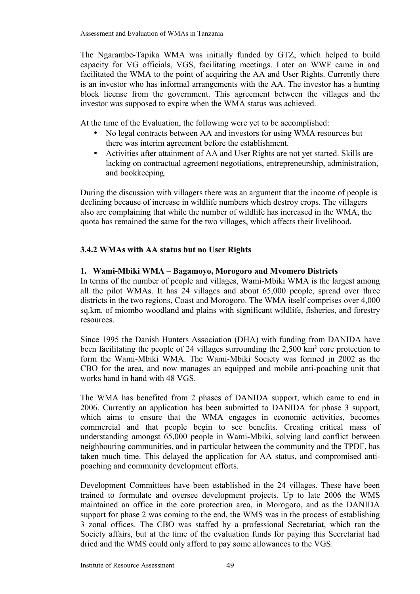The Ngarambe-Tapika WMA was initially funded by GTZ, which helped to build capacity for VG officials, VGS, facilitating meetings. Later on WWF came in and facilitated the WMA to the point of acquiring the AA and User Rights. Currently there is an investor who has informal arrangements with the AA. The investor has a hunting block license from the government. This agreement between the villages and the investor was supposed to expire when the WMA status was achieved.

At the time of the Evaluation, the following were yet to be accomplished:

- No legal contracts between AA and investors for using WMA resources but there was interim agreement before the establishment.
- Activities after attainment of AA and User Rights are not yet started. Skills are lacking on contractual agreement negotiations, entrepreneurship, administration, and bookkeeping.

During the discussion with villagers there was an argument that the income of people is declining because of increase in wildlife numbers which destroy crops. The villagers also are complaining that while the number of wildlife has increased in the WMA, the quota has remained the same for the two villages, which affects their livelihood.

# **3.4.2 WMAs with AA status but no User Rights**

### **1. Wami-Mbiki WMA – Bagamoyo, Morogoro and Mvomero Districts**

In terms of the number of people and villages, Wami-Mbiki WMA is the largest among all the pilot WMAs. It has 24 villages and about 65,000 people, spread over three districts in the two regions, Coast and Morogoro. The WMA itself comprises over 4,000 sq.km. of miombo woodland and plains with significant wildlife, fisheries, and forestry resources.

Since 1995 the Danish Hunters Association (DHA) with funding from DANIDA have been facilitating the people of 24 villages surrounding the  $2,500 \text{ km}^2$  core protection to form the Wami-Mbiki WMA. The Wami-Mbiki Society was formed in 2002 as the CBO for the area, and now manages an equipped and mobile anti-poaching unit that works hand in hand with 48 VGS.

The WMA has benefited from 2 phases of DANIDA support, which came to end in 2006. Currently an application has been submitted to DANIDA for phase 3 support, which aims to ensure that the WMA engages in economic activities, becomes commercial and that people begin to see benefits. Creating critical mass of understanding amongst 65,000 people in Wami-Mbiki, solving land conflict between neighbouring communities, and in particular between the community and the TPDF, has taken much time. This delayed the application for AA status, and compromised antipoaching and community development efforts.

Development Committees have been established in the 24 villages. These have been trained to formulate and oversee development projects. Up to late 2006 the WMS maintained an office in the core protection area, in Morogoro, and as the DANIDA support for phase 2 was coming to the end, the WMS was in the process of establishing 3 zonal offices. The CBO was staffed by a professional Secretariat, which ran the Society affairs, but at the time of the evaluation funds for paying this Secretariat had dried and the WMS could only afford to pay some allowances to the VGS.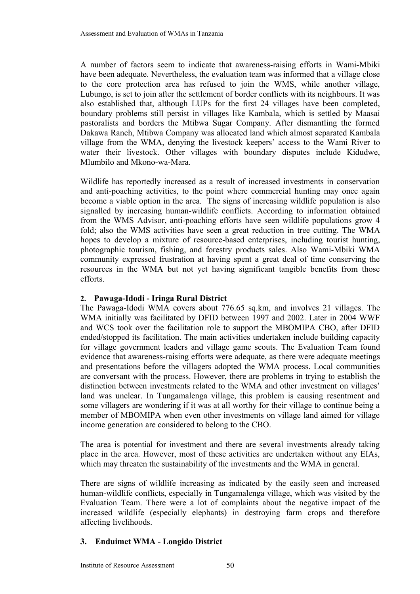A number of factors seem to indicate that awareness-raising efforts in Wami-Mbiki have been adequate. Nevertheless, the evaluation team was informed that a village close to the core protection area has refused to join the WMS, while another village, Lubungo, is set to join after the settlement of border conflicts with its neighbours. It was also established that, although LUPs for the first 24 villages have been completed, boundary problems still persist in villages like Kambala, which is settled by Maasai pastoralists and borders the Mtibwa Sugar Company. After dismantling the formed Dakawa Ranch, Mtibwa Company was allocated land which almost separated Kambala village from the WMA, denying the livestock keepers' access to the Wami River to water their livestock. Other villages with boundary disputes include Kidudwe, Mlumbilo and Mkono-wa-Mara.

Wildlife has reportedly increased as a result of increased investments in conservation and anti-poaching activities, to the point where commercial hunting may once again become a viable option in the area. The signs of increasing wildlife population is also signalled by increasing human-wildlife conflicts. According to information obtained from the WMS Advisor, anti-poaching efforts have seen wildlife populations grow 4 fold; also the WMS activities have seen a great reduction in tree cutting. The WMA hopes to develop a mixture of resource-based enterprises, including tourist hunting, photographic tourism, fishing, and forestry products sales. Also Wami-Mbiki WMA community expressed frustration at having spent a great deal of time conserving the resources in the WMA but not yet having significant tangible benefits from those efforts.

### **2. Pawaga-Idodi - Iringa Rural District**

The Pawaga-Idodi WMA covers about 776.65 sq.km, and involves 21 villages. The WMA initially was facilitated by DFID between 1997 and 2002. Later in 2004 WWF and WCS took over the facilitation role to support the MBOMIPA CBO, after DFID ended/stopped its facilitation. The main activities undertaken include building capacity for village government leaders and village game scouts. The Evaluation Team found evidence that awareness-raising efforts were adequate, as there were adequate meetings and presentations before the villagers adopted the WMA process. Local communities are conversant with the process. However, there are problems in trying to establish the distinction between investments related to the WMA and other investment on villages' land was unclear. In Tungamalenga village, this problem is causing resentment and some villagers are wondering if it was at all worthy for their village to continue being a member of MBOMIPA when even other investments on village land aimed for village income generation are considered to belong to the CBO.

The area is potential for investment and there are several investments already taking place in the area. However, most of these activities are undertaken without any EIAs, which may threaten the sustainability of the investments and the WMA in general.

There are signs of wildlife increasing as indicated by the easily seen and increased human-wildlife conflicts, especially in Tungamalenga village, which was visited by the Evaluation Team. There were a lot of complaints about the negative impact of the increased wildlife (especially elephants) in destroying farm crops and therefore affecting livelihoods.

# **3. Enduimet WMA - Longido District**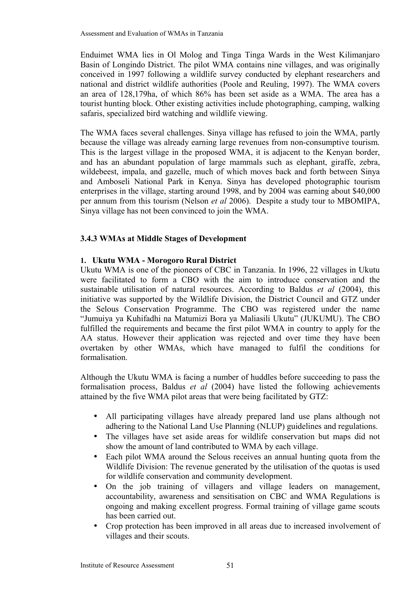Enduimet WMA lies in Ol Molog and Tinga Tinga Wards in the West Kilimanjaro Basin of Longindo District. The pilot WMA contains nine villages, and was originally conceived in 1997 following a wildlife survey conducted by elephant researchers and national and district wildlife authorities (Poole and Reuling, 1997). The WMA covers an area of 128,179ha, of which 86% has been set aside as a WMA. The area has a tourist hunting block. Other existing activities include photographing, camping, walking safaris, specialized bird watching and wildlife viewing.

The WMA faces several challenges. Sinya village has refused to join the WMA, partly because the village was already earning large revenues from non-consumptive tourism. This is the largest village in the proposed WMA, it is adjacent to the Kenyan border, and has an abundant population of large mammals such as elephant, giraffe, zebra, wildebeest, impala, and gazelle, much of which moves back and forth between Sinya and Amboseli National Park in Kenya. Sinya has developed photographic tourism enterprises in the village, starting around 1998, and by 2004 was earning about \$40,000 per annum from this tourism (Nelson *et al* 2006). Despite a study tour to MBOMIPA, Sinya village has not been convinced to join the WMA.

# **3.4.3 WMAs at Middle Stages of Development**

# **1. Ukutu WMA - Morogoro Rural District**

Ukutu WMA is one of the pioneers of CBC in Tanzania. In 1996, 22 villages in Ukutu were facilitated to form a CBO with the aim to introduce conservation and the sustainable utilisation of natural resources. According to Baldus *et al* (2004), this initiative was supported by the Wildlife Division, the District Council and GTZ under the Selous Conservation Programme. The CBO was registered under the name "Jumuiya ya Kuhifadhi na Matumizi Bora ya Maliasili Ukutu" (JUKUMU). The CBO fulfilled the requirements and became the first pilot WMA in country to apply for the AA status. However their application was rejected and over time they have been overtaken by other WMAs, which have managed to fulfil the conditions for formalisation.

Although the Ukutu WMA is facing a number of huddles before succeeding to pass the formalisation process, Baldus *et al* (2004) have listed the following achievements attained by the five WMA pilot areas that were being facilitated by GTZ:

- All participating villages have already prepared land use plans although not adhering to the National Land Use Planning (NLUP) guidelines and regulations.
- The villages have set aside areas for wildlife conservation but maps did not show the amount of land contributed to WMA by each village.
- Each pilot WMA around the Selous receives an annual hunting quota from the Wildlife Division: The revenue generated by the utilisation of the quotas is used for wildlife conservation and community development.
- On the job training of villagers and village leaders on management, accountability, awareness and sensitisation on CBC and WMA Regulations is ongoing and making excellent progress. Formal training of village game scouts has been carried out.
- Crop protection has been improved in all areas due to increased involvement of villages and their scouts.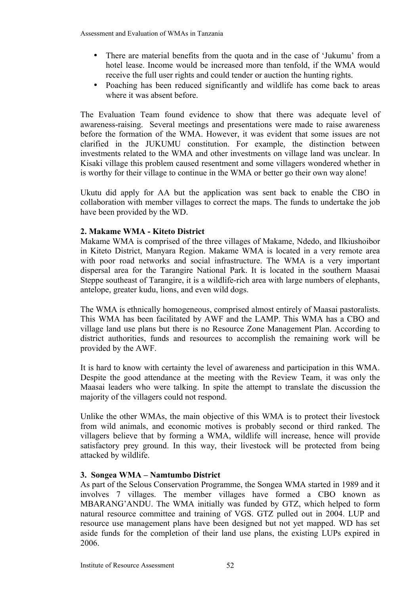- There are material benefits from the quota and in the case of 'Jukumu' from a hotel lease. Income would be increased more than tenfold, if the WMA would receive the full user rights and could tender or auction the hunting rights.
- Poaching has been reduced significantly and wildlife has come back to areas where it was absent before.

The Evaluation Team found evidence to show that there was adequate level of awareness-raising. Several meetings and presentations were made to raise awareness before the formation of the WMA. However, it was evident that some issues are not clarified in the JUKUMU constitution. For example, the distinction between investments related to the WMA and other investments on village land was unclear. In Kisaki village this problem caused resentment and some villagers wondered whether in is worthy for their village to continue in the WMA or better go their own way alone!

Ukutu did apply for AA but the application was sent back to enable the CBO in collaboration with member villages to correct the maps. The funds to undertake the job have been provided by the WD.

### **2. Makame WMA - Kiteto District**

Makame WMA is comprised of the three villages of Makame, Ndedo, and Ilkiushoibor in Kiteto District, Manyara Region. Makame WMA is located in a very remote area with poor road networks and social infrastructure. The WMA is a very important dispersal area for the Tarangire National Park. It is located in the southern Maasai Steppe southeast of Tarangire, it is a wildlife-rich area with large numbers of elephants, antelope, greater kudu, lions, and even wild dogs.

The WMA is ethnically homogeneous, comprised almost entirely of Maasai pastoralists. This WMA has been facilitated by AWF and the LAMP. This WMA has a CBO and village land use plans but there is no Resource Zone Management Plan. According to district authorities, funds and resources to accomplish the remaining work will be provided by the AWF.

It is hard to know with certainty the level of awareness and participation in this WMA. Despite the good attendance at the meeting with the Review Team, it was only the Maasai leaders who were talking. In spite the attempt to translate the discussion the majority of the villagers could not respond.

Unlike the other WMAs, the main objective of this WMA is to protect their livestock from wild animals, and economic motives is probably second or third ranked. The villagers believe that by forming a WMA, wildlife will increase, hence will provide satisfactory prey ground. In this way, their livestock will be protected from being attacked by wildlife.

#### **3. Songea WMA – Namtumbo District**

As part of the Selous Conservation Programme, the Songea WMA started in 1989 and it involves 7 villages. The member villages have formed a CBO known as MBARANG'ANDU. The WMA initially was funded by GTZ, which helped to form natural resource committee and training of VGS. GTZ pulled out in 2004. LUP and resource use management plans have been designed but not yet mapped. WD has set aside funds for the completion of their land use plans, the existing LUPs expired in 2006.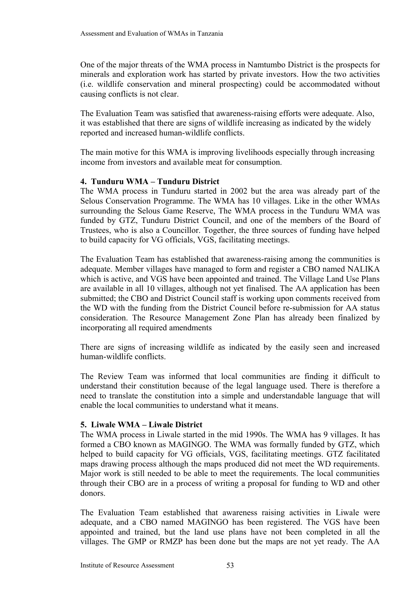One of the major threats of the WMA process in Namtumbo District is the prospects for minerals and exploration work has started by private investors. How the two activities (i.e. wildlife conservation and mineral prospecting) could be accommodated without causing conflicts is not clear.

The Evaluation Team was satisfied that awareness-raising efforts were adequate. Also, it was established that there are signs of wildlife increasing as indicated by the widely reported and increased human-wildlife conflicts.

The main motive for this WMA is improving livelihoods especially through increasing income from investors and available meat for consumption.

### **4. Tunduru WMA – Tunduru District**

The WMA process in Tunduru started in 2002 but the area was already part of the Selous Conservation Programme. The WMA has 10 villages. Like in the other WMAs surrounding the Selous Game Reserve, The WMA process in the Tunduru WMA was funded by GTZ, Tunduru District Council, and one of the members of the Board of Trustees, who is also a Councillor. Together, the three sources of funding have helped to build capacity for VG officials, VGS, facilitating meetings.

The Evaluation Team has established that awareness-raising among the communities is adequate. Member villages have managed to form and register a CBO named NALIKA which is active, and VGS have been appointed and trained. The Village Land Use Plans are available in all 10 villages, although not yet finalised. The AA application has been submitted; the CBO and District Council staff is working upon comments received from the WD with the funding from the District Council before re-submission for AA status consideration. The Resource Management Zone Plan has already been finalized by incorporating all required amendments

There are signs of increasing wildlife as indicated by the easily seen and increased human-wildlife conflicts.

The Review Team was informed that local communities are finding it difficult to understand their constitution because of the legal language used. There is therefore a need to translate the constitution into a simple and understandable language that will enable the local communities to understand what it means.

#### **5. Liwale WMA – Liwale District**

The WMA process in Liwale started in the mid 1990s. The WMA has 9 villages. It has formed a CBO known as MAGINGO. The WMA was formally funded by GTZ, which helped to build capacity for VG officials, VGS, facilitating meetings. GTZ facilitated maps drawing process although the maps produced did not meet the WD requirements. Major work is still needed to be able to meet the requirements. The local communities through their CBO are in a process of writing a proposal for funding to WD and other donors.

The Evaluation Team established that awareness raising activities in Liwale were adequate, and a CBO named MAGINGO has been registered. The VGS have been appointed and trained, but the land use plans have not been completed in all the villages. The GMP or RMZP has been done but the maps are not yet ready. The AA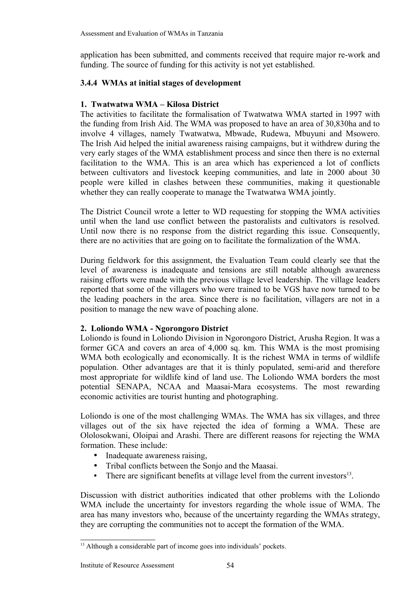application has been submitted, and comments received that require major re-work and funding. The source of funding for this activity is not yet established.

# **3.4.4 WMAs at initial stages of development**

# **1. Twatwatwa WMA – Kilosa District**

The activities to facilitate the formalisation of Twatwatwa WMA started in 1997 with the funding from Irish Aid. The WMA was proposed to have an area of 30,830ha and to involve 4 villages, namely Twatwatwa, Mbwade, Rudewa, Mbuyuni and Msowero. The Irish Aid helped the initial awareness raising campaigns, but it withdrew during the very early stages of the WMA establishment process and since then there is no external facilitation to the WMA. This is an area which has experienced a lot of conflicts between cultivators and livestock keeping communities, and late in 2000 about 30 people were killed in clashes between these communities, making it questionable whether they can really cooperate to manage the Twatwatwa WMA jointly.

The District Council wrote a letter to WD requesting for stopping the WMA activities until when the land use conflict between the pastoralists and cultivators is resolved. Until now there is no response from the district regarding this issue. Consequently, there are no activities that are going on to facilitate the formalization of the WMA.

During fieldwork for this assignment, the Evaluation Team could clearly see that the level of awareness is inadequate and tensions are still notable although awareness raising efforts were made with the previous village level leadership. The village leaders reported that some of the villagers who were trained to be VGS have now turned to be the leading poachers in the area. Since there is no facilitation, villagers are not in a position to manage the new wave of poaching alone.

# **2. Loliondo WMA - Ngorongoro District**

Loliondo is found in Loliondo Division in Ngorongoro District, Arusha Region. It was a former GCA and covers an area of 4,000 sq. km. This WMA is the most promising WMA both ecologically and economically. It is the richest WMA in terms of wildlife population. Other advantages are that it is thinly populated, semi-arid and therefore most appropriate for wildlife kind of land use. The Loliondo WMA borders the most potential SENAPA, NCAA and Maasai-Mara ecosystems. The most rewarding economic activities are tourist hunting and photographing.

Loliondo is one of the most challenging WMAs. The WMA has six villages, and three villages out of the six have rejected the idea of forming a WMA. These are Ololosokwani, Oloipai and Arashi. There are different reasons for rejecting the WMA formation. These include:

- Inadequate awareness raising.
- Tribal conflicts between the Sonjo and the Maasai.
- There are significant benefits at village level from the current investors $13$ .

Discussion with district authorities indicated that other problems with the Loliondo WMA include the uncertainty for investors regarding the whole issue of WMA. The area has many investors who, because of the uncertainty regarding the WMAs strategy, they are corrupting the communities not to accept the formation of the WMA.

<span id="page-59-0"></span><sup>&</sup>lt;sup>13</sup> Although a considerable part of income goes into individuals' pockets.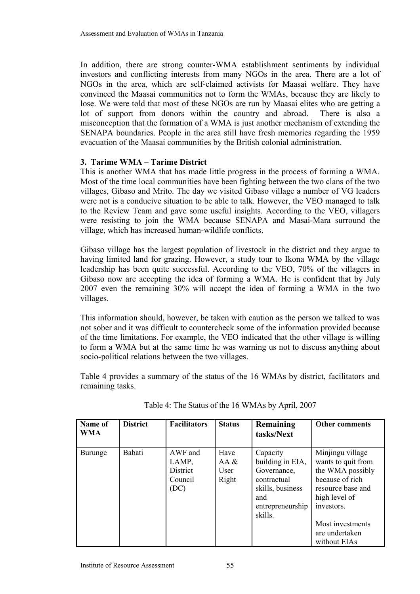In addition, there are strong counter-WMA establishment sentiments by individual investors and conflicting interests from many NGOs in the area. There are a lot of NGOs in the area, which are self-claimed activists for Maasai welfare. They have convinced the Maasai communities not to form the WMAs, because they are likely to lose. We were told that most of these NGOs are run by Maasai elites who are getting a lot of support from donors within the country and abroad. There is also a misconception that the formation of a WMA is just another mechanism of extending the SENAPA boundaries. People in the area still have fresh memories regarding the 1959 evacuation of the Maasai communities by the British colonial administration.

# **3. Tarime WMA – Tarime District**

This is another WMA that has made little progress in the process of forming a WMA. Most of the time local communities have been fighting between the two clans of the two villages, Gibaso and Mrito. The day we visited Gibaso village a number of VG leaders were not is a conducive situation to be able to talk. However, the VEO managed to talk to the Review Team and gave some useful insights. According to the VEO, villagers were resisting to join the WMA because SENAPA and Masai-Mara surround the village, which has increased human-wildlife conflicts.

Gibaso village has the largest population of livestock in the district and they argue to having limited land for grazing. However, a study tour to Ikona WMA by the village leadership has been quite successful. According to the VEO, 70% of the villagers in Gibaso now are accepting the idea of forming a WMA. He is confident that by July 2007 even the remaining 30% will accept the idea of forming a WMA in the two villages.

This information should, however, be taken with caution as the person we talked to was not sober and it was difficult to countercheck some of the information provided because of the time limitations. For example, the VEO indicated that the other village is willing to form a WMA but at the same time he was warning us not to discuss anything about socio-political relations between the two villages.

Table 4 provides a summary of the status of the 16 WMAs by district, facilitators and remaining tasks.

| Name of<br><b>WMA</b> | <b>District</b> | <b>Facilitators</b>                                    | <b>Status</b>                    | Remaining<br>tasks/Next                                                                                              | <b>Other comments</b>                                                                                                                                                                   |
|-----------------------|-----------------|--------------------------------------------------------|----------------------------------|----------------------------------------------------------------------------------------------------------------------|-----------------------------------------------------------------------------------------------------------------------------------------------------------------------------------------|
| Burunge               | Babati          | AWF and<br>LAMP,<br><b>District</b><br>Council<br>(DC) | Have<br>AA $\&$<br>User<br>Right | Capacity<br>building in EIA,<br>Governance,<br>contractual<br>skills, business<br>and<br>entrepreneurship<br>skills. | Minjingu village<br>wants to quit from<br>the WMA possibly<br>because of rich<br>resource base and<br>high level of<br>investors.<br>Most investments<br>are undertaken<br>without EIAs |

Table 4: The Status of the 16 WMAs by April, 2007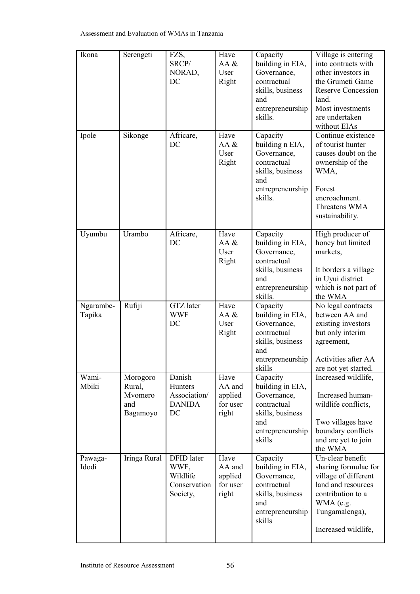| Ikona               | Serengeti                                        | FZS,<br>SRCP/<br>NORAD,<br>DC                              | Have<br>AA &<br>User<br>Right                  | Capacity<br>building in EIA,<br>Governance,<br>contractual<br>skills, business<br>and<br>entrepreneurship<br>skills. | Village is entering<br>into contracts with<br>other investors in<br>the Grumeti Game<br><b>Reserve Concession</b><br>land.<br>Most investments<br>are undertaken<br>without EIAs |
|---------------------|--------------------------------------------------|------------------------------------------------------------|------------------------------------------------|----------------------------------------------------------------------------------------------------------------------|----------------------------------------------------------------------------------------------------------------------------------------------------------------------------------|
| Ipole               | Sikonge                                          | Africare,<br>DC                                            | Have<br>AA &<br>User<br>Right                  | Capacity<br>building n EIA,<br>Governance,<br>contractual<br>skills, business<br>and<br>entrepreneurship<br>skills.  | Continue existence<br>of tourist hunter<br>causes doubt on the<br>ownership of the<br>WMA,<br>Forest<br>encroachment.<br>Threatens WMA<br>sustainability.                        |
| Uyumbu              | Urambo                                           | Africare,<br>DC                                            | Have<br>AA &<br>User<br>Right                  | Capacity<br>building in EIA,<br>Governance,<br>contractual<br>skills, business<br>and<br>entrepreneurship<br>skills. | High producer of<br>honey but limited<br>markets,<br>It borders a village<br>in Uyui district<br>which is not part of<br>the WMA                                                 |
| Ngarambe-<br>Tapika | Rufiji                                           | <b>GTZ</b> later<br><b>WWF</b><br>DC                       | Have<br>AA &<br>User<br>Right                  | Capacity<br>building in EIA,<br>Governance,<br>contractual<br>skills, business<br>and<br>entrepreneurship<br>skills  | No legal contracts<br>between AA and<br>existing investors<br>but only interim<br>agreement,<br>Activities after AA<br>are not yet started.                                      |
| Wami-<br>Mbiki      | Morogoro<br>Rural,<br>Mvomero<br>and<br>Bagamoyo | Danish<br>Hunters<br>Association/<br><b>DANIDA</b><br>DC   | Have<br>AA and<br>applied<br>for user<br>right | Capacity<br>building in EIA,<br>Governance,<br>contractual<br>skills, business<br>and<br>entrepreneurship<br>skills  | Increased wildlife,<br>Increased human-<br>wildlife conflicts,<br>Two villages have<br>boundary conflicts<br>and are yet to join<br>the WMA                                      |
| Pawaga-<br>Idodi    | Iringa Rural                                     | DFID later<br>WWF,<br>Wildlife<br>Conservation<br>Society, | Have<br>AA and<br>applied<br>for user<br>right | Capacity<br>building in EIA,<br>Governance,<br>contractual<br>skills, business<br>and<br>entrepreneurship<br>skills  | Un-clear benefit<br>sharing formulae for<br>village of different<br>land and resources<br>contribution to a<br>WMA (e.g.<br>Tungamalenga),<br>Increased wildlife,                |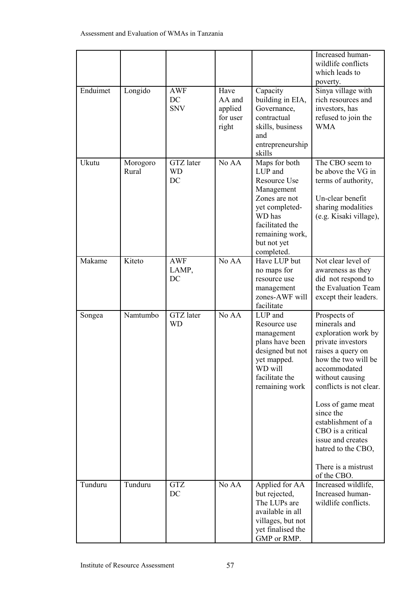|          |                   |                                |                                                |                                                                                                                                                                        | Increased human-<br>wildlife conflicts<br>which leads to<br>poverty.                                                                                                                                                                                                                                                                             |
|----------|-------------------|--------------------------------|------------------------------------------------|------------------------------------------------------------------------------------------------------------------------------------------------------------------------|--------------------------------------------------------------------------------------------------------------------------------------------------------------------------------------------------------------------------------------------------------------------------------------------------------------------------------------------------|
| Enduimet | Longido           | <b>AWF</b><br>DC<br><b>SNV</b> | Have<br>AA and<br>applied<br>for user<br>right | Capacity<br>building in EIA,<br>Governance,<br>contractual<br>skills, business<br>and<br>entrepreneurship<br>skills                                                    | Sinya village with<br>rich resources and<br>investors, has<br>refused to join the<br><b>WMA</b>                                                                                                                                                                                                                                                  |
| Ukutu    | Morogoro<br>Rural | GTZ later<br><b>WD</b><br>DC   | No AA                                          | Maps for both<br>LUP and<br>Resource Use<br>Management<br>Zones are not<br>yet completed-<br>WD has<br>facilitated the<br>remaining work,<br>but not yet<br>completed. | The CBO seem to<br>be above the VG in<br>terms of authority,<br>Un-clear benefit<br>sharing modalities<br>(e.g. Kisaki village),                                                                                                                                                                                                                 |
| Makame   | Kiteto            | <b>AWF</b><br>LAMP,<br>DC      | No AA                                          | Have LUP but<br>no maps for<br>resource use<br>management<br>zones-AWF will<br>facilitate                                                                              | Not clear level of<br>awareness as they<br>did not respond to<br>the Evaluation Team<br>except their leaders.                                                                                                                                                                                                                                    |
| Songea   | Namtumbo          | <b>GTZ</b> later<br><b>WD</b>  | No AA                                          | LUP and<br>Resource use<br>management<br>plans have been<br>designed but not<br>yet mapped.<br>WD will<br>facilitate the<br>remaining work                             | Prospects of<br>minerals and<br>exploration work by<br>private investors<br>raises a query on<br>how the two will be<br>accommodated<br>without causing<br>conflicts is not clear.<br>Loss of game meat<br>since the<br>establishment of a<br>CBO is a critical<br>issue and creates<br>hatred to the CBO,<br>There is a mistrust<br>of the CBO. |
| Tunduru  | Tunduru           | <b>GTZ</b><br>DC               | No AA                                          | Applied for AA<br>but rejected,<br>The LUPs are<br>available in all<br>villages, but not<br>yet finalised the<br>GMP or RMP.                                           | Increased wildlife,<br>Increased human-<br>wildlife conflicts.                                                                                                                                                                                                                                                                                   |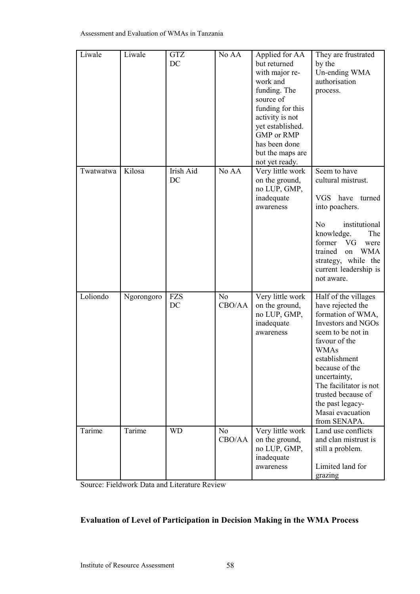| Liwale    | Liwale     | <b>GTZ</b><br>DC | No AA                    | Applied for AA<br>but returned<br>with major re-<br>work and<br>funding. The<br>source of<br>funding for this<br>activity is not<br>yet established.<br><b>GMP</b> or RMP<br>has been done<br>but the maps are<br>not yet ready. | They are frustrated<br>by the<br>Un-ending WMA<br>authorisation<br>process.                                                                                                                                                                                                                                 |
|-----------|------------|------------------|--------------------------|----------------------------------------------------------------------------------------------------------------------------------------------------------------------------------------------------------------------------------|-------------------------------------------------------------------------------------------------------------------------------------------------------------------------------------------------------------------------------------------------------------------------------------------------------------|
| Twatwatwa | Kilosa     | Irish Aid<br>DC  | No AA                    | Very little work<br>on the ground,<br>no LUP, GMP,<br>inadequate<br>awareness                                                                                                                                                    | Seem to have<br>cultural mistrust.<br>VGS have<br>turned<br>into poachers.<br>institutional<br>N <sub>o</sub><br>knowledge.<br>The<br>former<br>VG<br>were<br>trained<br><b>WMA</b><br>on<br>strategy, while the<br>current leadership is<br>not aware.                                                     |
| Loliondo  | Ngorongoro | <b>FZS</b><br>DC | N <sub>o</sub><br>CBO/AA | Very little work<br>on the ground,<br>no LUP, GMP,<br>inadequate<br>awareness                                                                                                                                                    | Half of the villages<br>have rejected the<br>formation of WMA,<br><b>Investors and NGOs</b><br>seem to be not in<br>favour of the<br><b>WMAs</b><br>establishment<br>because of the<br>uncertainty,<br>The facilitator is not<br>trusted because of<br>the past legacy-<br>Masai evacuation<br>from SENAPA. |
| Tarime    | Tarime     | <b>WD</b>        | N <sub>0</sub><br>CBO/AA | Very little work<br>on the ground,<br>no LUP, GMP,<br>inadequate<br>awareness                                                                                                                                                    | Land use conflicts<br>and clan mistrust is<br>still a problem.<br>Limited land for<br>grazing                                                                                                                                                                                                               |

Source: Fieldwork Data and Literature Review

# **Evaluation of Level of Participation in Decision Making in the WMA Process**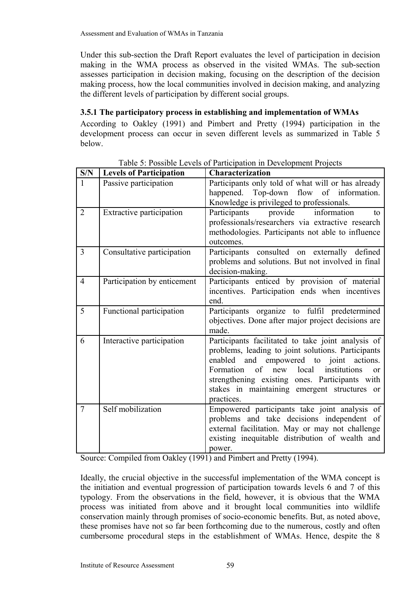Under this sub-section the Draft Report evaluates the level of participation in decision making in the WMA process as observed in the visited WMAs. The sub-section assesses participation in decision making, focusing on the description of the decision making process, how the local communities involved in decision making, and analyzing the different levels of participation by different social groups.

# **3.5.1 The participatory process in establishing and implementation of WMAs**

According to Oakley (1991) and Pimbert and Pretty (1994) participation in the development process can occur in seven different levels as summarized in Table 5 below.

| S/N            | <b>Levels of Participation</b>  | <b>Characterization</b>                                                                                                                                                                                                                                                                                                           |
|----------------|---------------------------------|-----------------------------------------------------------------------------------------------------------------------------------------------------------------------------------------------------------------------------------------------------------------------------------------------------------------------------------|
| $\mathbf{1}$   | Passive participation           | Participants only told of what will or has already<br>happened. Top-down flow of information.<br>Knowledge is privileged to professionals.                                                                                                                                                                                        |
| $\overline{2}$ | <b>Extractive participation</b> | information<br>Participants<br>provide<br>to<br>professionals/researchers via extractive research<br>methodologies. Participants not able to influence<br>outcomes.                                                                                                                                                               |
| 3              | Consultative participation      | Participants consulted on externally defined<br>problems and solutions. But not involved in final<br>decision-making.                                                                                                                                                                                                             |
| $\overline{4}$ | Participation by enticement     | Participants enticed by provision of material<br>incentives. Participation ends when incentives<br>end.                                                                                                                                                                                                                           |
| 5              | Functional participation        | Participants organize to fulfil predetermined<br>objectives. Done after major project decisions are<br>made.                                                                                                                                                                                                                      |
| 6              | Interactive participation       | Participants facilitated to take joint analysis of<br>problems, leading to joint solutions. Participants<br>enabled and empowered to joint actions.<br>Formation of<br>new local<br>institutions<br><sub>or</sub><br>strengthening existing ones. Participants with<br>stakes in maintaining emergent structures or<br>practices. |
| $\overline{7}$ | Self mobilization               | Empowered participants take joint analysis of<br>problems and take decisions independent of<br>external facilitation. May or may not challenge<br>existing inequitable distribution of wealth and<br>power.                                                                                                                       |

Table 5: Possible Levels of Participation in Development Projects

Source: Compiled from Oakley (1991) and Pimbert and Pretty (1994).

Ideally, the crucial objective in the successful implementation of the WMA concept is the initiation and eventual progression of participation towards levels 6 and 7 of this typology. From the observations in the field, however, it is obvious that the WMA process was initiated from above and it brought local communities into wildlife conservation mainly through promises of socio-economic benefits. But, as noted above, these promises have not so far been forthcoming due to the numerous, costly and often cumbersome procedural steps in the establishment of WMAs. Hence, despite the 8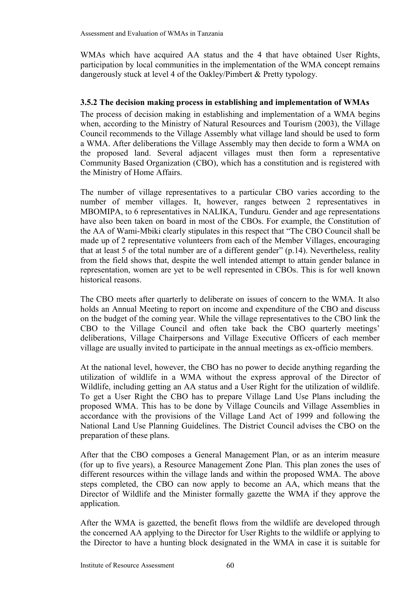WMAs which have acquired AA status and the 4 that have obtained User Rights, participation by local communities in the implementation of the WMA concept remains dangerously stuck at level 4 of the Oakley/Pimbert & Pretty typology.

# **3.5.2 The decision making process in establishing and implementation of WMAs**

The process of decision making in establishing and implementation of a WMA begins when, according to the Ministry of Natural Resources and Tourism (2003), the Village Council recommends to the Village Assembly what village land should be used to form a WMA. After deliberations the Village Assembly may then decide to form a WMA on the proposed land. Several adjacent villages must then form a representative Community Based Organization (CBO), which has a constitution and is registered with the Ministry of Home Affairs.

The number of village representatives to a particular CBO varies according to the number of member villages. It, however, ranges between 2 representatives in MBOMIPA, to 6 representatives in NALIKA, Tunduru. Gender and age representations have also been taken on board in most of the CBOs. For example, the Constitution of the AA of Wami-Mbiki clearly stipulates in this respect that "The CBO Council shall be made up of 2 representative volunteers from each of the Member Villages, encouraging that at least 5 of the total number are of a different gender" (p.14). Nevertheless, reality from the field shows that, despite the well intended attempt to attain gender balance in representation, women are yet to be well represented in CBOs. This is for well known historical reasons.

The CBO meets after quarterly to deliberate on issues of concern to the WMA. It also holds an Annual Meeting to report on income and expenditure of the CBO and discuss on the budget of the coming year. While the village representatives to the CBO link the CBO to the Village Council and often take back the CBO quarterly meetings' deliberations, Village Chairpersons and Village Executive Officers of each member village are usually invited to participate in the annual meetings as ex-officio members.

At the national level, however, the CBO has no power to decide anything regarding the utilization of wildlife in a WMA without the express approval of the Director of Wildlife, including getting an AA status and a User Right for the utilization of wildlife. To get a User Right the CBO has to prepare Village Land Use Plans including the proposed WMA. This has to be done by Village Councils and Village Assemblies in accordance with the provisions of the Village Land Act of 1999 and following the National Land Use Planning Guidelines. The District Council advises the CBO on the preparation of these plans.

After that the CBO composes a General Management Plan, or as an interim measure (for up to five years), a Resource Management Zone Plan. This plan zones the uses of different resources within the village lands and within the proposed WMA. The above steps completed, the CBO can now apply to become an AA, which means that the Director of Wildlife and the Minister formally gazette the WMA if they approve the application.

After the WMA is gazetted, the benefit flows from the wildlife are developed through the concerned AA applying to the Director for User Rights to the wildlife or applying to the Director to have a hunting block designated in the WMA in case it is suitable for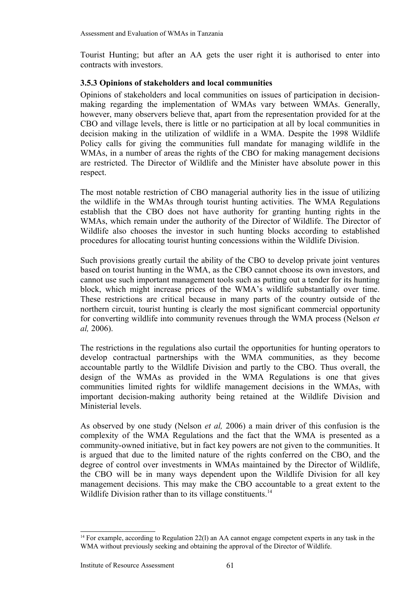Tourist Hunting; but after an AA gets the user right it is authorised to enter into contracts with investors.

# **3.5.3 Opinions of stakeholders and local communities**

Opinions of stakeholders and local communities on issues of participation in decisionmaking regarding the implementation of WMAs vary between WMAs. Generally, however, many observers believe that, apart from the representation provided for at the CBO and village levels, there is little or no participation at all by local communities in decision making in the utilization of wildlife in a WMA. Despite the 1998 Wildlife Policy calls for giving the communities full mandate for managing wildlife in the WMAs, in a number of areas the rights of the CBO for making management decisions are restricted. The Director of Wildlife and the Minister have absolute power in this respect.

The most notable restriction of CBO managerial authority lies in the issue of utilizing the wildlife in the WMAs through tourist hunting activities. The WMA Regulations establish that the CBO does not have authority for granting hunting rights in the WMAs, which remain under the authority of the Director of Wildlife. The Director of Wildlife also chooses the investor in such hunting blocks according to established procedures for allocating tourist hunting concessions within the Wildlife Division.

Such provisions greatly curtail the ability of the CBO to develop private joint ventures based on tourist hunting in the WMA, as the CBO cannot choose its own investors, and cannot use such important management tools such as putting out a tender for its hunting block, which might increase prices of the WMA's wildlife substantially over time. These restrictions are critical because in many parts of the country outside of the northern circuit, tourist hunting is clearly the most significant commercial opportunity for converting wildlife into community revenues through the WMA process (Nelson *et al,* 2006).

The restrictions in the regulations also curtail the opportunities for hunting operators to develop contractual partnerships with the WMA communities, as they become accountable partly to the Wildlife Division and partly to the CBO. Thus overall, the design of the WMAs as provided in the WMA Regulations is one that gives communities limited rights for wildlife management decisions in the WMAs, with important decision-making authority being retained at the Wildlife Division and Ministerial levels.

As observed by one study (Nelson *et al,* 2006) a main driver of this confusion is the complexity of the WMA Regulations and the fact that the WMA is presented as a community-owned initiative, but in fact key powers are not given to the communities. It is argued that due to the limited nature of the rights conferred on the CBO, and the degree of control over investments in WMAs maintained by the Director of Wildlife, the CBO will be in many ways dependent upon the Wildlife Division for all key management decisions. This may make the CBO accountable to a great extent to the Wildlife Division rather than to its village constituents.<sup>[14](#page-66-0)</sup>

<span id="page-66-0"></span><sup>14</sup> For example, according to Regulation 22(l) an AA cannot engage competent experts in any task in the WMA without previously seeking and obtaining the approval of the Director of Wildlife.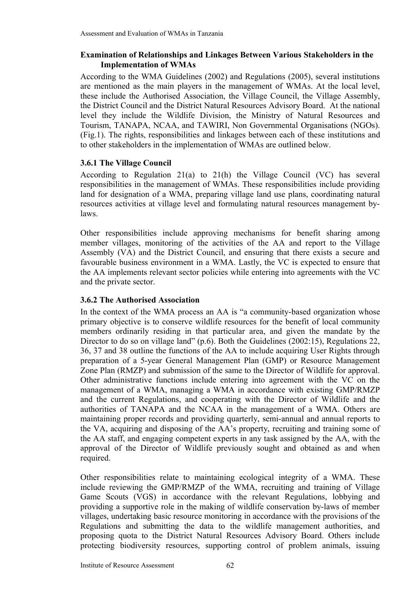### **Examination of Relationships and Linkages Between Various Stakeholders in the Implementation of WMAs**

According to the WMA Guidelines (2002) and Regulations (2005), several institutions are mentioned as the main players in the management of WMAs. At the local level, these include the Authorised Association, the Village Council, the Village Assembly, the District Council and the District Natural Resources Advisory Board. At the national level they include the Wildlife Division, the Ministry of Natural Resources and Tourism, TANAPA, NCAA, and TAWIRI, Non Governmental Organisations (NGOs). (Fig.1). The rights, responsibilities and linkages between each of these institutions and to other stakeholders in the implementation of WMAs are outlined below.

### **3.6.1 The Village Council**

According to Regulation 21(a) to 21(h) the Village Council (VC) has several responsibilities in the management of WMAs. These responsibilities include providing land for designation of a WMA, preparing village land use plans, coordinating natural resources activities at village level and formulating natural resources management bylaws.

Other responsibilities include approving mechanisms for benefit sharing among member villages, monitoring of the activities of the AA and report to the Village Assembly (VA) and the District Council, and ensuring that there exists a secure and favourable business environment in a WMA. Lastly, the VC is expected to ensure that the AA implements relevant sector policies while entering into agreements with the VC and the private sector.

### **3.6.2 The Authorised Association**

In the context of the WMA process an AA is "a community-based organization whose primary objective is to conserve wildlife resources for the benefit of local community members ordinarily residing in that particular area, and given the mandate by the Director to do so on village land" (p.6). Both the Guidelines (2002:15), Regulations 22, 36, 37 and 38 outline the functions of the AA to include acquiring User Rights through preparation of a 5-year General Management Plan (GMP) or Resource Management Zone Plan (RMZP) and submission of the same to the Director of Wildlife for approval. Other administrative functions include entering into agreement with the VC on the management of a WMA, managing a WMA in accordance with existing GMP/RMZP and the current Regulations, and cooperating with the Director of Wildlife and the authorities of TANAPA and the NCAA in the management of a WMA. Others are maintaining proper records and providing quarterly, semi-annual and annual reports to the VA, acquiring and disposing of the AA's property, recruiting and training some of the AA staff, and engaging competent experts in any task assigned by the AA, with the approval of the Director of Wildlife previously sought and obtained as and when required.

Other responsibilities relate to maintaining ecological integrity of a WMA. These include reviewing the GMP/RMZP of the WMA, recruiting and training of Village Game Scouts (VGS) in accordance with the relevant Regulations, lobbying and providing a supportive role in the making of wildlife conservation by-laws of member villages, undertaking basic resource monitoring in accordance with the provisions of the Regulations and submitting the data to the wildlife management authorities, and proposing quota to the District Natural Resources Advisory Board. Others include protecting biodiversity resources, supporting control of problem animals, issuing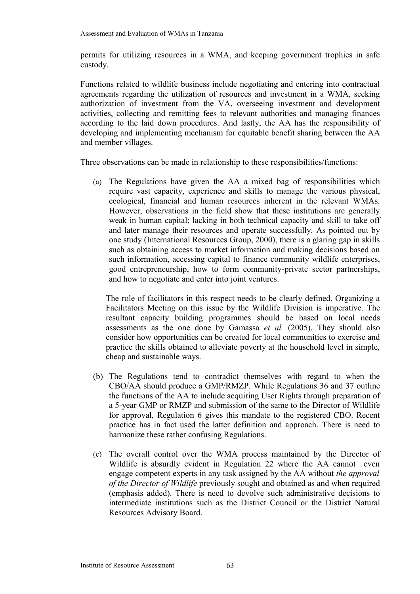permits for utilizing resources in a WMA, and keeping government trophies in safe custody.

Functions related to wildlife business include negotiating and entering into contractual agreements regarding the utilization of resources and investment in a WMA, seeking authorization of investment from the VA, overseeing investment and development activities, collecting and remitting fees to relevant authorities and managing finances according to the laid down procedures. And lastly, the AA has the responsibility of developing and implementing mechanism for equitable benefit sharing between the AA and member villages.

Three observations can be made in relationship to these responsibilities/functions:

(a) The Regulations have given the AA a mixed bag of responsibilities which require vast capacity, experience and skills to manage the various physical, ecological, financial and human resources inherent in the relevant WMAs. However, observations in the field show that these institutions are generally weak in human capital; lacking in both technical capacity and skill to take off and later manage their resources and operate successfully. As pointed out by one study (International Resources Group, 2000), there is a glaring gap in skills such as obtaining access to market information and making decisions based on such information, accessing capital to finance community wildlife enterprises, good entrepreneurship, how to form community-private sector partnerships, and how to negotiate and enter into joint ventures.

The role of facilitators in this respect needs to be clearly defined. Organizing a Facilitators Meeting on this issue by the Wildlife Division is imperative. The resultant capacity building programmes should be based on local needs assessments as the one done by Gamassa *et al.* (2005). They should also consider how opportunities can be created for local communities to exercise and practice the skills obtained to alleviate poverty at the household level in simple, cheap and sustainable ways.

- (b) The Regulations tend to contradict themselves with regard to when the CBO/AA should produce a GMP/RMZP. While Regulations 36 and 37 outline the functions of the AA to include acquiring User Rights through preparation of a 5-year GMP or RMZP and submission of the same to the Director of Wildlife for approval, Regulation 6 gives this mandate to the registered CBO. Recent practice has in fact used the latter definition and approach. There is need to harmonize these rather confusing Regulations.
- (c) The overall control over the WMA process maintained by the Director of Wildlife is absurdly evident in Regulation 22 where the AA cannot even engage competent experts in any task assigned by the AA without *the approval of the Director of Wildlife* previously sought and obtained as and when required (emphasis added). There is need to devolve such administrative decisions to intermediate institutions such as the District Council or the District Natural Resources Advisory Board.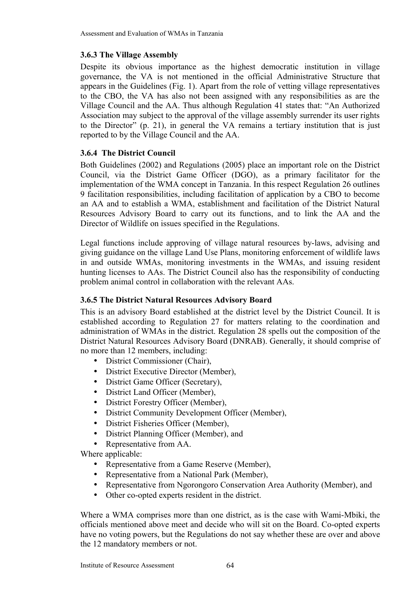# **3.6.3 The Village Assembly**

Despite its obvious importance as the highest democratic institution in village governance, the VA is not mentioned in the official Administrative Structure that appears in the Guidelines (Fig. 1). Apart from the role of vetting village representatives to the CBO, the VA has also not been assigned with any responsibilities as are the Village Council and the AA. Thus although Regulation 41 states that: "An Authorized Association may subject to the approval of the village assembly surrender its user rights to the Director" (p. 21), in general the VA remains a tertiary institution that is just reported to by the Village Council and the AA.

# **3.6.4 The District Council**

Both Guidelines (2002) and Regulations (2005) place an important role on the District Council, via the District Game Officer (DGO), as a primary facilitator for the implementation of the WMA concept in Tanzania. In this respect Regulation 26 outlines 9 facilitation responsibilities, including facilitation of application by a CBO to become an AA and to establish a WMA, establishment and facilitation of the District Natural Resources Advisory Board to carry out its functions, and to link the AA and the Director of Wildlife on issues specified in the Regulations.

Legal functions include approving of village natural resources by-laws, advising and giving guidance on the village Land Use Plans, monitoring enforcement of wildlife laws in and outside WMAs, monitoring investments in the WMAs, and issuing resident hunting licenses to AAs. The District Council also has the responsibility of conducting problem animal control in collaboration with the relevant AAs.

# **3.6.5 The District Natural Resources Advisory Board**

This is an advisory Board established at the district level by the District Council. It is established according to Regulation 27 for matters relating to the coordination and administration of WMAs in the district. Regulation 28 spells out the composition of the District Natural Resources Advisory Board (DNRAB). Generally, it should comprise of no more than 12 members, including:

- District Commissioner (Chair),
- District Executive Director (Member),
- District Game Officer (Secretary),
- District Land Officer (Member),
- District Forestry Officer (Member),
- District Community Development Officer (Member),
- District Fisheries Officer (Member),
- District Planning Officer (Member), and
- Representative from AA.

Where applicable:

- Representative from a Game Reserve (Member),
- Representative from a National Park (Member),
- Representative from Ngorongoro Conservation Area Authority (Member), and
- Other co-opted experts resident in the district.

Where a WMA comprises more than one district, as is the case with Wami-Mbiki, the officials mentioned above meet and decide who will sit on the Board. Co-opted experts have no voting powers, but the Regulations do not say whether these are over and above the 12 mandatory members or not.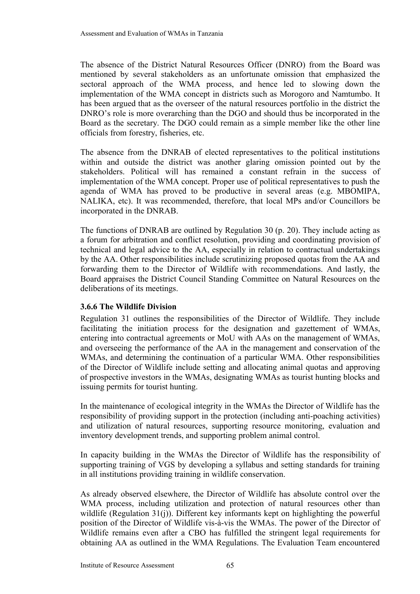The absence of the District Natural Resources Officer (DNRO) from the Board was mentioned by several stakeholders as an unfortunate omission that emphasized the sectoral approach of the WMA process, and hence led to slowing down the implementation of the WMA concept in districts such as Morogoro and Namtumbo. It has been argued that as the overseer of the natural resources portfolio in the district the DNRO's role is more overarching than the DGO and should thus be incorporated in the Board as the secretary. The DGO could remain as a simple member like the other line officials from forestry, fisheries, etc.

The absence from the DNRAB of elected representatives to the political institutions within and outside the district was another glaring omission pointed out by the stakeholders. Political will has remained a constant refrain in the success of implementation of the WMA concept. Proper use of political representatives to push the agenda of WMA has proved to be productive in several areas (e.g. MBOMIPA, NALIKA, etc). It was recommended, therefore, that local MPs and/or Councillors be incorporated in the DNRAB.

The functions of DNRAB are outlined by Regulation 30 (p. 20). They include acting as a forum for arbitration and conflict resolution, providing and coordinating provision of technical and legal advice to the AA, especially in relation to contractual undertakings by the AA. Other responsibilities include scrutinizing proposed quotas from the AA and forwarding them to the Director of Wildlife with recommendations. And lastly, the Board appraises the District Council Standing Committee on Natural Resources on the deliberations of its meetings.

# **3.6.6 The Wildlife Division**

Regulation 31 outlines the responsibilities of the Director of Wildlife. They include facilitating the initiation process for the designation and gazettement of WMAs, entering into contractual agreements or MoU with AAs on the management of WMAs, and overseeing the performance of the AA in the management and conservation of the WMAs, and determining the continuation of a particular WMA. Other responsibilities of the Director of Wildlife include setting and allocating animal quotas and approving of prospective investors in the WMAs, designating WMAs as tourist hunting blocks and issuing permits for tourist hunting.

In the maintenance of ecological integrity in the WMAs the Director of Wildlife has the responsibility of providing support in the protection (including anti-poaching activities) and utilization of natural resources, supporting resource monitoring, evaluation and inventory development trends, and supporting problem animal control.

In capacity building in the WMAs the Director of Wildlife has the responsibility of supporting training of VGS by developing a syllabus and setting standards for training in all institutions providing training in wildlife conservation.

As already observed elsewhere, the Director of Wildlife has absolute control over the WMA process, including utilization and protection of natural resources other than wildlife (Regulation 31(j)). Different key informants kept on highlighting the powerful position of the Director of Wildlife vis-à-vis the WMAs. The power of the Director of Wildlife remains even after a CBO has fulfilled the stringent legal requirements for obtaining AA as outlined in the WMA Regulations. The Evaluation Team encountered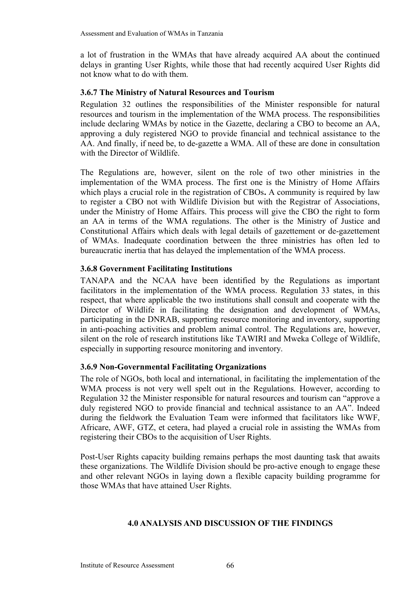a lot of frustration in the WMAs that have already acquired AA about the continued delays in granting User Rights, while those that had recently acquired User Rights did not know what to do with them.

# **3.6.7 The Ministry of Natural Resources and Tourism**

Regulation 32 outlines the responsibilities of the Minister responsible for natural resources and tourism in the implementation of the WMA process. The responsibilities include declaring WMAs by notice in the Gazette, declaring a CBO to become an AA, approving a duly registered NGO to provide financial and technical assistance to the AA. And finally, if need be, to de-gazette a WMA. All of these are done in consultation with the Director of Wildlife.

The Regulations are, however, silent on the role of two other ministries in the implementation of the WMA process. The first one is the Ministry of Home Affairs which plays a crucial role in the registration of CBOs**.** A community is required by law to register a CBO not with Wildlife Division but with the Registrar of Associations, under the Ministry of Home Affairs. This process will give the CBO the right to form an AA in terms of the WMA regulations. The other is the Ministry of Justice and Constitutional Affairs which deals with legal details of gazettement or de-gazettement of WMAs. Inadequate coordination between the three ministries has often led to bureaucratic inertia that has delayed the implementation of the WMA process.

### **3.6.8 Government Facilitating Institutions**

TANAPA and the NCAA have been identified by the Regulations as important facilitators in the implementation of the WMA process. Regulation 33 states, in this respect, that where applicable the two institutions shall consult and cooperate with the Director of Wildlife in facilitating the designation and development of WMAs, participating in the DNRAB, supporting resource monitoring and inventory, supporting in anti-poaching activities and problem animal control. The Regulations are, however, silent on the role of research institutions like TAWIRI and Mweka College of Wildlife, especially in supporting resource monitoring and inventory.

#### **3.6.9 Non-Governmental Facilitating Organizations**

The role of NGOs, both local and international, in facilitating the implementation of the WMA process is not very well spelt out in the Regulations. However, according to Regulation 32 the Minister responsible for natural resources and tourism can "approve a duly registered NGO to provide financial and technical assistance to an AA". Indeed during the fieldwork the Evaluation Team were informed that facilitators like WWF, Africare, AWF, GTZ, et cetera, had played a crucial role in assisting the WMAs from registering their CBOs to the acquisition of User Rights.

Post-User Rights capacity building remains perhaps the most daunting task that awaits these organizations. The Wildlife Division should be pro-active enough to engage these and other relevant NGOs in laying down a flexible capacity building programme for those WMAs that have attained User Rights.

#### **4.0 ANALYSIS AND DISCUSSION OF THE FINDINGS**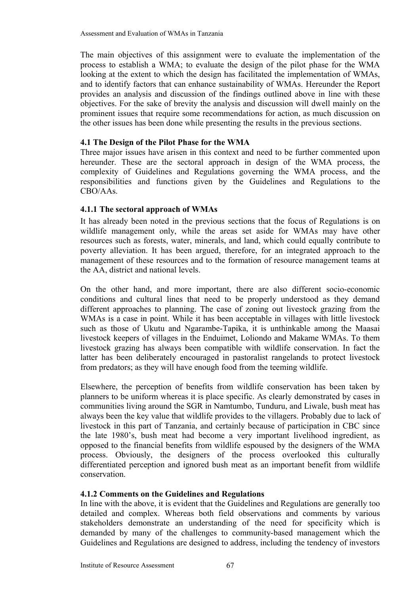The main objectives of this assignment were to evaluate the implementation of the process to establish a WMA; to evaluate the design of the pilot phase for the WMA looking at the extent to which the design has facilitated the implementation of WMAs, and to identify factors that can enhance sustainability of WMAs. Hereunder the Report provides an analysis and discussion of the findings outlined above in line with these objectives. For the sake of brevity the analysis and discussion will dwell mainly on the prominent issues that require some recommendations for action, as much discussion on the other issues has been done while presenting the results in the previous sections.

#### **4.1 The Design of the Pilot Phase for the WMA**

Three major issues have arisen in this context and need to be further commented upon hereunder. These are the sectoral approach in design of the WMA process, the complexity of Guidelines and Regulations governing the WMA process, and the responsibilities and functions given by the Guidelines and Regulations to the CBO/AAs.

## **4.1.1 The sectoral approach of WMAs**

It has already been noted in the previous sections that the focus of Regulations is on wildlife management only, while the areas set aside for WMAs may have other resources such as forests, water, minerals, and land, which could equally contribute to poverty alleviation. It has been argued, therefore, for an integrated approach to the management of these resources and to the formation of resource management teams at the AA, district and national levels.

On the other hand, and more important, there are also different socio-economic conditions and cultural lines that need to be properly understood as they demand different approaches to planning. The case of zoning out livestock grazing from the WMAs is a case in point. While it has been acceptable in villages with little livestock such as those of Ukutu and Ngarambe-Tapika, it is unthinkable among the Maasai livestock keepers of villages in the Enduimet, Loliondo and Makame WMAs. To them livestock grazing has always been compatible with wildlife conservation. In fact the latter has been deliberately encouraged in pastoralist rangelands to protect livestock from predators; as they will have enough food from the teeming wildlife.

Elsewhere, the perception of benefits from wildlife conservation has been taken by planners to be uniform whereas it is place specific. As clearly demonstrated by cases in communities living around the SGR in Namtumbo, Tunduru, and Liwale, bush meat has always been the key value that wildlife provides to the villagers. Probably due to lack of livestock in this part of Tanzania, and certainly because of participation in CBC since the late 1980's, bush meat had become a very important livelihood ingredient, as opposed to the financial benefits from wildlife espoused by the designers of the WMA process. Obviously, the designers of the process overlooked this culturally differentiated perception and ignored bush meat as an important benefit from wildlife conservation.

## **4.1.2 Comments on the Guidelines and Regulations**

In line with the above, it is evident that the Guidelines and Regulations are generally too detailed and complex. Whereas both field observations and comments by various stakeholders demonstrate an understanding of the need for specificity which is demanded by many of the challenges to community-based management which the Guidelines and Regulations are designed to address, including the tendency of investors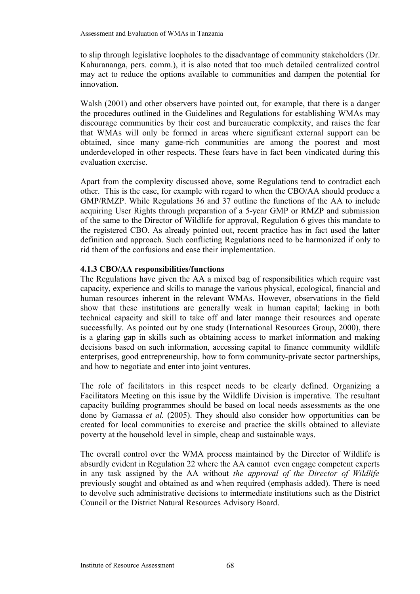to slip through legislative loopholes to the disadvantage of community stakeholders (Dr. Kahurananga, pers. comm.), it is also noted that too much detailed centralized control may act to reduce the options available to communities and dampen the potential for innovation.

Walsh (2001) and other observers have pointed out, for example, that there is a danger the procedures outlined in the Guidelines and Regulations for establishing WMAs may discourage communities by their cost and bureaucratic complexity, and raises the fear that WMAs will only be formed in areas where significant external support can be obtained, since many game-rich communities are among the poorest and most underdeveloped in other respects. These fears have in fact been vindicated during this evaluation exercise.

Apart from the complexity discussed above, some Regulations tend to contradict each other. This is the case, for example with regard to when the CBO/AA should produce a GMP/RMZP. While Regulations 36 and 37 outline the functions of the AA to include acquiring User Rights through preparation of a 5-year GMP or RMZP and submission of the same to the Director of Wildlife for approval, Regulation 6 gives this mandate to the registered CBO. As already pointed out, recent practice has in fact used the latter definition and approach. Such conflicting Regulations need to be harmonized if only to rid them of the confusions and ease their implementation.

#### **4.1.3 CBO/AA responsibilities/functions**

The Regulations have given the AA a mixed bag of responsibilities which require vast capacity, experience and skills to manage the various physical, ecological, financial and human resources inherent in the relevant WMAs. However, observations in the field show that these institutions are generally weak in human capital; lacking in both technical capacity and skill to take off and later manage their resources and operate successfully. As pointed out by one study (International Resources Group, 2000), there is a glaring gap in skills such as obtaining access to market information and making decisions based on such information, accessing capital to finance community wildlife enterprises, good entrepreneurship, how to form community-private sector partnerships, and how to negotiate and enter into joint ventures.

The role of facilitators in this respect needs to be clearly defined. Organizing a Facilitators Meeting on this issue by the Wildlife Division is imperative. The resultant capacity building programmes should be based on local needs assessments as the one done by Gamassa *et al.* (2005). They should also consider how opportunities can be created for local communities to exercise and practice the skills obtained to alleviate poverty at the household level in simple, cheap and sustainable ways.

The overall control over the WMA process maintained by the Director of Wildlife is absurdly evident in Regulation 22 where the AA cannot even engage competent experts in any task assigned by the AA without *the approval of the Director of Wildlife* previously sought and obtained as and when required (emphasis added). There is need to devolve such administrative decisions to intermediate institutions such as the District Council or the District Natural Resources Advisory Board.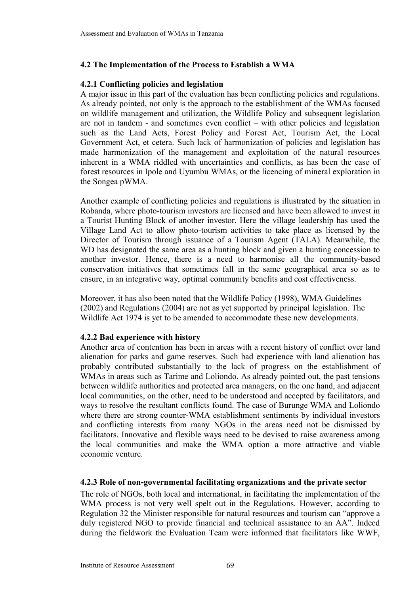## **4.2 The Implementation of the Process to Establish a WMA**

#### **4.2.1 Conflicting policies and legislation**

A major issue in this part of the evaluation has been conflicting policies and regulations. As already pointed, not only is the approach to the establishment of the WMAs focused on wildlife management and utilization, the Wildlife Policy and subsequent legislation are not in tandem - and sometimes even conflict – with other policies and legislation such as the Land Acts, Forest Policy and Forest Act, Tourism Act, the Local Government Act, et cetera. Such lack of harmonization of policies and legislation has made harmonization of the management and exploitation of the natural resources inherent in a WMA riddled with uncertainties and conflicts, as has been the case of forest resources in Ipole and Uyumbu WMAs, or the licencing of mineral exploration in the Songea pWMA.

Another example of conflicting policies and regulations is illustrated by the situation in Robanda, where photo-tourism investors are licensed and have been allowed to invest in a Tourist Hunting Block of another investor. Here the village leadership has used the Village Land Act to allow photo-tourism activities to take place as licensed by the Director of Tourism through issuance of a Tourism Agent (TALA). Meanwhile, the WD has designated the same area as a hunting block and given a hunting concession to another investor. Hence, there is a need to harmonise all the community-based conservation initiatives that sometimes fall in the same geographical area so as to ensure, in an integrative way, optimal community benefits and cost effectiveness.

Moreover, it has also been noted that the Wildlife Policy (1998), WMA Guidelines (2002) and Regulations (2004) are not as yet supported by principal legislation. The Wildlife Act 1974 is yet to be amended to accommodate these new developments.

#### **4.2.2 Bad experience with history**

Another area of contention has been in areas with a recent history of conflict over land alienation for parks and game reserves. Such bad experience with land alienation has probably contributed substantially to the lack of progress on the establishment of WMAs in areas such as Tarime and Loliondo. As already pointed out, the past tensions between wildlife authorities and protected area managers, on the one hand, and adjacent local communities, on the other, need to be understood and accepted by facilitators, and ways to resolve the resultant conflicts found. The case of Burunge WMA and Loliondo where there are strong counter-WMA establishment sentiments by individual investors and conflicting interests from many NGOs in the areas need not be dismissed by facilitators. Innovative and flexible ways need to be devised to raise awareness among the local communities and make the WMA option a more attractive and viable economic venture.

#### **4.2.3 Role of non-governmental facilitating organizations and the private sector**

The role of NGOs, both local and international, in facilitating the implementation of the WMA process is not very well spelt out in the Regulations. However, according to Regulation 32 the Minister responsible for natural resources and tourism can "approve a duly registered NGO to provide financial and technical assistance to an AA". Indeed during the fieldwork the Evaluation Team were informed that facilitators like WWF,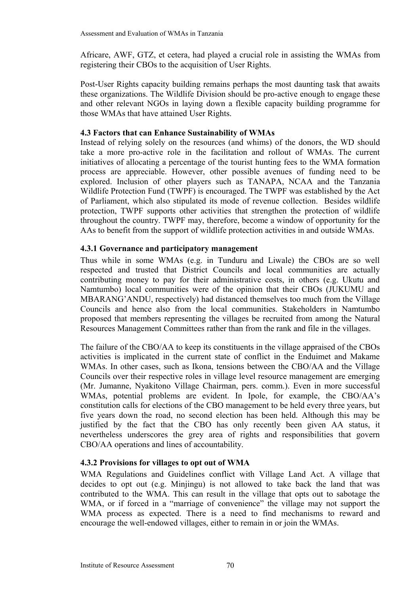Africare, AWF, GTZ, et cetera, had played a crucial role in assisting the WMAs from registering their CBOs to the acquisition of User Rights.

Post-User Rights capacity building remains perhaps the most daunting task that awaits these organizations. The Wildlife Division should be pro-active enough to engage these and other relevant NGOs in laying down a flexible capacity building programme for those WMAs that have attained User Rights.

## **4.3 Factors that can Enhance Sustainability of WMAs**

Instead of relying solely on the resources (and whims) of the donors, the WD should take a more pro-active role in the facilitation and rollout of WMAs. The current initiatives of allocating a percentage of the tourist hunting fees to the WMA formation process are appreciable. However, other possible avenues of funding need to be explored. Inclusion of other players such as TANAPA, NCAA and the Tanzania Wildlife Protection Fund (TWPF) is encouraged. The TWPF was established by the Act of Parliament, which also stipulated its mode of revenue collection. Besides wildlife protection, TWPF supports other activities that strengthen the protection of wildlife throughout the country. TWPF may, therefore, become a window of opportunity for the AAs to benefit from the support of wildlife protection activities in and outside WMAs.

#### **4.3.1 Governance and participatory management**

Thus while in some WMAs (e.g. in Tunduru and Liwale) the CBOs are so well respected and trusted that District Councils and local communities are actually contributing money to pay for their administrative costs, in others (e.g. Ukutu and Namtumbo) local communities were of the opinion that their CBOs (JUKUMU and MBARANG'ANDU, respectively) had distanced themselves too much from the Village Councils and hence also from the local communities. Stakeholders in Namtumbo proposed that members representing the villages be recruited from among the Natural Resources Management Committees rather than from the rank and file in the villages.

The failure of the CBO/AA to keep its constituents in the village appraised of the CBOs activities is implicated in the current state of conflict in the Enduimet and Makame WMAs. In other cases, such as Ikona, tensions between the CBO/AA and the Village Councils over their respective roles in village level resource management are emerging (Mr. Jumanne, Nyakitono Village Chairman, pers. comm.). Even in more successful WMAs, potential problems are evident. In Ipole, for example, the CBO/AA's constitution calls for elections of the CBO management to be held every three years, but five years down the road, no second election has been held. Although this may be justified by the fact that the CBO has only recently been given AA status, it nevertheless underscores the grey area of rights and responsibilities that govern CBO/AA operations and lines of accountability.

## **4.3.2 Provisions for villages to opt out of WMA**

WMA Regulations and Guidelines conflict with Village Land Act. A village that decides to opt out (e.g. Minjingu) is not allowed to take back the land that was contributed to the WMA. This can result in the village that opts out to sabotage the WMA, or if forced in a "marriage of convenience" the village may not support the WMA process as expected. There is a need to find mechanisms to reward and encourage the well-endowed villages, either to remain in or join the WMAs.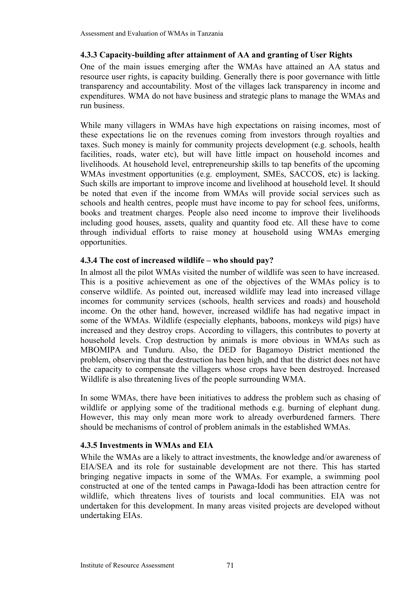## **4.3.3 Capacity-building after attainment of AA and granting of User Rights**

One of the main issues emerging after the WMAs have attained an AA status and resource user rights, is capacity building. Generally there is poor governance with little transparency and accountability. Most of the villages lack transparency in income and expenditures. WMA do not have business and strategic plans to manage the WMAs and run business.

While many villagers in WMAs have high expectations on raising incomes, most of these expectations lie on the revenues coming from investors through royalties and taxes. Such money is mainly for community projects development (e.g. schools, health facilities, roads, water etc), but will have little impact on household incomes and livelihoods. At household level, entrepreneurship skills to tap benefits of the upcoming WMAs investment opportunities (e.g. employment, SMEs, SACCOS, etc) is lacking. Such skills are important to improve income and livelihood at household level. It should be noted that even if the income from WMAs will provide social services such as schools and health centres, people must have income to pay for school fees, uniforms, books and treatment charges. People also need income to improve their livelihoods including good houses, assets, quality and quantity food etc. All these have to come through individual efforts to raise money at household using WMAs emerging opportunities.

## **4.3.4 The cost of increased wildlife – who should pay?**

In almost all the pilot WMAs visited the number of wildlife was seen to have increased. This is a positive achievement as one of the objectives of the WMAs policy is to conserve wildlife. As pointed out, increased wildlife may lead into increased village incomes for community services (schools, health services and roads) and household income. On the other hand, however, increased wildlife has had negative impact in some of the WMAs. Wildlife (especially elephants, baboons, monkeys wild pigs) have increased and they destroy crops. According to villagers, this contributes to poverty at household levels. Crop destruction by animals is more obvious in WMAs such as MBOMIPA and Tunduru. Also, the DED for Bagamoyo District mentioned the problem, observing that the destruction has been high, and that the district does not have the capacity to compensate the villagers whose crops have been destroyed. Increased Wildlife is also threatening lives of the people surrounding WMA.

In some WMAs, there have been initiatives to address the problem such as chasing of wildlife or applying some of the traditional methods e.g. burning of elephant dung. However, this may only mean more work to already overburdened farmers. There should be mechanisms of control of problem animals in the established WMAs.

## **4.3.5 Investments in WMAs and EIA**

While the WMAs are a likely to attract investments, the knowledge and/or awareness of EIA/SEA and its role for sustainable development are not there. This has started bringing negative impacts in some of the WMAs. For example, a swimming pool constructed at one of the tented camps in Pawaga-Idodi has been attraction centre for wildlife, which threatens lives of tourists and local communities. EIA was not undertaken for this development. In many areas visited projects are developed without undertaking EIAs.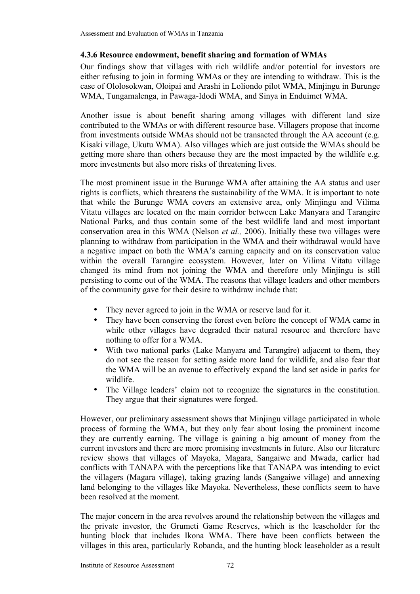## **4.3.6 Resource endowment, benefit sharing and formation of WMAs**

Our findings show that villages with rich wildlife and/or potential for investors are either refusing to join in forming WMAs or they are intending to withdraw. This is the case of Ololosokwan, Oloipai and Arashi in Loliondo pilot WMA, Minjingu in Burunge WMA, Tungamalenga, in Pawaga-Idodi WMA, and Sinya in Enduimet WMA.

Another issue is about benefit sharing among villages with different land size contributed to the WMAs or with different resource base. Villagers propose that income from investments outside WMAs should not be transacted through the AA account (e.g. Kisaki village, Ukutu WMA). Also villages which are just outside the WMAs should be getting more share than others because they are the most impacted by the wildlife e.g. more investments but also more risks of threatening lives.

The most prominent issue in the Burunge WMA after attaining the AA status and user rights is conflicts, which threatens the sustainability of the WMA. It is important to note that while the Burunge WMA covers an extensive area, only Minjingu and Vilima Vitatu villages are located on the main corridor between Lake Manyara and Tarangire National Parks, and thus contain some of the best wildlife land and most important conservation area in this WMA (Nelson *et al.,* 2006). Initially these two villages were planning to withdraw from participation in the WMA and their withdrawal would have a negative impact on both the WMA's earning capacity and on its conservation value within the overall Tarangire ecosystem. However, later on Vilima Vitatu village changed its mind from not joining the WMA and therefore only Minjingu is still persisting to come out of the WMA. The reasons that village leaders and other members of the community gave for their desire to withdraw include that:

- They never agreed to join in the WMA or reserve land for it.
- They have been conserving the forest even before the concept of WMA came in while other villages have degraded their natural resource and therefore have nothing to offer for a WMA.
- With two national parks (Lake Manyara and Tarangire) adjacent to them, they do not see the reason for setting aside more land for wildlife, and also fear that the WMA will be an avenue to effectively expand the land set aside in parks for wildlife.
- The Village leaders' claim not to recognize the signatures in the constitution. They argue that their signatures were forged.

However, our preliminary assessment shows that Minjingu village participated in whole process of forming the WMA, but they only fear about losing the prominent income they are currently earning. The village is gaining a big amount of money from the current investors and there are more promising investments in future. Also our literature review shows that villages of Mayoka, Magara, Sangaiwe and Mwada, earlier had conflicts with TANAPA with the perceptions like that TANAPA was intending to evict the villagers (Magara village), taking grazing lands (Sangaiwe village) and annexing land belonging to the villages like Mayoka. Nevertheless, these conflicts seem to have been resolved at the moment.

The major concern in the area revolves around the relationship between the villages and the private investor, the Grumeti Game Reserves, which is the leaseholder for the hunting block that includes Ikona WMA. There have been conflicts between the villages in this area, particularly Robanda, and the hunting block leaseholder as a result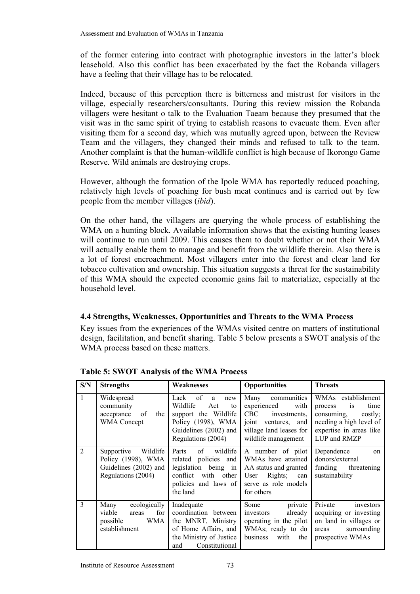of the former entering into contract with photographic investors in the latter's block leasehold. Also this conflict has been exacerbated by the fact the Robanda villagers have a feeling that their village has to be relocated.

Indeed, because of this perception there is bitterness and mistrust for visitors in the village, especially researchers/consultants. During this review mission the Robanda villagers were hesitant o talk to the Evaluation Taeam because they presumed that the visit was in the same spirit of trying to establish reasons to evacuate them. Even after visiting them for a second day, which was mutually agreed upon, between the Review Team and the villagers, they changed their minds and refused to talk to the team. Another complaint is that the human-wildlife conflict is high because of Ikorongo Game Reserve. Wild animals are destroying crops.

However, although the formation of the Ipole WMA has reportedly reduced poaching, relatively high levels of poaching for bush meat continues and is carried out by few people from the member villages (*ibid*).

On the other hand, the villagers are querying the whole process of establishing the WMA on a hunting block. Available information shows that the existing hunting leases will continue to run until 2009. This causes them to doubt whether or not their WMA will actually enable them to manage and benefit from the wildlife therein. Also there is a lot of forest encroachment. Most villagers enter into the forest and clear land for tobacco cultivation and ownership. This situation suggests a threat for the sustainability of this WMA should the expected economic gains fail to materialize, especially at the household level.

## **4.4 Strengths, Weaknesses, Opportunities and Threats to the WMA Process**

Key issues from the experiences of the WMAs visited centre on matters of institutional design, facilitation, and benefit sharing. Table 5 below presents a SWOT analysis of the WMA process based on these matters.

| S/N           | <b>Strengths</b>                                                                            | Weaknesses                                                                                                                                   | <b>Opportunities</b>                                                                                                                          | <b>Threats</b>                                                                                                                                    |
|---------------|---------------------------------------------------------------------------------------------|----------------------------------------------------------------------------------------------------------------------------------------------|-----------------------------------------------------------------------------------------------------------------------------------------------|---------------------------------------------------------------------------------------------------------------------------------------------------|
| $\mathbf{1}$  | Widespread<br>community<br>acceptance<br>of<br>the<br><b>WMA</b> Concept                    | of<br>Lack<br>a<br>new<br>Wildlife<br>Act<br>to<br>support the Wildlife<br>Policy (1998), WMA<br>Guidelines (2002) and<br>Regulations (2004) | communities<br>Many<br>experienced<br>with<br>CBC<br>investments,<br>joint<br>ventures, and<br>village land leases for<br>wildlife management | WMAs establishment<br><i>is</i><br>time<br>process<br>consuming,<br>costly;<br>needing a high level of<br>expertise in areas like<br>LUP and RMZP |
| 2             | Wildlife<br>Supportive<br>Policy (1998), WMA<br>Guidelines (2002) and<br>Regulations (2004) | wildlife<br>of<br>Parts<br>related policies and<br>legislation being in<br>conflict with other<br>policies and laws of<br>the land           | A number of pilot<br>WMAs have attained<br>AA status and granted<br>Rights;<br>User<br>can<br>serve as role models<br>for others              | Dependence<br>$\alpha$<br>donors/external<br>funding threatening<br>sustainability                                                                |
| $\mathcal{E}$ | ecologically<br>Many<br>for<br>viable<br>areas<br>WMA<br>possible<br>establishment          | Inadequate<br>coordination between<br>the MNRT, Ministry<br>of Home Affairs, and<br>the Ministry of Justice<br>Constitutional<br>and         | Some<br>private<br>already<br>investors<br>operating in the pilot<br>WMAs; ready to do<br>business<br>with<br>the                             | Private<br>investors<br>acquiring or investing<br>on land in villages or<br>surrounding<br>areas<br>prospective WMAs                              |

**Table 5: SWOT Analysis of the WMA Process**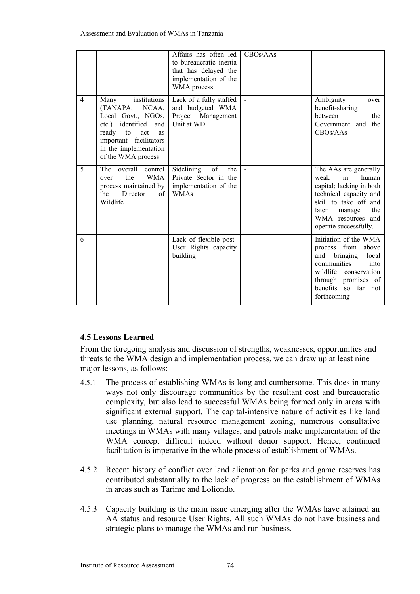|                |                                                                                                                                                                                                        | Affairs has often led<br>to bureaucratic inertia<br>that has delayed the<br>implementation of the<br>WMA process | CBOS/AAs     |                                                                                                                                                                                                             |
|----------------|--------------------------------------------------------------------------------------------------------------------------------------------------------------------------------------------------------|------------------------------------------------------------------------------------------------------------------|--------------|-------------------------------------------------------------------------------------------------------------------------------------------------------------------------------------------------------------|
| $\overline{4}$ | institutions<br>Many<br>(TANAPA, NCAA,<br>Local Govt., NGOs,<br>identified<br>$etc.$ )<br>and<br>ready to<br>act<br><b>as</b><br>important facilitators<br>in the implementation<br>of the WMA process | Lack of a fully staffed<br>and budgeted WMA<br>Project Management<br>Unit at WD                                  | $\mathbf{r}$ | Ambiguity<br>over<br>benefit-sharing<br>between<br>the<br>Government and<br>the<br>CBOs/AAs                                                                                                                 |
| 5              | overall control<br>The<br>the<br><b>WMA</b><br>over<br>process maintained by<br>Director<br>the<br>of<br>Wildlife                                                                                      | of<br>Sidelining<br>the<br>Private Sector in the<br>implementation of the<br><b>WMAs</b>                         |              | The AAs are generally<br>in<br>weak<br>human<br>capital; lacking in both<br>technical capacity and<br>skill to take off and<br>the<br>later<br>manage<br>WMA resources and<br>operate successfully.         |
| 6              |                                                                                                                                                                                                        | Lack of flexible post-<br>User Rights capacity<br>building                                                       |              | Initiation of the WMA<br>process from<br>above<br>local<br>bringing<br>and<br>communities<br>into<br>wildlife conservation<br>through promises of<br>benefits<br>far<br><sub>SO</sub><br>not<br>forthcoming |

## **4.5 Lessons Learned**

From the foregoing analysis and discussion of strengths, weaknesses, opportunities and threats to the WMA design and implementation process, we can draw up at least nine major lessons, as follows:

- 4.5.1 The process of establishing WMAs is long and cumbersome. This does in many ways not only discourage communities by the resultant cost and bureaucratic complexity, but also lead to successful WMAs being formed only in areas with significant external support. The capital-intensive nature of activities like land use planning, natural resource management zoning, numerous consultative meetings in WMAs with many villages, and patrols make implementation of the WMA concept difficult indeed without donor support. Hence, continued facilitation is imperative in the whole process of establishment of WMAs.
- 4.5.2 Recent history of conflict over land alienation for parks and game reserves has contributed substantially to the lack of progress on the establishment of WMAs in areas such as Tarime and Loliondo.
- 4.5.3 Capacity building is the main issue emerging after the WMAs have attained an AA status and resource User Rights. All such WMAs do not have business and strategic plans to manage the WMAs and run business.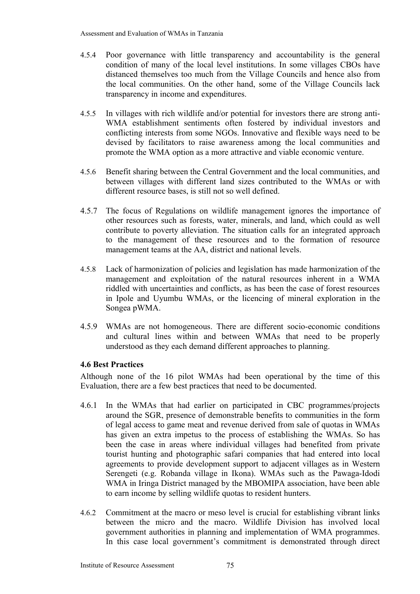- 4.5.4 Poor governance with little transparency and accountability is the general condition of many of the local level institutions. In some villages CBOs have distanced themselves too much from the Village Councils and hence also from the local communities. On the other hand, some of the Village Councils lack transparency in income and expenditures.
- 4.5.5 In villages with rich wildlife and/or potential for investors there are strong anti-WMA establishment sentiments often fostered by individual investors and conflicting interests from some NGOs. Innovative and flexible ways need to be devised by facilitators to raise awareness among the local communities and promote the WMA option as a more attractive and viable economic venture.
- 4.5.6 Benefit sharing between the Central Government and the local communities, and between villages with different land sizes contributed to the WMAs or with different resource bases, is still not so well defined.
- 4.5.7 The focus of Regulations on wildlife management ignores the importance of other resources such as forests, water, minerals, and land, which could as well contribute to poverty alleviation. The situation calls for an integrated approach to the management of these resources and to the formation of resource management teams at the AA, district and national levels.
- 4.5.8 Lack of harmonization of policies and legislation has made harmonization of the management and exploitation of the natural resources inherent in a WMA riddled with uncertainties and conflicts, as has been the case of forest resources in Ipole and Uyumbu WMAs, or the licencing of mineral exploration in the Songea pWMA.
- 4.5.9 WMAs are not homogeneous. There are different socio-economic conditions and cultural lines within and between WMAs that need to be properly understood as they each demand different approaches to planning.

## **4.6 Best Practices**

Although none of the 16 pilot WMAs had been operational by the time of this Evaluation, there are a few best practices that need to be documented.

- 4.6.1 In the WMAs that had earlier on participated in CBC programmes/projects around the SGR, presence of demonstrable benefits to communities in the form of legal access to game meat and revenue derived from sale of quotas in WMAs has given an extra impetus to the process of establishing the WMAs. So has been the case in areas where individual villages had benefited from private tourist hunting and photographic safari companies that had entered into local agreements to provide development support to adjacent villages as in Western Serengeti (e.g. Robanda village in Ikona). WMAs such as the Pawaga-Idodi WMA in Iringa District managed by the MBOMIPA association, have been able to earn income by selling wildlife quotas to resident hunters.
- 4.6.2 Commitment at the macro or meso level is crucial for establishing vibrant links between the micro and the macro. Wildlife Division has involved local government authorities in planning and implementation of WMA programmes. In this case local government's commitment is demonstrated through direct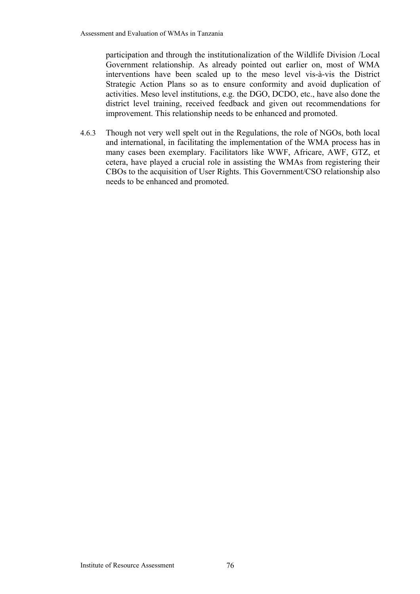participation and through the institutionalization of the Wildlife Division /Local Government relationship. As already pointed out earlier on, most of WMA interventions have been scaled up to the meso level vis-à-vis the District Strategic Action Plans so as to ensure conformity and avoid duplication of activities. Meso level institutions, e.g. the DGO, DCDO, etc., have also done the district level training, received feedback and given out recommendations for improvement. This relationship needs to be enhanced and promoted.

4.6.3 Though not very well spelt out in the Regulations, the role of NGOs, both local and international, in facilitating the implementation of the WMA process has in many cases been exemplary. Facilitators like WWF, Africare, AWF, GTZ, et cetera, have played a crucial role in assisting the WMAs from registering their CBOs to the acquisition of User Rights. This Government/CSO relationship also needs to be enhanced and promoted.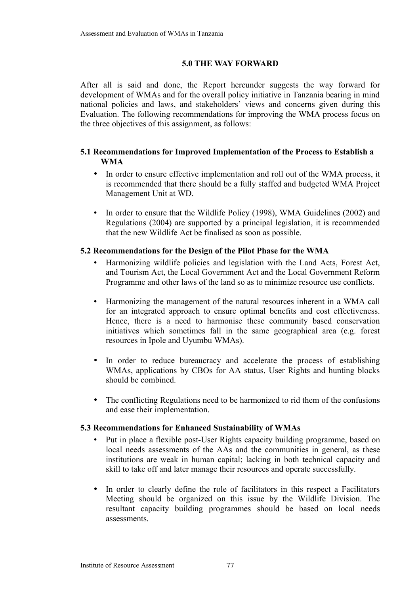#### **5.0 THE WAY FORWARD**

After all is said and done, the Report hereunder suggests the way forward for development of WMAs and for the overall policy initiative in Tanzania bearing in mind national policies and laws, and stakeholders' views and concerns given during this Evaluation. The following recommendations for improving the WMA process focus on the three objectives of this assignment, as follows:

## **5.1 Recommendations for Improved Implementation of the Process to Establish a WMA**

- In order to ensure effective implementation and roll out of the WMA process, it is recommended that there should be a fully staffed and budgeted WMA Project Management Unit at WD.
- In order to ensure that the Wildlife Policy (1998), WMA Guidelines (2002) and Regulations (2004) are supported by a principal legislation, it is recommended that the new Wildlife Act be finalised as soon as possible.

## **5.2 Recommendations for the Design of the Pilot Phase for the WMA**

- Harmonizing wildlife policies and legislation with the Land Acts, Forest Act, and Tourism Act, the Local Government Act and the Local Government Reform Programme and other laws of the land so as to minimize resource use conflicts.
- Harmonizing the management of the natural resources inherent in a WMA call for an integrated approach to ensure optimal benefits and cost effectiveness. Hence, there is a need to harmonise these community based conservation initiatives which sometimes fall in the same geographical area (e.g. forest resources in Ipole and Uyumbu WMAs).
- In order to reduce bureaucracy and accelerate the process of establishing WMAs, applications by CBOs for AA status, User Rights and hunting blocks should be combined.
- The conflicting Regulations need to be harmonized to rid them of the confusions and ease their implementation.

## **5.3 Recommendations for Enhanced Sustainability of WMAs**

- Put in place a flexible post-User Rights capacity building programme, based on local needs assessments of the AAs and the communities in general, as these institutions are weak in human capital; lacking in both technical capacity and skill to take off and later manage their resources and operate successfully.
- In order to clearly define the role of facilitators in this respect a Facilitators Meeting should be organized on this issue by the Wildlife Division. The resultant capacity building programmes should be based on local needs assessments.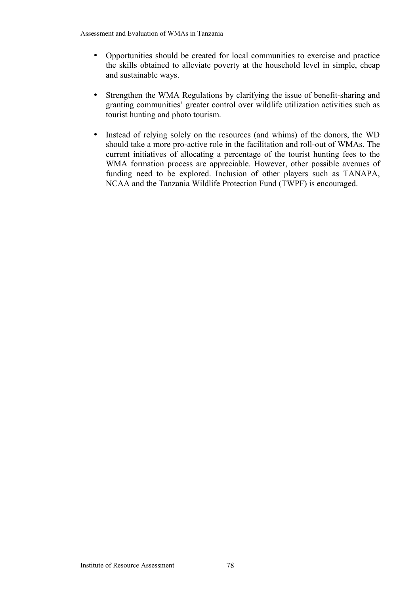- Opportunities should be created for local communities to exercise and practice the skills obtained to alleviate poverty at the household level in simple, cheap and sustainable ways.
- Strengthen the WMA Regulations by clarifying the issue of benefit-sharing and granting communities' greater control over wildlife utilization activities such as tourist hunting and photo tourism.
- Instead of relying solely on the resources (and whims) of the donors, the WD should take a more pro-active role in the facilitation and roll-out of WMAs. The current initiatives of allocating a percentage of the tourist hunting fees to the WMA formation process are appreciable. However, other possible avenues of funding need to be explored. Inclusion of other players such as TANAPA, NCAA and the Tanzania Wildlife Protection Fund (TWPF) is encouraged.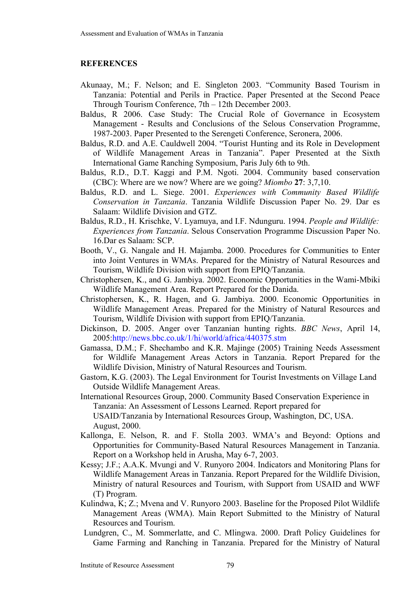## **REFERENCES**

- Akunaay, M.; F. Nelson; and E. Singleton 2003. "Community Based Tourism in Tanzania: Potential and Perils in Practice. Paper Presented at the Second Peace Through Tourism Conference, 7th – 12th December 2003.
- Baldus, R 2006. Case Study: The Crucial Role of Governance in Ecosystem Management - Results and Conclusions of the Selous Conservation Programme, 1987-2003. Paper Presented to the Serengeti Conference, Seronera, 2006.
- Baldus, R.D. and A.E. Cauldwell 2004. "Tourist Hunting and its Role in Development of Wildlife Management Areas in Tanzania". Paper Presented at the Sixth International Game Ranching Symposium, Paris July 6th to 9th.
- Baldus, R.D., D.T. Kaggi and P.M. Ngoti. 2004. Community based conservation (CBC): Where are we now? Where are we going? *Miombo* **27**: 3,7,10.
- Baldus, R.D. and L. Siege. 2001. *Experiences with Community Based Wildlife Conservation in Tanzania*. Tanzania Wildlife Discussion Paper No. 29. Dar es Salaam: Wildlife Division and GTZ.
- Baldus, R.D., H. Krischke, V. Lyamuya, and I.F. Ndunguru. 1994. *People and Wildlife: Experiences from Tanzania*. Selous Conservation Programme Discussion Paper No. 16.Dar es Salaam: SCP.
- Booth, V., G. Nangale and H. Majamba. 2000. Procedures for Communities to Enter into Joint Ventures in WMAs. Prepared for the Ministry of Natural Resources and Tourism, Wildlife Division with support from EPIQ/Tanzania.
- Christophersen, K., and G. Jambiya. 2002. Economic Opportunities in the Wami-Mbiki Wildlife Management Area. Report Prepared for the Danida.
- Christophersen, K., R. Hagen, and G. Jambiya. 2000. Economic Opportunities in Wildlife Management Areas. Prepared for the Ministry of Natural Resources and Tourism, Wildlife Division with support from EPIQ/Tanzania.
- Dickinson, D. 2005. Anger over Tanzanian hunting rights. *BBC News*, April 14, 2005:http://news.bbc.co.uk/1/hi/world/africa/440375.stm
- Gamassa, D.M.; F. Shechambo and K.R. Majinge (2005) Training Needs Assessment for Wildlife Management Areas Actors in Tanzania. Report Prepared for the Wildlife Division, Ministry of Natural Resources and Tourism.
- Gastorn, K.G. (2003). The Legal Environment for Tourist Investments on Village Land Outside Wildlife Management Areas.
- International Resources Group, 2000. Community Based Conservation Experience in Tanzania: An Assessment of Lessons Learned. Report prepared for USAID/Tanzania by International Resources Group, Washington, DC, USA. August, 2000.
- Kallonga, E. Nelson, R. and F. Stolla 2003. WMA's and Beyond: Options and Opportunities for Community-Based Natural Resources Management in Tanzania. Report on a Workshop held in Arusha, May 6-7, 2003.
- Kessy; J.F.; A.A.K. Mvungi and V. Runyoro 2004. Indicators and Monitoring Plans for Wildlife Management Areas in Tanzania. Report Prepared for the Wildlife Division, Ministry of natural Resources and Tourism, with Support from USAID and WWF (T) Program.
- Kulindwa, K; Z.; Mvena and V. Runyoro 2003. Baseline for the Proposed Pilot Wildlife Management Areas (WMA). Main Report Submitted to the Ministry of Natural Resources and Tourism.
- Lundgren, C., M. Sommerlatte, and C. Mlingwa. 2000. Draft Policy Guidelines for Game Farming and Ranching in Tanzania. Prepared for the Ministry of Natural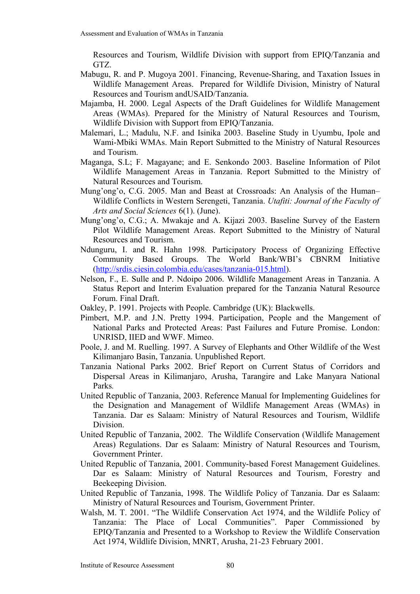Resources and Tourism, Wildlife Division with support from EPIQ/Tanzania and GTZ.

- Mabugu, R. and P. Mugoya 2001. Financing, Revenue-Sharing, and Taxation Issues in Wildlife Management Areas. Prepared for Wildlife Division, Ministry of Natural Resources and Tourism andUSAID/Tanzania.
- Majamba, H. 2000. Legal Aspects of the Draft Guidelines for Wildlife Management Areas (WMAs). Prepared for the Ministry of Natural Resources and Tourism, Wildlife Division with Support from EPIQ/Tanzania.
- Malemari, L.; Madulu, N.F. and Isinika 2003. Baseline Study in Uyumbu, Ipole and Wami-Mbiki WMAs. Main Report Submitted to the Ministry of Natural Resources and Tourism.
- Maganga, S.L; F. Magayane; and E. Senkondo 2003. Baseline Information of Pilot Wildlife Management Areas in Tanzania. Report Submitted to the Ministry of Natural Resources and Tourism.
- Mung'ong'o, C.G. 2005. Man and Beast at Crossroads: An Analysis of the Human– Wildlife Conflicts in Western Serengeti, Tanzania. *Utafiti: Journal of the Faculty of Arts and Social Sciences* 6(1). (June).
- Mung'ong'o, C.G.; A. Mwakaje and A. Kijazi 2003. Baseline Survey of the Eastern Pilot Wildlife Management Areas. Report Submitted to the Ministry of Natural Resources and Tourism.
- Ndunguru, I. and R. Hahn 1998. Participatory Process of Organizing Effective Community Based Groups. The World Bank/WBI's CBNRM Initiative [\(http://srdis.ciesin.colombia.edu/cases/tanzania-015.html\)](http://srdis.ciesin.colombia.edu/cases/tanzania-015.html).
- Nelson, F., E. Sulle and P. Ndoipo 2006. Wildlife Management Areas in Tanzania. A Status Report and Interim Evaluation prepared for the Tanzania Natural Resource Forum. Final Draft.
- Oakley, P. 1991. Projects with People. Cambridge (UK): Blackwells.
- Pimbert, M.P. and J.N. Pretty 1994. Participation, People and the Mangement of National Parks and Protected Areas: Past Failures and Future Promise. London: UNRISD, IIED and WWF. Mimeo.
- Poole, J. and M. Ruelling. 1997. A Survey of Elephants and Other Wildlife of the West Kilimanjaro Basin, Tanzania. Unpublished Report.
- Tanzania National Parks 2002. Brief Report on Current Status of Corridors and Dispersal Areas in Kilimanjaro, Arusha, Tarangire and Lake Manyara National Parks*.*
- United Republic of Tanzania, 2003. Reference Manual for Implementing Guidelines for the Designation and Management of Wildlife Management Areas (WMAs) in Tanzania. Dar es Salaam: Ministry of Natural Resources and Tourism, Wildlife Division.
- United Republic of Tanzania, 2002. The Wildlife Conservation (Wildlife Management Areas) Regulations. Dar es Salaam: Ministry of Natural Resources and Tourism, Government Printer.
- United Republic of Tanzania, 2001. Community-based Forest Management Guidelines. Dar es Salaam: Ministry of Natural Resources and Tourism, Forestry and Beekeeping Division.
- United Republic of Tanzania, 1998. The Wildlife Policy of Tanzania. Dar es Salaam: Ministry of Natural Resources and Tourism, Government Printer.
- Walsh, M. T. 2001. "The Wildlife Conservation Act 1974, and the Wildlife Policy of Tanzania: The Place of Local Communities". Paper Commissioned by EPIQ/Tanzania and Presented to a Workshop to Review the Wildlife Conservation Act 1974, Wildlife Division, MNRT, Arusha, 21-23 February 2001.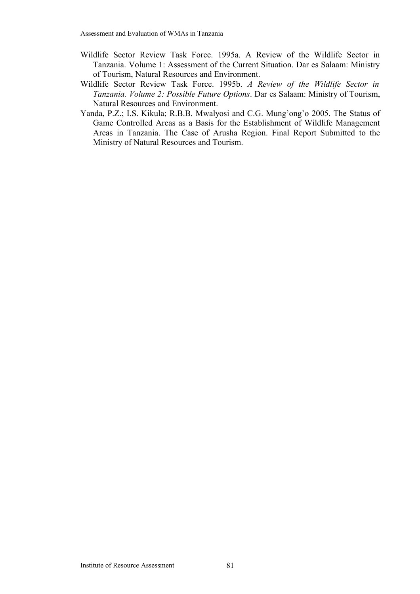- Wildlife Sector Review Task Force. 1995a. A Review of the Wildlife Sector in Tanzania. Volume 1: Assessment of the Current Situation. Dar es Salaam: Ministry of Tourism, Natural Resources and Environment.
- Wildlife Sector Review Task Force. 1995b. *A Review of the Wildlife Sector in Tanzania. Volume 2: Possible Future Options*. Dar es Salaam: Ministry of Tourism, Natural Resources and Environment.
- Yanda, P.Z.; I.S. Kikula; R.B.B. Mwalyosi and C.G. Mung'ong'o 2005. The Status of Game Controlled Areas as a Basis for the Establishment of Wildlife Management Areas in Tanzania. The Case of Arusha Region. Final Report Submitted to the Ministry of Natural Resources and Tourism.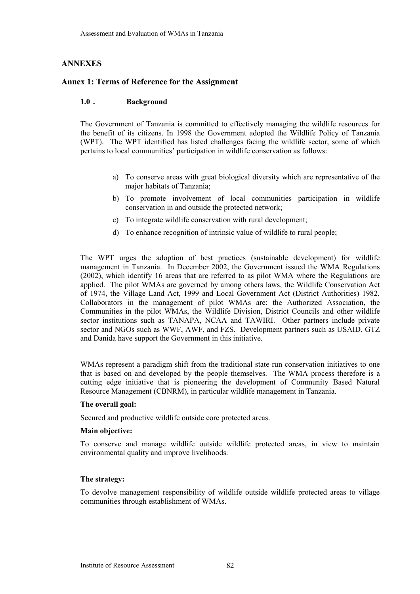#### **ANNEXES**

#### **Annex 1: Terms of Reference for the Assignment**

#### **1.0 . Background**

The Government of Tanzania is committed to effectively managing the wildlife resources for the benefit of its citizens. In 1998 the Government adopted the Wildlife Policy of Tanzania (WPT). The WPT identified has listed challenges facing the wildlife sector, some of which pertains to local communities' participation in wildlife conservation as follows:

- a) To conserve areas with great biological diversity which are representative of the major habitats of Tanzania;
- b) To promote involvement of local communities participation in wildlife conservation in and outside the protected network;
- c) To integrate wildlife conservation with rural development;
- d) To enhance recognition of intrinsic value of wildlife to rural people;

The WPT urges the adoption of best practices (sustainable development) for wildlife management in Tanzania. In December 2002, the Government issued the WMA Regulations (2002), which identify 16 areas that are referred to as pilot WMA where the Regulations are applied. The pilot WMAs are governed by among others laws, the Wildlife Conservation Act of 1974, the Village Land Act, 1999 and Local Government Act (District Authorities) 1982. Collaborators in the management of pilot WMAs are: the Authorized Association, the Communities in the pilot WMAs, the Wildlife Division, District Councils and other wildlife sector institutions such as TANAPA, NCAA and TAWIRI. Other partners include private sector and NGOs such as WWF, AWF, and FZS. Development partners such as USAID, GTZ and Danida have support the Government in this initiative.

WMAs represent a paradigm shift from the traditional state run conservation initiatives to one that is based on and developed by the people themselves. The WMA process therefore is a cutting edge initiative that is pioneering the development of Community Based Natural Resource Management (CBNRM), in particular wildlife management in Tanzania.

#### **The overall goal:**

Secured and productive wildlife outside core protected areas.

#### **Main objective:**

To conserve and manage wildlife outside wildlife protected areas, in view to maintain environmental quality and improve livelihoods.

#### **The strategy:**

To devolve management responsibility of wildlife outside wildlife protected areas to village communities through establishment of WMAs.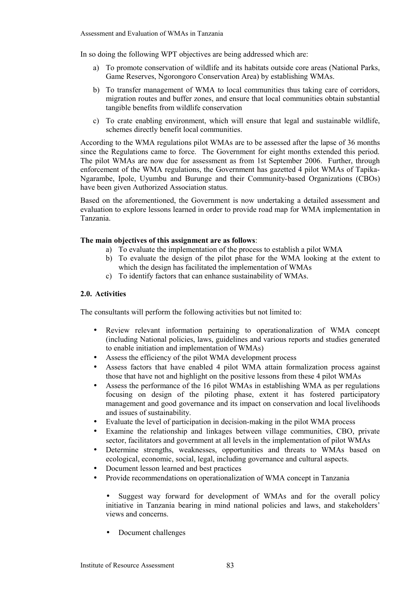In so doing the following WPT objectives are being addressed which are:

- a) To promote conservation of wildlife and its habitats outside core areas (National Parks, Game Reserves, Ngorongoro Conservation Area) by establishing WMAs.
- b) To transfer management of WMA to local communities thus taking care of corridors, migration routes and buffer zones, and ensure that local communities obtain substantial tangible benefits from wildlife conservation
- c) To crate enabling environment, which will ensure that legal and sustainable wildlife, schemes directly benefit local communities.

According to the WMA regulations pilot WMAs are to be assessed after the lapse of 36 months since the Regulations came to force. The Government for eight months extended this period. The pilot WMAs are now due for assessment as from 1st September 2006. Further, through enforcement of the WMA regulations, the Government has gazetted 4 pilot WMAs of Tapika-Ngarambe, Ipole, Uyumbu and Burunge and their Community-based Organizations (CBOs) have been given Authorized Association status.

Based on the aforementioned, the Government is now undertaking a detailed assessment and evaluation to explore lessons learned in order to provide road map for WMA implementation in Tanzania.

#### **The main objectives of this assignment are as follows**:

- a) To evaluate the implementation of the process to establish a pilot WMA
- b) To evaluate the design of the pilot phase for the WMA looking at the extent to which the design has facilitated the implementation of WMAs
- c) To identify factors that can enhance sustainability of WMAs.

#### **2.0. Activities**

The consultants will perform the following activities but not limited to:

- Review relevant information pertaining to operationalization of WMA concept (including National policies, laws, guidelines and various reports and studies generated to enable initiation and implementation of WMAs)
- Assess the efficiency of the pilot WMA development process
- Assess factors that have enabled 4 pilot WMA attain formalization process against those that have not and highlight on the positive lessons from these 4 pilot WMAs
- Assess the performance of the 16 pilot WMAs in establishing WMA as per regulations focusing on design of the piloting phase, extent it has fostered participatory management and good governance and its impact on conservation and local livelihoods and issues of sustainability.
- Evaluate the level of participation in decision-making in the pilot WMA process
- Examine the relationship and linkages between village communities, CBO, private sector, facilitators and government at all levels in the implementation of pilot WMAs
- Determine strengths, weaknesses, opportunities and threats to WMAs based on ecological, economic, social, legal, including governance and cultural aspects.
- Document lesson learned and best practices
- Provide recommendations on operationalization of WMA concept in Tanzania

Suggest way forward for development of WMAs and for the overall policy initiative in Tanzania bearing in mind national policies and laws, and stakeholders' views and concerns.

• Document challenges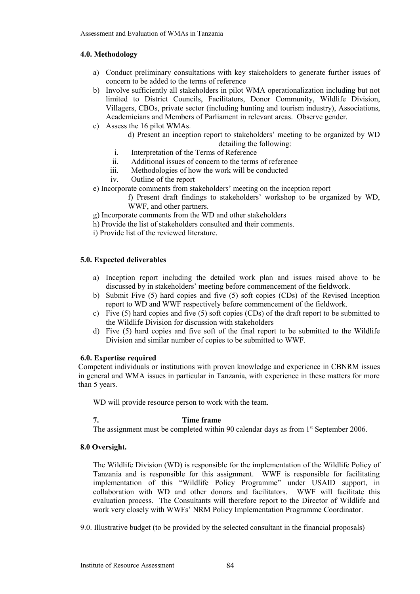#### **4.0. Methodology**

- a) Conduct preliminary consultations with key stakeholders to generate further issues of concern to be added to the terms of reference
- b) Involve sufficiently all stakeholders in pilot WMA operationalization including but not limited to District Councils, Facilitators, Donor Community, Wildlife Division, Villagers, CBOs, private sector (including hunting and tourism industry), Associations, Academicians and Members of Parliament in relevant areas. Observe gender.
- c) Assess the 16 pilot WMAs.
	- d) Present an inception report to stakeholders' meeting to be organized by WD detailing the following:
	- i. Interpretation of the Terms of Reference
	- ii. Additional issues of concern to the terms of reference
	- iii. Methodologies of how the work will be conducted
	- iv. Outline of the report
- e) Incorporate comments from stakeholders' meeting on the inception report

f) Present draft findings to stakeholders' workshop to be organized by WD, WWF, and other partners.

- g) Incorporate comments from the WD and other stakeholders
- h) Provide the list of stakeholders consulted and their comments.
- i) Provide list of the reviewed literature.

#### **5.0. Expected deliverables**

- a) Inception report including the detailed work plan and issues raised above to be discussed by in stakeholders' meeting before commencement of the fieldwork.
- b) Submit Five (5) hard copies and five (5) soft copies (CDs) of the Revised Inception report to WD and WWF respectively before commencement of the fieldwork.
- c) Five (5) hard copies and five (5) soft copies (CDs) of the draft report to be submitted to the Wildlife Division for discussion with stakeholders
- d) Five (5) hard copies and five soft of the final report to be submitted to the Wildlife Division and similar number of copies to be submitted to WWF.

#### **6.0. Expertise required**

Competent individuals or institutions with proven knowledge and experience in CBNRM issues in general and WMA issues in particular in Tanzania, with experience in these matters for more than 5 years.

WD will provide resource person to work with the team.

#### **7. Time frame**

The assignment must be completed within 90 calendar days as from  $1<sup>st</sup>$  September 2006.

#### **8.0 Oversight.**

The Wildlife Division (WD) is responsible for the implementation of the Wildlife Policy of Tanzania and is responsible for this assignment. WWF is responsible for facilitating implementation of this "Wildlife Policy Programme" under USAID support, in collaboration with WD and other donors and facilitators. WWF will facilitate this evaluation process. The Consultants will therefore report to the Director of Wildlife and work very closely with WWFs' NRM Policy Implementation Programme Coordinator.

9.0. Illustrative budget (to be provided by the selected consultant in the financial proposals)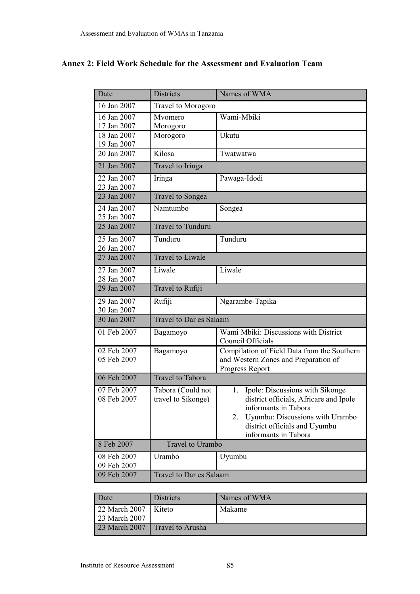# **Annex 2: Field Work Schedule for the Assessment and Evaluation Team**

| Date                       | <b>Districts</b>                        | Names of WMA                                                                    |  |
|----------------------------|-----------------------------------------|---------------------------------------------------------------------------------|--|
| 16 Jan 2007                | Travel to Morogoro                      |                                                                                 |  |
| 16 Jan 2007                | Mvomero                                 | Wami-Mbiki                                                                      |  |
| 17 Jan 2007<br>18 Jan 2007 | Morogoro                                |                                                                                 |  |
| 19 Jan 2007                | Morogoro                                | Ukutu                                                                           |  |
| 20 Jan 2007                | Kilosa                                  | Twatwatwa                                                                       |  |
| 21 Jan 2007                | Travel to Iringa                        |                                                                                 |  |
| 22 Jan 2007                | Iringa                                  | Pawaga-Idodi                                                                    |  |
| 23 Jan 2007                |                                         |                                                                                 |  |
| 23 Jan 2007                | <b>Travel to Songea</b>                 |                                                                                 |  |
| 24 Jan 2007<br>25 Jan 2007 | Namtumbo                                | Songea                                                                          |  |
| 25 Jan 2007                | <b>Travel to Tunduru</b>                |                                                                                 |  |
| 25 Jan 2007                | Tunduru                                 | Tunduru                                                                         |  |
| 26 Jan 2007                | <b>Travel to Liwale</b>                 |                                                                                 |  |
| 27 Jan 2007                |                                         |                                                                                 |  |
| 27 Jan 2007<br>28 Jan 2007 | Liwale                                  | Liwale                                                                          |  |
| 29 Jan 2007                | Travel to Rufiji                        |                                                                                 |  |
| 29 Jan 2007                | Rufiji                                  | Ngarambe-Tapika                                                                 |  |
| 30 Jan 2007                |                                         |                                                                                 |  |
| 30 Jan 2007                | Travel to Dar es Salaam                 |                                                                                 |  |
| 01 Feb 2007                | Bagamoyo                                | Wami Mbiki: Discussions with District<br>Council Officials                      |  |
| 02 Feb 2007                | Bagamoyo                                | Compilation of Field Data from the Southern                                     |  |
| 05 Feb 2007                |                                         | and Western Zones and Preparation of                                            |  |
| 06 Feb 2007                | <b>Travel to Tabora</b>                 | Progress Report                                                                 |  |
|                            |                                         |                                                                                 |  |
| 07 Feb 2007<br>08 Feb 2007 | Tabora (Could not<br>travel to Sikonge) | Ipole: Discussions with Sikonge<br>1.<br>district officials, Africare and Ipole |  |
|                            |                                         | informants in Tabora                                                            |  |
|                            |                                         | Uyumbu: Discussions with Urambo<br>2.                                           |  |
|                            |                                         | district officials and Uyumbu                                                   |  |
|                            |                                         | informants in Tabora                                                            |  |
| 8 Feb 2007                 | Travel to Urambo                        |                                                                                 |  |
| 08 Feb 2007                | Urambo                                  | Uyumbu                                                                          |  |
| 09 Feb 2007<br>09 Feb 2007 | Travel to Dar es Salaam                 |                                                                                 |  |
|                            |                                         |                                                                                 |  |

| Date                                    | <b>Districts</b> | Names of WMA |
|-----------------------------------------|------------------|--------------|
| 22 March 2007   Kiteto<br>23 March 2007 |                  | Makame       |
| 23 March 2007                           | Travel to Arusha |              |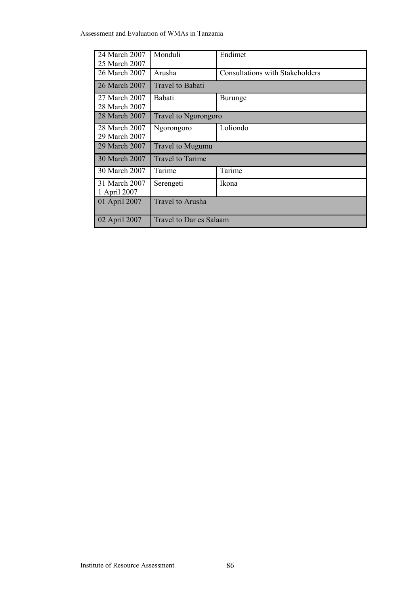| 24 March 2007<br>25 March 2007 | Monduli                     | Endimet                                |
|--------------------------------|-----------------------------|----------------------------------------|
| 26 March 2007                  | Arusha                      | <b>Consultations with Stakeholders</b> |
| 26 March 2007                  | Travel to Babati            |                                        |
| 27 March 2007<br>28 March 2007 | Babati                      | <b>Burunge</b>                         |
| 28 March 2007                  | <b>Travel to Ngorongoro</b> |                                        |
| 28 March 2007<br>29 March 2007 | Ngorongoro                  | Loliondo                               |
| 29 March 2007                  | Travel to Mugumu            |                                        |
| 30 March 2007                  | <b>Travel to Tarime</b>     |                                        |
| 30 March 2007                  | Tarime                      | Tarime                                 |
| 31 March 2007<br>1 April 2007  | Serengeti                   | Ikona                                  |
| 01 April 2007                  | <b>Travel to Arusha</b>     |                                        |
| 02 April 2007                  | Travel to Dar es Salaam     |                                        |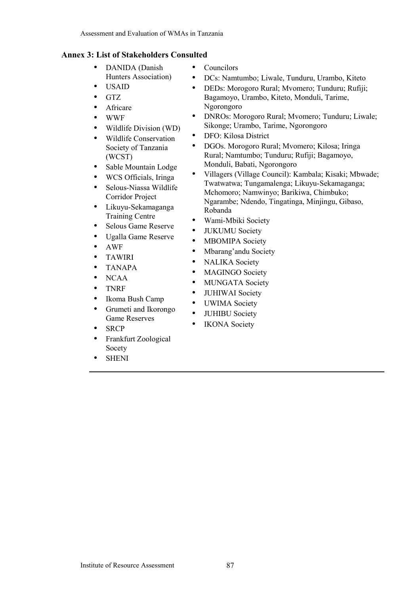## **Annex 3: List of Stakeholders Consulted**

- DANIDA (Danish Hunters Association)
- USAID
- GTZ
- Africare
- WWF
- Wildlife Division (WD)
- Wildlife Conservation Society of Tanzania (WCST)
- Sable Mountain Lodge
- WCS Officials, Iringa
- Selous-Niassa Wildlife Corridor Project
- Likuyu-Sekamaganga Training Centre
- Selous Game Reserve
- Ugalla Game Reserve
- AWF
- TAWIRI
- TANAPA
- NCAA
- TNRF
- Ikoma Bush Camp
- Grumeti and Ikorongo Game Reserves
- **SRCP**
- Frankfurt Zoological Socety
- **SHENI**
- Councilors
- DCs: Namtumbo; Liwale, Tunduru, Urambo, Kiteto
- DEDs: Morogoro Rural; Mvomero; Tunduru; Rufiji; Bagamoyo, Urambo, Kiteto, Monduli, Tarime, Ngorongoro
- DNROs: Morogoro Rural; Myomero; Tunduru; Liwale; Sikonge; Urambo, Tarime, Ngorongoro
- DFO: Kilosa District
- DGOs. Morogoro Rural; Mvomero; Kilosa; Iringa Rural; Namtumbo; Tunduru; Rufiji; Bagamoyo, Monduli, Babati, Ngorongoro
- Villagers (Village Council): Kambala; Kisaki; Mbwade; Twatwatwa; Tungamalenga; Likuyu-Sekamaganga; Mchomoro; Namwinyo; Barikiwa, Chimbuko; Ngarambe; Ndendo, Tingatinga, Minjingu, Gibaso, Robanda
- Wami-Mbiki Society
- JUKUMU Society
- MBOMIPA Society
- Mbarang'andu Society
- NALIKA Society
- MAGINGO Society
- MUNGATA Society
- JUHIWAI Society
- UWIMA Society
- JUHIBU Society
- IKONA Society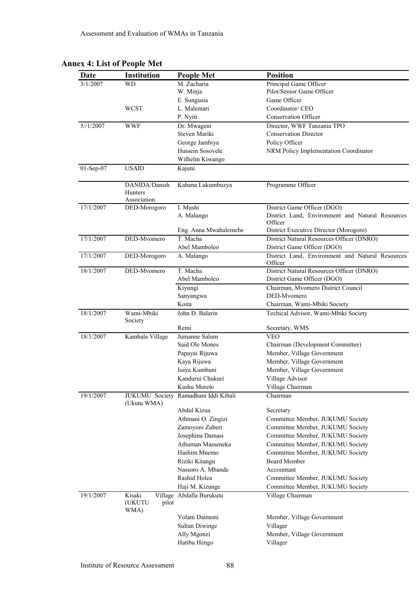| <b>Date</b> | Institution                             | <b>People Met</b>        | <b>Position</b>                                             |
|-------------|-----------------------------------------|--------------------------|-------------------------------------------------------------|
| 3/1/2007    | <b>WD</b>                               | M. Zacharia              | Principal Game Officer                                      |
|             |                                         | W. Minja                 | Pilot/Senior Game Officer                                   |
|             |                                         | E. Sungusia              | Game Officer                                                |
|             | <b>WCST</b>                             | L. Malemari              | Coordinator/ CEO                                            |
|             |                                         | P. Nyiti                 | <b>Conservation Officer</b>                                 |
| 5/1/2007    | <b>WWF</b>                              | Dr. Mwageni              | Director, WWF Tanzania TPO                                  |
|             |                                         | Steven Mariki            | <b>Conservation Director</b>                                |
|             |                                         | George Jambiya           | Policy Officer                                              |
|             |                                         | Hussein Sosovele         | NRM Policy Implementation Coordinator                       |
|             |                                         | Wilhelm Kiwango          |                                                             |
| 01-Sep-07   | <b>USAID</b>                            | Kajuni                   |                                                             |
|             | DANIDA/Danish<br>Hunters<br>Association | Kahana Lukumbuzya        | Programme Officer                                           |
| 17/1/2007   | DED-Morogoro                            | I. Mushi                 | District Game Officer (DGO)                                 |
|             |                                         | A. Malango               | District Land, Environment and Natural Resources<br>Officer |
|             |                                         | Eng. Anna Mwahalemebe    | District Executive Director (Morogoro)                      |
| 17/1/2007   | DED-Mvomero                             | T. Macha                 | District Natural Resources Officer (DNRO)                   |
|             |                                         | Abel Mamboleo            | District Game Officer (DGO)                                 |
| 17/1/2007   | DED-Morogoro                            | A. Malango               | District Land, Environment and Natural Resources<br>Officer |
| 18/1/2007   | DED-Mvomero                             | T. Macha                 | District Natural Resources Officer (DNRO)                   |
|             |                                         | Abel Mamboleo            | District Game Officer (DGO)                                 |
|             |                                         | Kiyungi                  | Chairman, Mvomero District Council                          |
|             |                                         | Sanyangwa                | DED-Mvomero                                                 |
|             |                                         | Koita                    | Chairman, Wami-Mbiki Society                                |
| 18/1/2007   | Wami-Mbiki<br>Society                   | John D. Balarin          | Techical Advisor, Wami-Mbiki Society                        |
|             |                                         | Remi                     | Secretary, WMS                                              |
| 18/1/2007   | Kambala Village                         | Jumanne Salum            | <b>VEO</b>                                                  |
|             |                                         | Said Ole Mones           | Chairman (Development Committee)                            |
|             |                                         | Papayai Rijuwa           | Member, Village Government                                  |
|             |                                         | Kaya Rijuwa              | Member, Village Government                                  |
|             |                                         | Isaya Kumbuni            | Member, Village Government                                  |
|             |                                         | Kandurui Chukuri         | Village Advisor                                             |
|             |                                         | Kashu Moreto             | Village Chairman                                            |
| 19/1/2007   | <b>JUKUMU Society</b><br>(Ukutu WMA)    | Ramadhani Iddi Kibali    | Chairman                                                    |
|             |                                         | Abdul Kizua              | Secretary                                                   |
|             |                                         | Athmani O. Zingizi       | Committee Member, JUKUMU Society                            |
|             |                                         | Zamoyoni Zuberi          | Committee Member, JUKUMU Society                            |
|             |                                         | Josephina Damasi         | Committee Member, JUKUMU Society                            |
|             |                                         | Athuman Masseneka        | Committee Member, JUKUMU Society                            |
|             |                                         | Hashim Mnemo             | Committee Member, JUKUMU Society                            |
|             |                                         | Riziki Kitangu           | <b>Board Member</b>                                         |
|             |                                         | Nassoro A. Mbande        | Accountant                                                  |
|             |                                         | Rashid Holea             | Committee Member, JUKUMU Society                            |
|             |                                         | Haji M. Kizunge          | Committee Member, JUKUMU Society                            |
| 19/1/2007   | Kisaki<br>(UKUTU<br>pilot<br>WMA)       | Village Abdalla Burukutu | Village Chairman                                            |
|             |                                         | Yolam Daimoni            | Member, Village Government                                  |
|             |                                         | <b>Sultan Diwinge</b>    | Villager                                                    |
|             |                                         | Ally Mgonzi              | Member, Village Government                                  |
|             |                                         | Hatibu Hengo             | Villager                                                    |
|             |                                         |                          |                                                             |

# **Annex 4: List of People Met**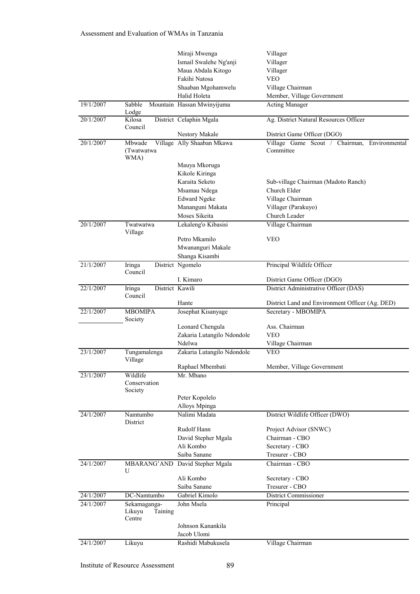|           |                                      | Miraji Mwenga              | Villager                                                  |
|-----------|--------------------------------------|----------------------------|-----------------------------------------------------------|
|           |                                      | Ismail Swalehe Ng'anji     | Villager                                                  |
|           |                                      | Maua Abdala Kitogo         | Villager                                                  |
|           |                                      | Fakihi Natosa              | <b>VEO</b>                                                |
|           |                                      | Shaaban Mgohamwelu         | Village Chairman                                          |
|           |                                      | Halid Holeta               | Member, Village Government                                |
| 19/1/2007 | Sabble<br>Lodge                      | Mountain Hassan Mwinyijuma | <b>Acting Manager</b>                                     |
| 20/1/2007 | Kilosa<br>Council                    | District Celaphin Mgala    | Ag. District Natural Resources Officer                    |
|           |                                      | Nestory Makale             | District Game Officer (DGO)                               |
| 20/1/2007 | Mbwade<br>(Twatwatwa<br>WMA)         | Village Ally Shaaban Mkawa | Village Game Scout / Chairman, Environmental<br>Committee |
|           |                                      | Mauya Mkoruga              |                                                           |
|           |                                      | Kikole Kiringa             |                                                           |
|           |                                      | Karaita Seketo             | Sub-village Chairman (Madoto Ranch)                       |
|           |                                      | Msamau Ndega               | Church Elder                                              |
|           |                                      | <b>Edward Ngeke</b>        | Village Chairman                                          |
|           |                                      | Mananguni Makata           | Villager (Parakuyo)                                       |
|           |                                      | Moses Sikeita              | Church Leader                                             |
| 20/1/2007 | Twatwatwa                            | Lekaleng'o Kibasisi        | Village Chairman                                          |
|           | Village                              |                            |                                                           |
|           |                                      | Petro Mkamilo              | <b>VEO</b>                                                |
|           |                                      | Mwananguri Makale          |                                                           |
|           |                                      | Shanga Kisambi             |                                                           |
| 21/1/2007 | Iringa<br>Council                    | District Ngomelo           | Principal Wildlife Officer                                |
|           |                                      | I. Kimaro                  | District Game Officer (DGO)                               |
| 22/1/2007 | District Kawili<br>Iringa<br>Council |                            | District Administrative Officer (DAS)                     |
|           |                                      | Hante                      | District Land and Environment Officer (Ag. DED)           |
| 22/1/2007 | <b>MBOMIPA</b><br>Society            | Josephat Kisanyage         | Secretary - MBOMIPA                                       |
|           |                                      | Leonard Chengula           | Ass. Chairman                                             |
|           |                                      | Zakaria Lutangilo Ndondole | <b>VEO</b>                                                |
|           |                                      | Ndelwa                     | Village Chairman                                          |
| 23/1/2007 | Tungamalenga<br>Village              | Zakaria Lutangilo Ndondole | <b>VEO</b>                                                |
|           |                                      | Raphael Mbembati           | Member, Village Government                                |
| 23/1/2007 | Wildlife<br>Conservation<br>Society  | Mr. Mbano                  |                                                           |
|           |                                      | Peter Kopolelo             |                                                           |
|           |                                      | Alloys Mpinga              |                                                           |
| 24/1/2007 | Namtumbo                             | Nalimi Madata              | District Wildlife Officer (DWO)                           |
|           | District                             |                            |                                                           |
|           |                                      | Rudolf Hann                | Project Advisor (SNWC)                                    |
|           |                                      | David Stepher Mgala        | Chairman - CBO                                            |
|           |                                      | Ali Kombo                  | Secretary - CBO                                           |
|           |                                      | Saiba Sanane               | Tresurer - CBO                                            |
| 24/1/2007 | MBARANG'AND<br>U                     | David Stepher Mgala        | Chairman - CBO                                            |
|           |                                      | Ali Kombo                  | Secretary - CBO                                           |
|           |                                      | Saiba Sanane               | Tresurer - CBO                                            |
| 24/1/2007 | DC-Namtumbo                          | Gabriel Kimolo             | District Commissioner                                     |
| 24/1/2007 | Sekamaganga-<br>Likuyu<br>Taining    | John Msela                 | Principal                                                 |
|           | Centre                               |                            |                                                           |
|           |                                      | Johnson Kanankila          |                                                           |
|           |                                      | Jacob Ulomi                |                                                           |
| 24/1/2007 | Likuyu                               | Rashidi Mabukusela         | Village Chairman                                          |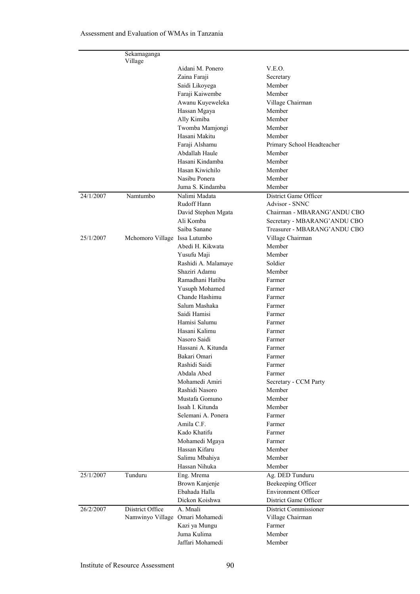|           | Sekamaganga<br>Village        |                                    |                               |
|-----------|-------------------------------|------------------------------------|-------------------------------|
|           |                               | Aidani M. Ponero                   | V.E.O.                        |
|           |                               | Zaina Faraji                       | Secretary                     |
|           |                               | Saidi Likoyega                     | Member                        |
|           |                               | Faraji Kaiwembe                    | Member                        |
|           |                               | Awanu Kuyeweleka                   | Village Chairman              |
|           |                               | Hassan Mgaya                       | Member                        |
|           |                               | Ally Kimiba                        | Member                        |
|           |                               | Twomba Mamjongi                    | Member                        |
|           |                               | Hasani Makitu                      | Member                        |
|           |                               | Faraji Alshamu                     | Primary School Headteacher    |
|           |                               | Abdallah Haule                     | Member                        |
|           |                               | Hasani Kindamba                    | Member                        |
|           |                               | Hasan Kiwichilo                    | Member                        |
|           |                               | Nasibu Ponera                      | Member                        |
|           |                               | Juma S. Kindamba                   | Member                        |
| 24/1/2007 | Namtumbo                      | Nalimi Madata                      | District Game Officer         |
|           |                               | Rudoff Hann                        | Advisor - SNNC                |
|           |                               | David Stephen Mgata                | Chairman - MBARANG' ANDU CBO  |
|           |                               | Ali Komba                          | Secretary - MBARANG' ANDU CBO |
|           |                               | Saiba Sanane                       | Treasurer - MBARANG' ANDU CBO |
| 25/1/2007 | Mchomoro Village Issa Lutumbo |                                    | Village Chairman              |
|           |                               | Abedi H. Kikwata                   | Member                        |
|           |                               | Yusufu Maji                        | Member                        |
|           |                               | Rashidi A. Malamaye                | Soldier                       |
|           |                               | Shaziri Adamu                      | Member                        |
|           |                               | Ramadhani Hatibu                   | Farmer                        |
|           |                               | Yusuph Mohamed                     | Farmer                        |
|           |                               | Chande Hashimu                     | Farmer                        |
|           |                               | Salum Mashaka                      | Farmer                        |
|           |                               | Saidi Hamisi                       | Farmer                        |
|           |                               | Hamisi Salumu                      | Farmer                        |
|           |                               | Hasani Kalimu                      | Farmer                        |
|           |                               | Nasoro Saidi<br>Hassani A. Kitunda | Farmer                        |
|           |                               | Bakari Omari                       | Farmer                        |
|           |                               | Rashidi Saidi                      | Farmer                        |
|           |                               | Abdala Abed                        | Farmer<br>Farmer              |
|           |                               | Mohamedi Amiri                     | Secretary - CCM Party         |
|           |                               | Rashidi Nasoro                     | Member                        |
|           |                               | Mustafa Gomuno                     | Member                        |
|           |                               | Issah I. Kitunda                   | Member                        |
|           |                               | Selemani A. Ponera                 | Farmer                        |
|           |                               | Amila C.F.                         | Farmer                        |
|           |                               | Kado Khatifu                       | Farmer                        |
|           |                               | Mohamedi Mgaya                     | Farmer                        |
|           |                               | Hassan Kifaru                      | Member                        |
|           |                               | Salimu Mbahiya                     | Member                        |
|           |                               | Hassan Nihuka                      | Member                        |
| 25/1/2007 | Tunduru                       | Eng. Mrema                         | Ag. DED Tunduru               |
|           |                               | Brown Kanjenje                     | Beekeeping Officer            |
|           |                               | Ebahada Halla                      | Environment Officer           |
|           |                               | Dickon Koishwa                     | District Game Officer         |
| 26/2/2007 | Diistrict Office              | A. Mnali                           | District Commissioner         |
|           | Namwinyo Village              | Omari Mohamedi                     | Village Chairman              |
|           |                               | Kazi ya Mungu                      | Farmer                        |
|           |                               | Juma Kulima                        | Member                        |
|           |                               | Jaffari Mohamedi                   | Member                        |
|           |                               |                                    |                               |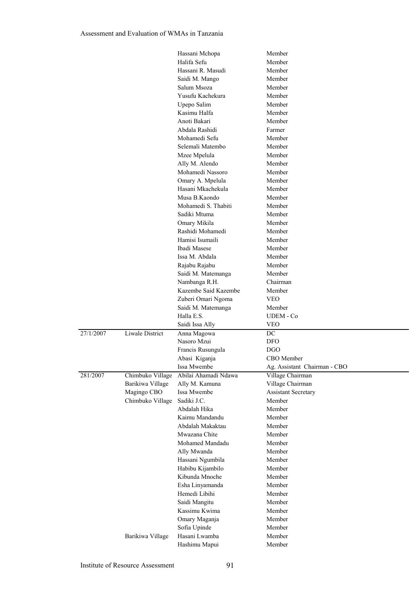|           |                        | Hassani Mchopa       | Member                       |
|-----------|------------------------|----------------------|------------------------------|
|           |                        | Halifa Sefu          | Member                       |
|           |                        | Hassani R. Masudi    | Member                       |
|           |                        | Saidi M. Mango       | Member                       |
|           |                        | Salum Msoza          | Member                       |
|           |                        | Yusufu Kachekura     | Member                       |
|           |                        | Upepo Salim          | Member                       |
|           |                        | Kasimu Halfa         | Member                       |
|           |                        | Anoti Bakari         | Member                       |
|           |                        | Abdala Rashidi       | Farmer                       |
|           |                        | Mohamedi Sefu        | Member                       |
|           |                        | Selemali Matembo     | Member                       |
|           |                        | Mzee Mpelula         | Member                       |
|           |                        | Ally M. Alendo       | Member                       |
|           |                        | Mohamedi Nassoro     | Member                       |
|           |                        |                      | Member                       |
|           |                        | Omary A. Mpelula     | Member                       |
|           |                        | Hasani Mkachekula    |                              |
|           |                        | Musa B.Kaondo        | Member                       |
|           |                        | Mohamedi S. Thabiti  | Member                       |
|           |                        | Sadiki Mtuma         | Member                       |
|           |                        | Omary Mikila         | Member                       |
|           |                        | Rashidi Mohamedi     | Member                       |
|           |                        | Hamisi Isumaili      | Member                       |
|           |                        | Ibadi Masese         | Member                       |
|           |                        | Issa M. Abdala       | Member                       |
|           |                        | Rajabu Rajabu        | Member                       |
|           |                        | Saidi M. Matemanga   | Member                       |
|           |                        | Nambanga R.H.        | Chairman                     |
|           |                        | Kazembe Said Kazembe | Member                       |
|           |                        | Zuberi Omari Ngoma   | <b>VEO</b>                   |
|           |                        | Saidi M. Matemanga   | Member                       |
|           |                        | Halla E.S.           | UDEM - Co                    |
|           |                        | Saidi Issa Ally      | <b>VEO</b>                   |
| 27/1/2007 | <b>Liwale District</b> | Anna Magowa          | $\overline{DC}$              |
|           |                        | Nasoro Mzui          | <b>DFO</b>                   |
|           |                        | Francis Rusungula    | <b>DGO</b>                   |
|           |                        | Abasi Kiganja        | CBO Member                   |
|           |                        | Issa Mwembe          | Ag. Assistant Chairman - CBO |
| 281/2007  | Chimbuko Village       | Abilai Ahamadi Ndawa | Village Chairman             |
|           | Barikiwa Village       | Ally M. Kamuna       | Village Chairman             |
|           | Magingo CBO            | Issa Mwembe          | <b>Assistant Secretary</b>   |
|           | Chimbuko Village       | Sadiki J.C.          | Member                       |
|           |                        | Abdalah Hika         | Member                       |
|           |                        | Kaimu Mandandu       | Member                       |
|           |                        | Abdalah Makaktau     | Member                       |
|           |                        | Mwazana Chite        | Member                       |
|           |                        | Mohamed Mandadu      | Member                       |
|           |                        | Ally Mwanda          | Member                       |
|           |                        | Hassani Ngumbila     | Member                       |
|           |                        |                      |                              |
|           |                        | Habibu Kijambilo     | Member                       |
|           |                        | Kibunda Mnoche       | Member                       |
|           |                        | Esha Linyamanda      | Member                       |
|           |                        | Hemedi Libihi        | Member                       |
|           |                        | Saidi Mangitu        | Member                       |
|           |                        | Kassimu Kwima        | Member                       |
|           |                        | Omary Maganja        | Member                       |
|           |                        | Sofia Upinde         | Member                       |
|           | Barikiwa Village       | Hasani Lwamba        | Member                       |
|           |                        | Hashimu Mapui        | Member                       |
|           |                        |                      |                              |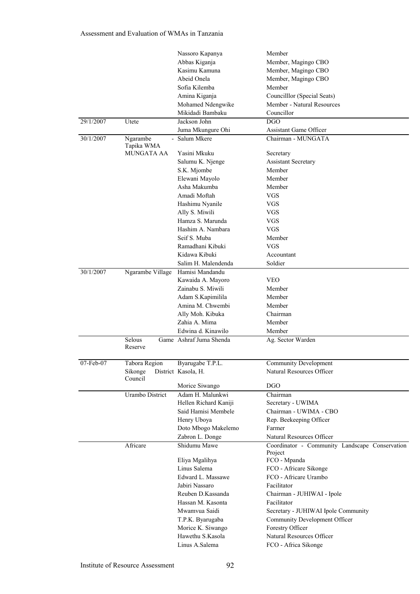|              |                            | Nassoro Kapanya         | Member                                         |
|--------------|----------------------------|-------------------------|------------------------------------------------|
|              |                            | Abbas Kiganja           | Member, Magingo CBO                            |
|              |                            | Kasimu Kamuna           | Member, Magingo CBO                            |
|              |                            | Abeid Onela             | Member, Magingo CBO                            |
|              |                            | Sofia Kilemba           | Member                                         |
|              |                            | Amina Kiganja           | Councilllor (Special Seats)                    |
|              |                            | Mohamed Ndengwike       | Member - Natural Resources                     |
|              |                            | Mikidadi Bambaku        | Councillor                                     |
| 29/1/2007    | Utete                      | Jackson John            | <b>DGO</b>                                     |
|              |                            | Juma Mkungure Ohi       | <b>Assistant Game Officer</b>                  |
| 30/1/2007    | Ngarambe<br>$\overline{a}$ | Salum Mkere             | Chairman - MUNGATA                             |
|              | Tapika WMA                 |                         |                                                |
|              | <b>MUNGATA AA</b>          | Yasini Mkuku            | Secretary                                      |
|              |                            | Salumu K. Njenge        | <b>Assistant Secretary</b>                     |
|              |                            | S.K. Mjombe             | Member                                         |
|              |                            | Elewani Mayolo          | Member                                         |
|              |                            | Asha Makumba            | Member                                         |
|              |                            | Amadi Moftah            | <b>VGS</b>                                     |
|              |                            | Hashimu Nyanile         | <b>VGS</b>                                     |
|              |                            | Ally S. Miwili          | <b>VGS</b>                                     |
|              |                            | Hamza S. Marunda        | <b>VGS</b>                                     |
|              |                            | Hashim A. Nambara       | <b>VGS</b>                                     |
|              |                            | Seif S. Muba            | Member                                         |
|              |                            | Ramadhani Kibuki        | <b>VGS</b>                                     |
|              |                            | Kidawa Kibuki           | Accountant                                     |
|              |                            | Salim H. Malendenda     | Soldier                                        |
| 30/1/2007    | Ngarambe Village           | Hamisi Mandandu         |                                                |
|              |                            | Kawaida A. Mayoro       | <b>VEO</b>                                     |
|              |                            | Zainabu S. Miwili       | Member                                         |
|              |                            | Adam S.Kapimilila       | Member                                         |
|              |                            | Amina M. Chwembi        | Member                                         |
|              |                            | Ally Moh. Kibuka        | Chairman                                       |
|              |                            | Zahia A. Mima           | Member                                         |
|              |                            | Edwina d. Kinawilo      | Member                                         |
|              | Selous                     | Game Ashraf Juma Shenda | Ag. Sector Warden                              |
|              | Reserve                    |                         |                                                |
| $07$ -Feb-07 | Tabora Region              | Byarugabe T.P.L.        | Community Development                          |
|              | Sikonge                    |                         | Natural Resources Officer                      |
|              | Council                    | District Kasola, H.     |                                                |
|              |                            | Morice Siwango          | <b>DGO</b>                                     |
|              | Urambo District            | Adam H. Malunkwi        | Chairman                                       |
|              |                            | Hellen Richard Kaniji   | Secretary - UWIMA                              |
|              |                            | Said Hamisi Membele     | Chairman - UWIMA - CBO                         |
|              |                            | Henry Uboya             | Rep. Beekeeping Officer                        |
|              |                            | Doto Mbogo Makelemo     | Farmer                                         |
|              |                            | Zabron L. Donge         | Natural Resources Officer                      |
|              | Africare                   | Shidumu Mawe            | Coordinator - Community Landscape Conservation |
|              |                            |                         | Project                                        |
|              |                            | Eliya Mgalihya          | FCO - Mpanda                                   |
|              |                            | Linus Salema            | FCO - Africare Sikonge                         |
|              |                            | Edward L. Massawe       | FCO - Africare Urambo                          |
|              |                            | Jabiri Nassaro          | Facilitator                                    |
|              |                            | Reuben D.Kassanda       | Chairman - JUHIWAI - Ipole                     |
|              |                            | Hassan M. Kasonta       | Facilitator                                    |
|              |                            | Mwamvua Saidi           | Secretary - JUHIWAI Ipole Community            |
|              |                            | T.P.K. Byarugaba        | Community Development Officer                  |
|              |                            | Morice K. Siwango       | Forestry Officer                               |
|              |                            | Hawethu S.Kasola        | Natural Resources Officer                      |
|              |                            | Linus A.Salema          | FCO - Africa Sikonge                           |
|              |                            |                         |                                                |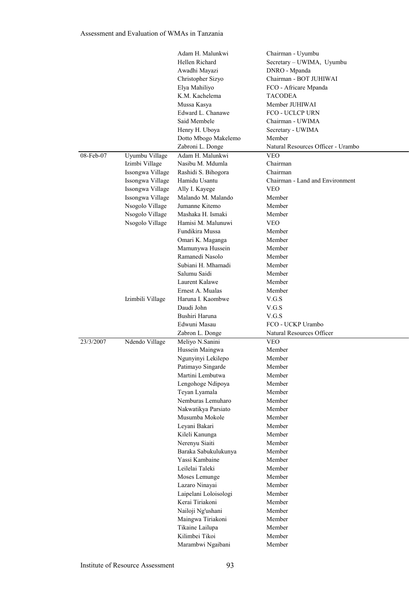|           |                  | Adam H. Malunkwi      | Chairman - Uyumbu                  |
|-----------|------------------|-----------------------|------------------------------------|
|           |                  | Hellen Richard        | Secretary - UWIMA, Uyumbu          |
|           |                  | Awadhi Mayazi         | DNRO - Mpanda                      |
|           |                  | Christopher Sizyo     | Chairman - BOT JUHIWAI             |
|           |                  | Elya Mahiliyo         | FCO - Africare Mpanda              |
|           |                  | K.M. Kachelema        | <b>TACODEA</b>                     |
|           |                  | Mussa Kasya           | Member JUHIWAI                     |
|           |                  | Edward L. Chanawe     | FCO - UCLCP URN                    |
|           |                  | Said Membele          | Chairman - UWIMA                   |
|           |                  | Henry H. Uboya        | Secretary - UWIMA                  |
|           |                  | Dotto Mbogo Makelemo  | Member                             |
|           |                  | Zabroni L. Donge      | Natural Resources Officer - Urambo |
| 08-Feb-07 | Uyumbu Village   | Adam H. Malunkwi      | <b>VEO</b>                         |
|           | Izimbi Village   | Nasibu M. Mdumla      | Chairman                           |
|           | Issongwa Village | Rashidi S. Bihogora   | Chairman                           |
|           | Issongwa Village | Hamidu Usantu         | Chairman - Land and Environment    |
|           | Issongwa Village | Ally I. Kayege        | <b>VEO</b>                         |
|           | Issongwa Village | Malando M. Malando    | Member                             |
|           | Nsogolo Village  | Jumanne Kitemo        | Member                             |
|           | Nsogolo Village  | Mashaka H. Ismaki     | Member                             |
|           | Nsogolo Village  | Hamisi M. Malunuwi    | <b>VEO</b>                         |
|           |                  | Fundikira Mussa       | Member                             |
|           |                  | Omari K. Maganga      | Member                             |
|           |                  | Mamunywa Hussein      | Member                             |
|           |                  | Ramanedi Nasolo       | Member                             |
|           |                  | Subiani H. Mhamadi    | Member                             |
|           |                  | Salumu Saidi          | Member                             |
|           |                  | Laurent Kalawe        | Member                             |
|           |                  | Ernest A. Mualas      | Member                             |
|           | Izimbili Village | Haruna I. Kaombwe     | V.G.S                              |
|           |                  | Daudi John            | V.G.S                              |
|           |                  | Bushiri Haruna        | V.G.S                              |
|           |                  | Edwuni Masau          | FCO - UCKP Urambo                  |
|           |                  | Zabron L. Donge       | Natural Resources Officer          |
| 23/3/2007 | Ndendo Village   | Meliyo N.Sanini       | <b>VEO</b>                         |
|           |                  | Hussein Maingwa       | Member                             |
|           |                  | Ngunyinyi Lekilepo    | Member                             |
|           |                  | Patimayo Singarde     | Member                             |
|           |                  | Martini Lembutwa      | Member                             |
|           |                  | Lengohoge Ndipoya     | Member                             |
|           |                  | Teyan Lyamala         | Member                             |
|           |                  | Nemburas Lemuharo     | Member                             |
|           |                  | Nakwatikya Parsiato   | Member                             |
|           |                  | Musumba Mokole        | Member                             |
|           |                  | Leyani Bakari         | Member                             |
|           |                  | Kileli Kanunga        | Member                             |
|           |                  | Nerenyu Siaiti        | Member                             |
|           |                  | Baraka Sabukulukunya  | Member                             |
|           |                  | Yassi Kambaine        | Member                             |
|           |                  | Leilelai Taleki       | Member                             |
|           |                  | Moses Lemunge         | Member                             |
|           |                  | Lazaro Ninayai        | Member                             |
|           |                  | Laipelani Loloisologi | Member                             |
|           |                  | Kerai Tiriakoni       | Member                             |
|           |                  | Nailoji Ng'ushani     | Member                             |
|           |                  | Maingwa Tiriakoni     | Member                             |
|           |                  | Tikaine Lailupa       | Member                             |
|           |                  | Kilimbei Tikoi        | Member                             |
|           |                  | Marambwi Ngaibani     | Member                             |
|           |                  |                       |                                    |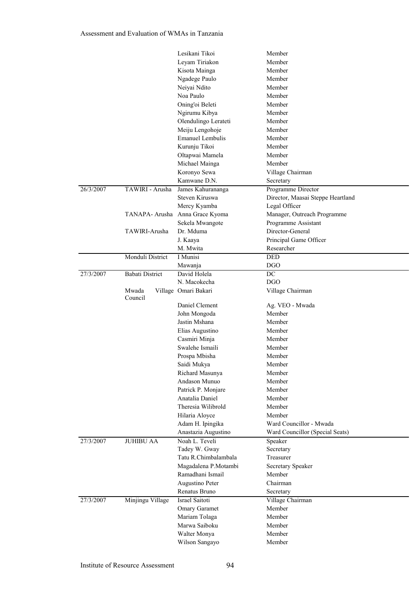|           |                        | Lesikani Tikoi                  | Member                            |
|-----------|------------------------|---------------------------------|-----------------------------------|
|           |                        | Leyam Tiriakon                  | Member                            |
|           |                        | Kisota Mainga                   | Member                            |
|           |                        | Ngadege Paulo                   | Member                            |
|           |                        | Neiyai Ndito                    | Member                            |
|           |                        | Noa Paulo                       | Member                            |
|           |                        | Oning'oi Beleti                 | Member                            |
|           |                        | Ngirumu Kibya                   | Member                            |
|           |                        | Olendulingo Lerateti            | Member                            |
|           |                        | Meiju Lengohoje                 | Member                            |
|           |                        | <b>Emanuel Lembulis</b>         | Member                            |
|           |                        | Kurunju Tikoi                   | Member                            |
|           |                        | Oltapwai Mamela                 | Member                            |
|           |                        | Michael Mainga                  | Member                            |
|           |                        | Koronyo Sewa                    | Village Chairman                  |
|           |                        | Kamwane D.N.                    | Secretary                         |
| 26/3/2007 | TAWIRI - Arusha        | James Kahurananga               | Programme Director                |
|           |                        | Steven Kiruswa                  | Director, Maasai Steppe Heartland |
|           |                        | Mercy Kyamba                    | Legal Officer                     |
|           | TANAPA- Arusha         | Anna Grace Kyoma                | Manager, Outreach Programme       |
|           |                        | Sekela Mwangote                 | Programme Assistant               |
|           | TAWIRI-Arusha          | Dr. Mduma                       | Director-General                  |
|           |                        | J. Kaaya                        | Principal Game Officer            |
|           |                        | M. Mwita                        | Researcher                        |
|           | Monduli District       | I Munisi                        | <b>DED</b>                        |
|           |                        | Mawanja                         | <b>DGO</b>                        |
| 27/3/2007 | <b>Babati District</b> | David Holela<br>N. Macokecha    | $\overline{DC}$<br><b>DGO</b>     |
|           | Mwada                  | Village Omari Bakari            | Village Chairman                  |
|           | Council                |                                 |                                   |
|           |                        | Daniel Clement                  | Ag. VEO - Mwada                   |
|           |                        | John Mongoda                    | Member                            |
|           |                        | Jastin Mshana                   | Member                            |
|           |                        | Elias Augustino                 | Member                            |
|           |                        | Casmiri Minja                   | Member                            |
|           |                        | Swalehe Ismaili                 | Member                            |
|           |                        | Prospa Mbisha                   | Member                            |
|           |                        | Saidi Mukya                     | Member                            |
|           |                        | Richard Masunya                 | Member                            |
|           |                        | Andason Munuo                   | Member                            |
|           |                        | Patrick P. Monjare              | Member                            |
|           |                        | Anatalia Daniel                 | Member                            |
|           |                        | Theresia Wilibrold              | Member                            |
|           |                        | Hilaria Aloyce                  | Member                            |
|           |                        | Adam H. Ipingika                | Ward Councillor - Mwada           |
|           |                        | Anastazia Augustino             | Ward Councillor (Special Seats)   |
| 27/3/2007 | <b>JUHIBU AA</b>       | Noah L. Teveli<br>Tadey W. Gway | Speaker                           |
|           |                        | Tatu R.Chimbalambala            | Secretary<br>Treasurer            |
|           |                        | Magadalena P.Motambi            | Secretary Speaker                 |
|           |                        | Ramadhani Ismail                | Member                            |
|           |                        | Augustino Peter                 | Chairman                          |
|           |                        | Renatus Bruno                   | Secretary                         |
| 27/3/2007 | Minjingu Village       | Israel Saitoti                  | Village Chairman                  |
|           |                        | Omary Garamet                   | Member                            |
|           |                        | Mariam Tolaga                   | Member                            |
|           |                        | Marwa Saiboku                   | Member                            |
|           |                        | Walter Monya                    | Member                            |
|           |                        | Wilson Sangayo                  | Member                            |
|           |                        |                                 |                                   |